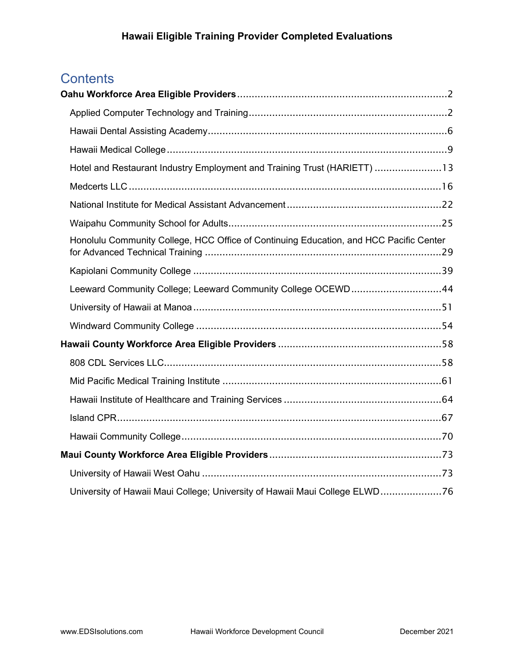# **Contents**

| Hotel and Restaurant Industry Employment and Training Trust (HARIETT) 13               |  |
|----------------------------------------------------------------------------------------|--|
|                                                                                        |  |
|                                                                                        |  |
|                                                                                        |  |
| Honolulu Community College, HCC Office of Continuing Education, and HCC Pacific Center |  |
|                                                                                        |  |
| Leeward Community College; Leeward Community College OCEWD44                           |  |
|                                                                                        |  |
|                                                                                        |  |
|                                                                                        |  |
|                                                                                        |  |
|                                                                                        |  |
|                                                                                        |  |
|                                                                                        |  |
|                                                                                        |  |
|                                                                                        |  |
|                                                                                        |  |
| University of Hawaii Maui College; University of Hawaii Maui College ELWD76            |  |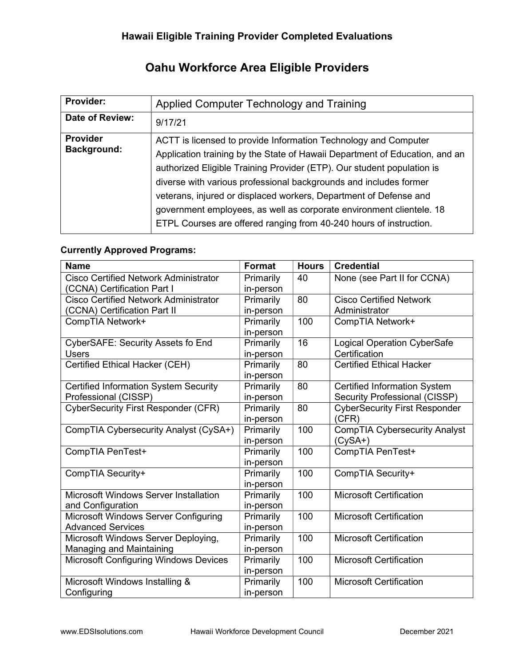# Oahu Workforce Area Eligible Providers

| <b>Provider:</b>                      | Applied Computer Technology and Training                                                                                                                                                                                                                                                                                                                                                                                                                                                                         |
|---------------------------------------|------------------------------------------------------------------------------------------------------------------------------------------------------------------------------------------------------------------------------------------------------------------------------------------------------------------------------------------------------------------------------------------------------------------------------------------------------------------------------------------------------------------|
| Date of Review:                       | 9/17/21                                                                                                                                                                                                                                                                                                                                                                                                                                                                                                          |
| <b>Provider</b><br><b>Background:</b> | ACTT is licensed to provide Information Technology and Computer<br>Application training by the State of Hawaii Department of Education, and an<br>authorized Eligible Training Provider (ETP). Our student population is<br>diverse with various professional backgrounds and includes former<br>veterans, injured or displaced workers, Department of Defense and<br>government employees, as well as corporate environment clientele. 18<br>ETPL Courses are offered ranging from 40-240 hours of instruction. |

#### Currently Approved Programs:

| <b>Name</b>                                  | <b>Format</b> | <b>Hours</b> | <b>Credential</b>                    |
|----------------------------------------------|---------------|--------------|--------------------------------------|
| <b>Cisco Certified Network Administrator</b> | Primarily     | 40           | None (see Part II for CCNA)          |
| (CCNA) Certification Part I                  | in-person     |              |                                      |
| <b>Cisco Certified Network Administrator</b> | Primarily     | 80           | <b>Cisco Certified Network</b>       |
| (CCNA) Certification Part II                 | in-person     |              | Administrator                        |
| CompTIA Network+                             | Primarily     | 100          | CompTIA Network+                     |
|                                              | in-person     |              |                                      |
| <b>CyberSAFE: Security Assets fo End</b>     | Primarily     | 16           | Logical Operation CyberSafe          |
| <b>Users</b>                                 | in-person     |              | Certification                        |
| Certified Ethical Hacker (CEH)               | Primarily     | 80           | <b>Certified Ethical Hacker</b>      |
|                                              | in-person     |              |                                      |
| <b>Certified Information System Security</b> | Primarily     | 80           | <b>Certified Information System</b>  |
| Professional (CISSP)                         | in-person     |              | Security Professional (CISSP)        |
| CyberSecurity First Responder (CFR)          | Primarily     | 80           | <b>CyberSecurity First Responder</b> |
|                                              | in-person     |              | (CFR)                                |
| CompTIA Cybersecurity Analyst (CySA+)        | Primarily     | 100          | <b>CompTIA Cybersecurity Analyst</b> |
|                                              | in-person     |              | (CySA+)                              |
| CompTIA PenTest+                             | Primarily     | 100          | CompTIA PenTest+                     |
|                                              | in-person     |              |                                      |
| CompTIA Security+                            | Primarily     | 100          | CompTIA Security+                    |
|                                              | in-person     |              |                                      |
| <b>Microsoft Windows Server Installation</b> | Primarily     | 100          | <b>Microsoft Certification</b>       |
| and Configuration                            | in-person     |              |                                      |
| Microsoft Windows Server Configuring         | Primarily     | 100          | <b>Microsoft Certification</b>       |
| <b>Advanced Services</b>                     | in-person     |              |                                      |
| Microsoft Windows Server Deploying,          | Primarily     | 100          | <b>Microsoft Certification</b>       |
| Managing and Maintaining                     | in-person     |              |                                      |
| <b>Microsoft Configuring Windows Devices</b> | Primarily     | 100          | <b>Microsoft Certification</b>       |
|                                              | in-person     |              |                                      |
| Microsoft Windows Installing &               | Primarily     | 100          | <b>Microsoft Certification</b>       |
| Configuring                                  | in-person     |              |                                      |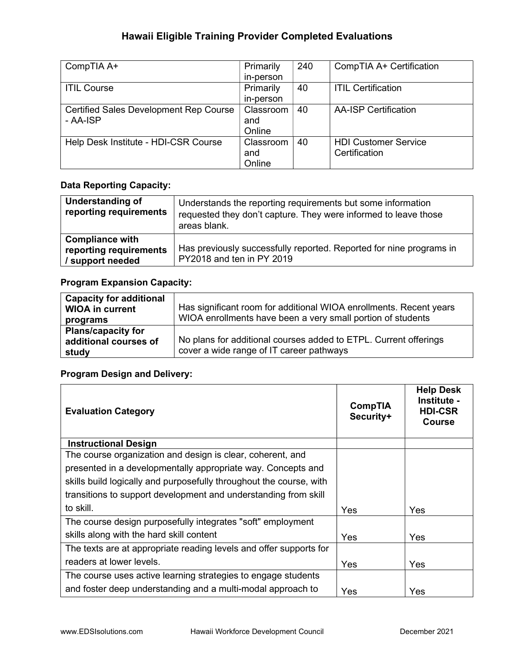| CompTIA A+                                    | Primarily | 240 | CompTIA A+ Certification    |
|-----------------------------------------------|-----------|-----|-----------------------------|
|                                               | in-person |     |                             |
| <b>ITIL Course</b>                            | Primarily | 40  | <b>ITIL Certification</b>   |
|                                               | in-person |     |                             |
| <b>Certified Sales Development Rep Course</b> | Classroom | 40  | <b>AA-ISP Certification</b> |
| - AA-ISP                                      | and       |     |                             |
|                                               | Online    |     |                             |
| Help Desk Institute - HDI-CSR Course          | Classroom | 40  | <b>HDI Customer Service</b> |
|                                               | and       |     | Certification               |
|                                               | Online    |     |                             |

#### Data Reporting Capacity:

| Understanding of<br>reporting requirements                           | Understands the reporting requirements but some information<br>requested they don't capture. They were informed to leave those<br>areas blank. |
|----------------------------------------------------------------------|------------------------------------------------------------------------------------------------------------------------------------------------|
| <b>Compliance with</b><br>reporting requirements<br>/ support needed | Has previously successfully reported. Reported for nine programs in<br>PY2018 and ten in PY 2019                                               |

#### Program Expansion Capacity:

| <b>Capacity for additional</b><br><b>WIOA in current</b><br>programs | Has significant room for additional WIOA enrollments. Recent years<br>WIOA enrollments have been a very small portion of students |
|----------------------------------------------------------------------|-----------------------------------------------------------------------------------------------------------------------------------|
| <b>Plans/capacity for</b><br>additional courses of<br>study          | No plans for additional courses added to ETPL. Current offerings<br>cover a wide range of IT career pathways                      |

| <b>Evaluation Category</b>                                          | <b>CompTIA</b><br>Security+ | <b>Help Desk</b><br>Institute -<br><b>HDI-CSR</b><br><b>Course</b> |
|---------------------------------------------------------------------|-----------------------------|--------------------------------------------------------------------|
| <b>Instructional Design</b>                                         |                             |                                                                    |
| The course organization and design is clear, coherent, and          |                             |                                                                    |
| presented in a developmentally appropriate way. Concepts and        |                             |                                                                    |
| skills build logically and purposefully throughout the course, with |                             |                                                                    |
| transitions to support development and understanding from skill     |                             |                                                                    |
| to skill.                                                           | Yes                         | <b>Yes</b>                                                         |
| The course design purposefully integrates "soft" employment         |                             |                                                                    |
| skills along with the hard skill content                            | <b>Yes</b>                  | Yes                                                                |
| The texts are at appropriate reading levels and offer supports for  |                             |                                                                    |
| readers at lower levels.                                            | Yes                         | Yes                                                                |
| The course uses active learning strategies to engage students       |                             |                                                                    |
| and foster deep understanding and a multi-modal approach to         | Yes                         | Yes                                                                |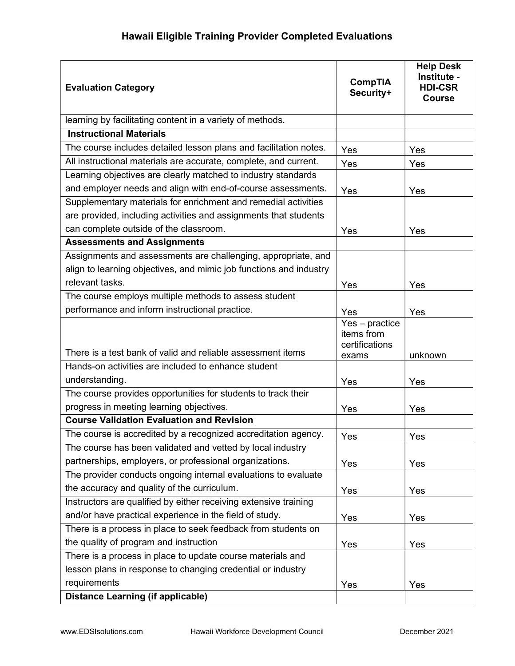| <b>Evaluation Category</b>                                         | <b>CompTIA</b><br>Security+                               | <b>Help Desk</b><br>Institute -<br><b>HDI-CSR</b><br><b>Course</b> |
|--------------------------------------------------------------------|-----------------------------------------------------------|--------------------------------------------------------------------|
| learning by facilitating content in a variety of methods.          |                                                           |                                                                    |
| <b>Instructional Materials</b>                                     |                                                           |                                                                    |
| The course includes detailed lesson plans and facilitation notes.  | Yes                                                       | Yes                                                                |
| All instructional materials are accurate, complete, and current.   | Yes                                                       | Yes                                                                |
| Learning objectives are clearly matched to industry standards      |                                                           |                                                                    |
| and employer needs and align with end-of-course assessments.       | Yes                                                       | Yes                                                                |
| Supplementary materials for enrichment and remedial activities     |                                                           |                                                                    |
| are provided, including activities and assignments that students   |                                                           |                                                                    |
| can complete outside of the classroom.                             | Yes                                                       | Yes                                                                |
| <b>Assessments and Assignments</b>                                 |                                                           |                                                                    |
| Assignments and assessments are challenging, appropriate, and      |                                                           |                                                                    |
| align to learning objectives, and mimic job functions and industry |                                                           |                                                                    |
| relevant tasks.                                                    | Yes                                                       | Yes                                                                |
| The course employs multiple methods to assess student              |                                                           |                                                                    |
| performance and inform instructional practice.                     | Yes                                                       | Yes                                                                |
| There is a test bank of valid and reliable assessment items        | $Yes - practice$<br>items from<br>certifications<br>exams | unknown                                                            |
| Hands-on activities are included to enhance student                |                                                           |                                                                    |
| understanding.                                                     | Yes                                                       | Yes                                                                |
| The course provides opportunities for students to track their      |                                                           |                                                                    |
| progress in meeting learning objectives.                           | Yes                                                       | Yes                                                                |
| <b>Course Validation Evaluation and Revision</b>                   |                                                           |                                                                    |
| The course is accredited by a recognized accreditation agency.     | Yes                                                       | Yes                                                                |
| The course has been validated and vetted by local industry         |                                                           |                                                                    |
| partnerships, employers, or professional organizations.            | Yes                                                       | Yes                                                                |
| The provider conducts ongoing internal evaluations to evaluate     |                                                           |                                                                    |
| the accuracy and quality of the curriculum.                        | Yes                                                       | Yes                                                                |
| Instructors are qualified by either receiving extensive training   |                                                           |                                                                    |
| and/or have practical experience in the field of study.            | Yes                                                       | Yes                                                                |
| There is a process in place to seek feedback from students on      |                                                           |                                                                    |
| the quality of program and instruction                             | Yes                                                       | Yes                                                                |
| There is a process in place to update course materials and         |                                                           |                                                                    |
| lesson plans in response to changing credential or industry        |                                                           |                                                                    |
| requirements                                                       | Yes                                                       | Yes                                                                |
| <b>Distance Learning (if applicable)</b>                           |                                                           |                                                                    |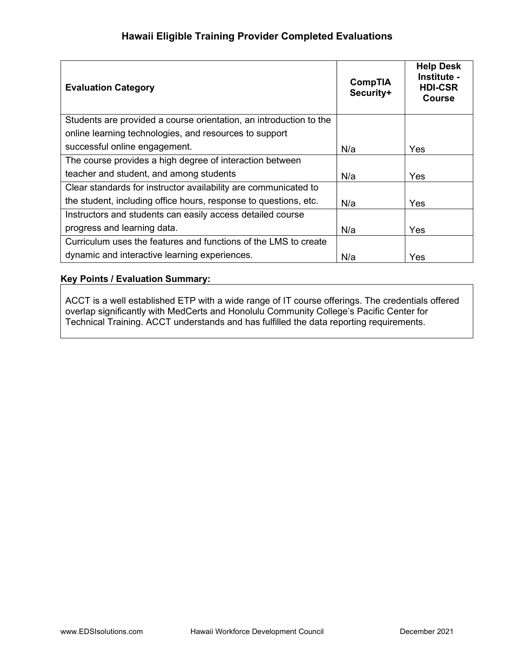| <b>Evaluation Category</b>                                         | <b>CompTIA</b><br>Security+ | <b>Help Desk</b><br>Institute -<br><b>HDI-CSR</b><br><b>Course</b> |
|--------------------------------------------------------------------|-----------------------------|--------------------------------------------------------------------|
| Students are provided a course orientation, an introduction to the |                             |                                                                    |
| online learning technologies, and resources to support             |                             |                                                                    |
| successful online engagement.                                      | N/a                         | Yes                                                                |
| The course provides a high degree of interaction between           |                             |                                                                    |
| teacher and student, and among students                            | N/a                         | <b>Yes</b>                                                         |
| Clear standards for instructor availability are communicated to    |                             |                                                                    |
| the student, including office hours, response to questions, etc.   | N/a                         | <b>Yes</b>                                                         |
| Instructors and students can easily access detailed course         |                             |                                                                    |
| progress and learning data.                                        | N/a                         | Yes                                                                |
| Curriculum uses the features and functions of the LMS to create    |                             |                                                                    |
| dynamic and interactive learning experiences.                      | N/a                         | Yes                                                                |

#### Key Points / Evaluation Summary:

ACCT is a well established ETP with a wide range of IT course offerings. The credentials offered overlap significantly with MedCerts and Honolulu Community College's Pacific Center for Technical Training. ACCT understands and has fulfilled the data reporting requirements.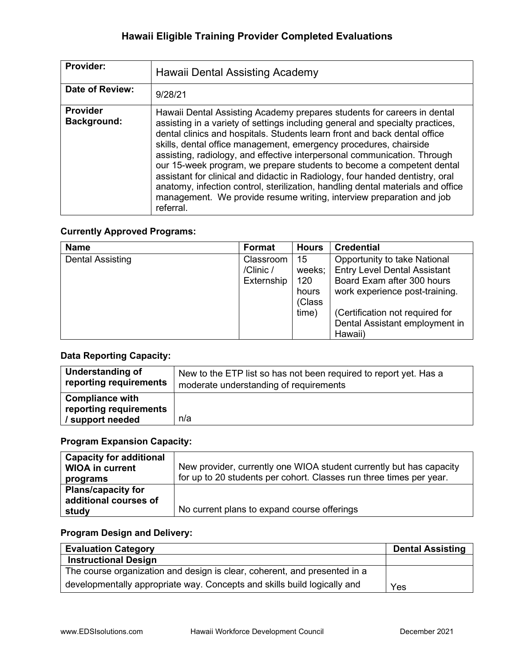| Provider:                             | Hawaii Dental Assisting Academy                                                                                                                                                                                                                                                                                                                                                                                                                                                                                                                                                                                                                                                                                          |
|---------------------------------------|--------------------------------------------------------------------------------------------------------------------------------------------------------------------------------------------------------------------------------------------------------------------------------------------------------------------------------------------------------------------------------------------------------------------------------------------------------------------------------------------------------------------------------------------------------------------------------------------------------------------------------------------------------------------------------------------------------------------------|
| Date of Review:                       | 9/28/21                                                                                                                                                                                                                                                                                                                                                                                                                                                                                                                                                                                                                                                                                                                  |
| <b>Provider</b><br><b>Background:</b> | Hawaii Dental Assisting Academy prepares students for careers in dental<br>assisting in a variety of settings including general and specialty practices,<br>dental clinics and hospitals. Students learn front and back dental office<br>skills, dental office management, emergency procedures, chairside<br>assisting, radiology, and effective interpersonal communication. Through<br>our 15-week program, we prepare students to become a competent dental<br>assistant for clinical and didactic in Radiology, four handed dentistry, oral<br>anatomy, infection control, sterilization, handling dental materials and office<br>management. We provide resume writing, interview preparation and job<br>referral. |

#### Currently Approved Programs:

| <b>Name</b>             | Format     | <b>Hours</b> | <b>Credential</b>                   |
|-------------------------|------------|--------------|-------------------------------------|
| <b>Dental Assisting</b> | Classroom  | 15           | Opportunity to take National        |
|                         | /Clinic/   | weeks:       | <b>Entry Level Dental Assistant</b> |
|                         | Externship | 120          | Board Exam after 300 hours          |
|                         |            | hours        | work experience post-training.      |
|                         |            | (Class       |                                     |
|                         |            | time)        | (Certification not required for     |
|                         |            |              | Dental Assistant employment in      |
|                         |            |              | Hawaii)                             |

#### Data Reporting Capacity:

| Understanding of                                                     | New to the ETP list so has not been required to report yet. Has a |
|----------------------------------------------------------------------|-------------------------------------------------------------------|
| reporting requirements                                               | moderate understanding of requirements                            |
| <b>Compliance with</b><br>reporting requirements<br>/ support needed | n/a                                                               |

### Program Expansion Capacity:

| <b>Capacity for additional</b><br><b>WIOA in current</b><br>programs | New provider, currently one WIOA student currently but has capacity<br>for up to 20 students per cohort. Classes run three times per year. |
|----------------------------------------------------------------------|--------------------------------------------------------------------------------------------------------------------------------------------|
| <b>Plans/capacity for</b><br>additional courses of<br>study          | No current plans to expand course offerings                                                                                                |

| <b>Evaluation Category</b>                                                | <b>Dental Assisting</b> |
|---------------------------------------------------------------------------|-------------------------|
| <b>Instructional Design</b>                                               |                         |
| The course organization and design is clear, coherent, and presented in a |                         |
| developmentally appropriate way. Concepts and skills build logically and  | Yes                     |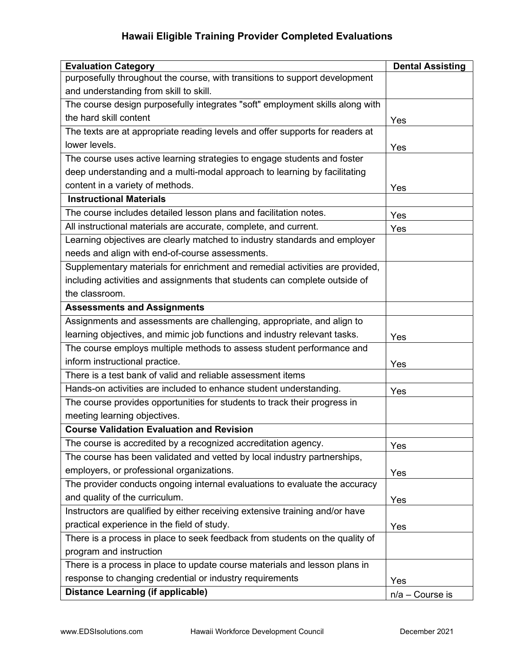| <b>Evaluation Category</b>                                                    | <b>Dental Assisting</b> |
|-------------------------------------------------------------------------------|-------------------------|
| purposefully throughout the course, with transitions to support development   |                         |
| and understanding from skill to skill.                                        |                         |
| The course design purposefully integrates "soft" employment skills along with |                         |
| the hard skill content                                                        | Yes                     |
| The texts are at appropriate reading levels and offer supports for readers at |                         |
| lower levels.                                                                 | Yes                     |
| The course uses active learning strategies to engage students and foster      |                         |
| deep understanding and a multi-modal approach to learning by facilitating     |                         |
| content in a variety of methods.                                              | Yes                     |
| <b>Instructional Materials</b>                                                |                         |
| The course includes detailed lesson plans and facilitation notes.             | Yes                     |
| All instructional materials are accurate, complete, and current.              | Yes                     |
| Learning objectives are clearly matched to industry standards and employer    |                         |
| needs and align with end-of-course assessments.                               |                         |
| Supplementary materials for enrichment and remedial activities are provided,  |                         |
| including activities and assignments that students can complete outside of    |                         |
| the classroom.                                                                |                         |
| <b>Assessments and Assignments</b>                                            |                         |
| Assignments and assessments are challenging, appropriate, and align to        |                         |
| learning objectives, and mimic job functions and industry relevant tasks.     | Yes                     |
| The course employs multiple methods to assess student performance and         |                         |
| inform instructional practice.                                                | Yes                     |
| There is a test bank of valid and reliable assessment items                   |                         |
| Hands-on activities are included to enhance student understanding.            | Yes                     |
| The course provides opportunities for students to track their progress in     |                         |
| meeting learning objectives.                                                  |                         |
| <b>Course Validation Evaluation and Revision</b>                              |                         |
| The course is accredited by a recognized accreditation agency.                | Yes                     |
| The course has been validated and vetted by local industry partnerships,      |                         |
| employers, or professional organizations.                                     | Yes                     |
| The provider conducts ongoing internal evaluations to evaluate the accuracy   |                         |
| and quality of the curriculum.                                                | Yes                     |
| Instructors are qualified by either receiving extensive training and/or have  |                         |
| practical experience in the field of study.                                   | Yes                     |
| There is a process in place to seek feedback from students on the quality of  |                         |
| program and instruction                                                       |                         |
| There is a process in place to update course materials and lesson plans in    |                         |
| response to changing credential or industry requirements                      | Yes                     |
| <b>Distance Learning (if applicable)</b>                                      | $n/a$ – Course is       |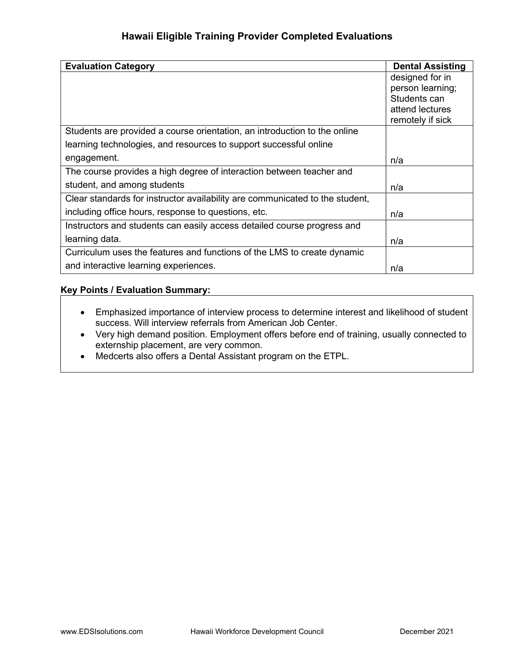| <b>Evaluation Category</b>                                                   | <b>Dental Assisting</b> |
|------------------------------------------------------------------------------|-------------------------|
|                                                                              | designed for in         |
|                                                                              | person learning;        |
|                                                                              | Students can            |
|                                                                              | attend lectures         |
|                                                                              | remotely if sick        |
| Students are provided a course orientation, an introduction to the online    |                         |
| learning technologies, and resources to support successful online            |                         |
| engagement.                                                                  | n/a                     |
| The course provides a high degree of interaction between teacher and         |                         |
| student, and among students                                                  | n/a                     |
| Clear standards for instructor availability are communicated to the student, |                         |
| including office hours, response to questions, etc.                          | n/a                     |
| Instructors and students can easily access detailed course progress and      |                         |
| learning data.                                                               | n/a                     |
| Curriculum uses the features and functions of the LMS to create dynamic      |                         |
| and interactive learning experiences.                                        | n/a                     |

#### Key Points / Evaluation Summary:

- Emphasized importance of interview process to determine interest and likelihood of student success. Will interview referrals from American Job Center.
- Very high demand position. Employment offers before end of training, usually connected to externship placement, are very common.
- Medcerts also offers a Dental Assistant program on the ETPL.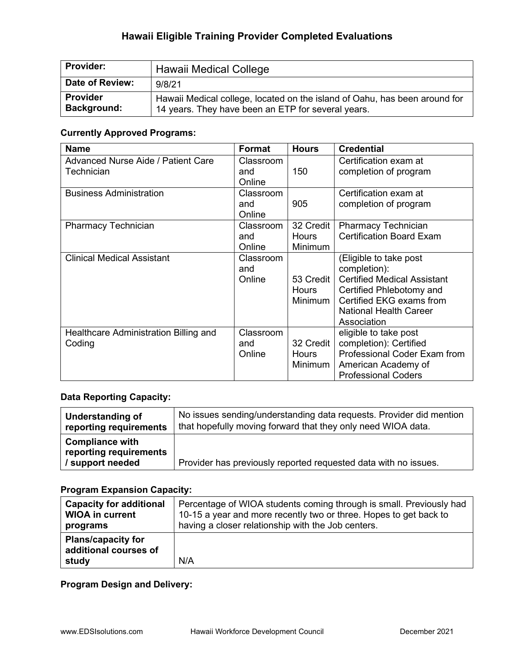| <b>Provider:</b>                      | Hawaii Medical College                                                                                                           |
|---------------------------------------|----------------------------------------------------------------------------------------------------------------------------------|
| Date of Review:                       | 9/8/21                                                                                                                           |
| <b>Provider</b><br><b>Background:</b> | Hawaii Medical college, located on the island of Oahu, has been around for<br>14 years. They have been an ETP for several years. |

### Currently Approved Programs:

| <b>Name</b>                                             | Format                               | <b>Hours</b>                                | <b>Credential</b>                                                                                                                                                                    |
|---------------------------------------------------------|--------------------------------------|---------------------------------------------|--------------------------------------------------------------------------------------------------------------------------------------------------------------------------------------|
| <b>Advanced Nurse Aide / Patient Care</b><br>Technician | Classroom<br>and                     | 150                                         | Certification exam at<br>completion of program                                                                                                                                       |
| <b>Business Administration</b>                          | Online<br>Classroom<br>and<br>Online | 905                                         | Certification exam at<br>completion of program                                                                                                                                       |
| <b>Pharmacy Technician</b>                              | Classroom<br>and<br>Online           | 32 Credit<br><b>Hours</b><br><b>Minimum</b> | <b>Pharmacy Technician</b><br><b>Certification Board Exam</b>                                                                                                                        |
| <b>Clinical Medical Assistant</b>                       | Classroom<br>and<br>Online           | 53 Credit<br>Hours<br>Minimum               | (Eligible to take post<br>completion):<br><b>Certified Medical Assistant</b><br>Certified Phlebotomy and<br>Certified EKG exams from<br><b>National Health Career</b><br>Association |
| Healthcare Administration Billing and<br>Coding         | Classroom<br>and<br>Online           | 32 Credit<br><b>Hours</b><br>Minimum        | eligible to take post<br>completion): Certified<br>Professional Coder Exam from<br>American Academy of<br><b>Professional Coders</b>                                                 |

### Data Reporting Capacity:

| Understanding of                                                   | No issues sending/understanding data requests. Provider did mention |
|--------------------------------------------------------------------|---------------------------------------------------------------------|
| reporting requirements                                             | that hopefully moving forward that they only need WIOA data.        |
| <b>Compliance with</b><br>reporting requirements<br>support needed | Provider has previously reported requested data with no issues.     |

### Program Expansion Capacity:

| <b>Capacity for additional</b>                              | Percentage of WIOA students coming through is small. Previously had |
|-------------------------------------------------------------|---------------------------------------------------------------------|
| <b>WIOA in current</b>                                      | 10-15 a year and more recently two or three. Hopes to get back to   |
| programs                                                    | having a closer relationship with the Job centers.                  |
| <b>Plans/capacity for</b><br>additional courses of<br>study | N/A                                                                 |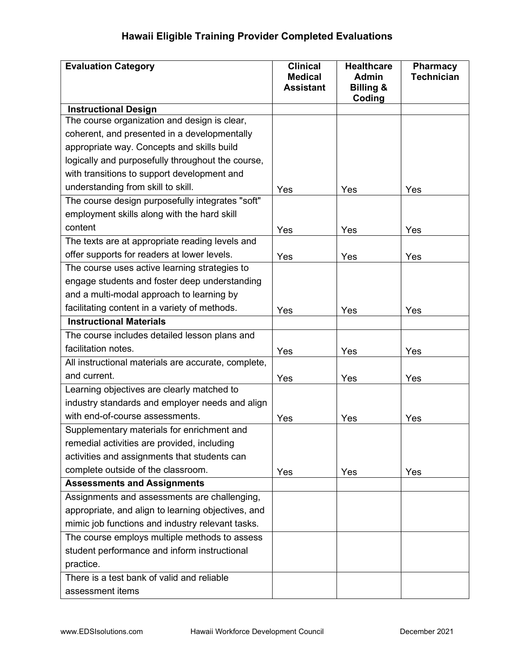| <b>Evaluation Category</b>                          | <b>Clinical</b><br><b>Medical</b><br><b>Assistant</b> | <b>Healthcare</b><br><b>Admin</b><br><b>Billing &amp;</b><br>Coding | <b>Pharmacy</b><br><b>Technician</b> |
|-----------------------------------------------------|-------------------------------------------------------|---------------------------------------------------------------------|--------------------------------------|
| <b>Instructional Design</b>                         |                                                       |                                                                     |                                      |
| The course organization and design is clear,        |                                                       |                                                                     |                                      |
| coherent, and presented in a developmentally        |                                                       |                                                                     |                                      |
| appropriate way. Concepts and skills build          |                                                       |                                                                     |                                      |
| logically and purposefully throughout the course,   |                                                       |                                                                     |                                      |
| with transitions to support development and         |                                                       |                                                                     |                                      |
| understanding from skill to skill.                  | Yes                                                   | Yes                                                                 | Yes                                  |
| The course design purposefully integrates "soft"    |                                                       |                                                                     |                                      |
| employment skills along with the hard skill         |                                                       |                                                                     |                                      |
| content                                             | Yes                                                   | Yes                                                                 | Yes                                  |
| The texts are at appropriate reading levels and     |                                                       |                                                                     |                                      |
| offer supports for readers at lower levels.         | Yes                                                   | Yes                                                                 | Yes                                  |
| The course uses active learning strategies to       |                                                       |                                                                     |                                      |
| engage students and foster deep understanding       |                                                       |                                                                     |                                      |
| and a multi-modal approach to learning by           |                                                       |                                                                     |                                      |
| facilitating content in a variety of methods.       | Yes                                                   | Yes                                                                 | Yes                                  |
| <b>Instructional Materials</b>                      |                                                       |                                                                     |                                      |
| The course includes detailed lesson plans and       |                                                       |                                                                     |                                      |
| facilitation notes.                                 | Yes                                                   | Yes                                                                 | Yes                                  |
| All instructional materials are accurate, complete, |                                                       |                                                                     |                                      |
| and current.                                        | Yes                                                   | Yes                                                                 | Yes                                  |
| Learning objectives are clearly matched to          |                                                       |                                                                     |                                      |
| industry standards and employer needs and align     |                                                       |                                                                     |                                      |
| with end-of-course assessments.                     | Yes                                                   | Yes                                                                 | Yes                                  |
| Supplementary materials for enrichment and          |                                                       |                                                                     |                                      |
| remedial activities are provided, including         |                                                       |                                                                     |                                      |
| activities and assignments that students can        |                                                       |                                                                     |                                      |
| complete outside of the classroom.                  | Yes                                                   | Yes                                                                 | Yes                                  |
| <b>Assessments and Assignments</b>                  |                                                       |                                                                     |                                      |
| Assignments and assessments are challenging,        |                                                       |                                                                     |                                      |
| appropriate, and align to learning objectives, and  |                                                       |                                                                     |                                      |
| mimic job functions and industry relevant tasks.    |                                                       |                                                                     |                                      |
| The course employs multiple methods to assess       |                                                       |                                                                     |                                      |
| student performance and inform instructional        |                                                       |                                                                     |                                      |
| practice.                                           |                                                       |                                                                     |                                      |
| There is a test bank of valid and reliable          |                                                       |                                                                     |                                      |
| assessment items                                    |                                                       |                                                                     |                                      |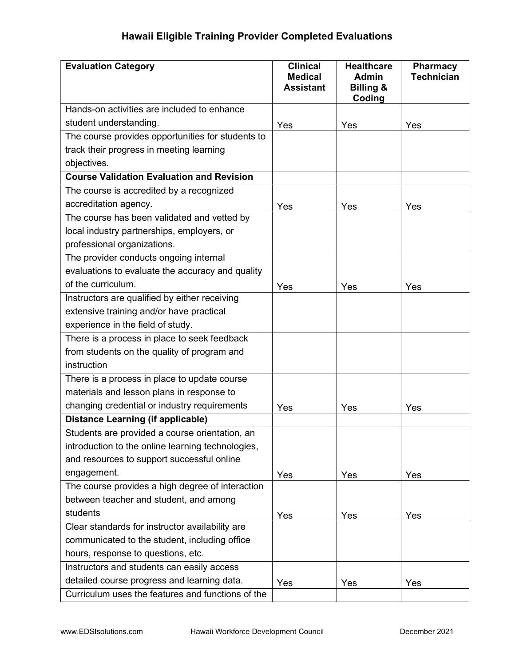| <b>Evaluation Category</b>                        | <b>Clinical</b><br><b>Medical</b><br><b>Assistant</b> | <b>Healthcare</b><br><b>Admin</b><br><b>Billing &amp;</b><br>Coding | Pharmacy<br><b>Technician</b> |
|---------------------------------------------------|-------------------------------------------------------|---------------------------------------------------------------------|-------------------------------|
| Hands-on activities are included to enhance       |                                                       |                                                                     |                               |
| student understanding.                            | Yes                                                   | Yes                                                                 | Yes                           |
| The course provides opportunities for students to |                                                       |                                                                     |                               |
| track their progress in meeting learning          |                                                       |                                                                     |                               |
| objectives.                                       |                                                       |                                                                     |                               |
| <b>Course Validation Evaluation and Revision</b>  |                                                       |                                                                     |                               |
| The course is accredited by a recognized          |                                                       |                                                                     |                               |
| accreditation agency.                             | Yes                                                   | Yes                                                                 | Yes                           |
| The course has been validated and vetted by       |                                                       |                                                                     |                               |
| local industry partnerships, employers, or        |                                                       |                                                                     |                               |
| professional organizations.                       |                                                       |                                                                     |                               |
| The provider conducts ongoing internal            |                                                       |                                                                     |                               |
| evaluations to evaluate the accuracy and quality  |                                                       |                                                                     |                               |
| of the curriculum.                                | Yes                                                   | Yes                                                                 | Yes                           |
| Instructors are qualified by either receiving     |                                                       |                                                                     |                               |
| extensive training and/or have practical          |                                                       |                                                                     |                               |
| experience in the field of study.                 |                                                       |                                                                     |                               |
| There is a process in place to seek feedback      |                                                       |                                                                     |                               |
| from students on the quality of program and       |                                                       |                                                                     |                               |
| instruction                                       |                                                       |                                                                     |                               |
| There is a process in place to update course      |                                                       |                                                                     |                               |
| materials and lesson plans in response to         |                                                       |                                                                     |                               |
| changing credential or industry requirements      | Yes                                                   | Yes                                                                 | Yes                           |
| <b>Distance Learning (if applicable)</b>          |                                                       |                                                                     |                               |
| Students are provided a course orientation, an    |                                                       |                                                                     |                               |
| introduction to the online learning technologies, |                                                       |                                                                     |                               |
| and resources to support successful online        |                                                       |                                                                     |                               |
| engagement.                                       | Yes                                                   | Yes                                                                 | Yes                           |
| The course provides a high degree of interaction  |                                                       |                                                                     |                               |
| between teacher and student, and among            |                                                       |                                                                     |                               |
| students                                          | Yes                                                   | Yes                                                                 | Yes                           |
| Clear standards for instructor availability are   |                                                       |                                                                     |                               |
| communicated to the student, including office     |                                                       |                                                                     |                               |
| hours, response to questions, etc.                |                                                       |                                                                     |                               |
| Instructors and students can easily access        |                                                       |                                                                     |                               |
| detailed course progress and learning data.       | Yes                                                   | Yes                                                                 | Yes                           |
| Curriculum uses the features and functions of the |                                                       |                                                                     |                               |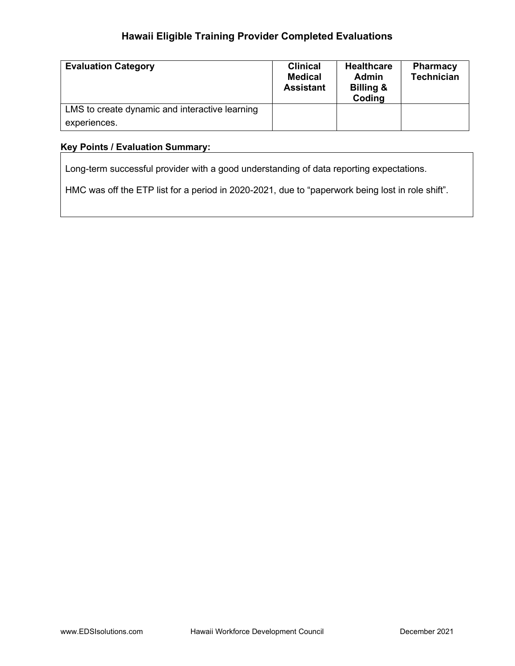| <b>Evaluation Category</b>                     | <b>Clinical</b><br><b>Medical</b><br><b>Assistant</b> | <b>Healthcare</b><br><b>Admin</b><br>Billing &<br>Coding | <b>Pharmacy</b><br><b>Technician</b> |
|------------------------------------------------|-------------------------------------------------------|----------------------------------------------------------|--------------------------------------|
| LMS to create dynamic and interactive learning |                                                       |                                                          |                                      |
| experiences.                                   |                                                       |                                                          |                                      |

#### Key Points / Evaluation Summary:

Long-term successful provider with a good understanding of data reporting expectations.

HMC was off the ETP list for a period in 2020-2021, due to "paperwork being lost in role shift".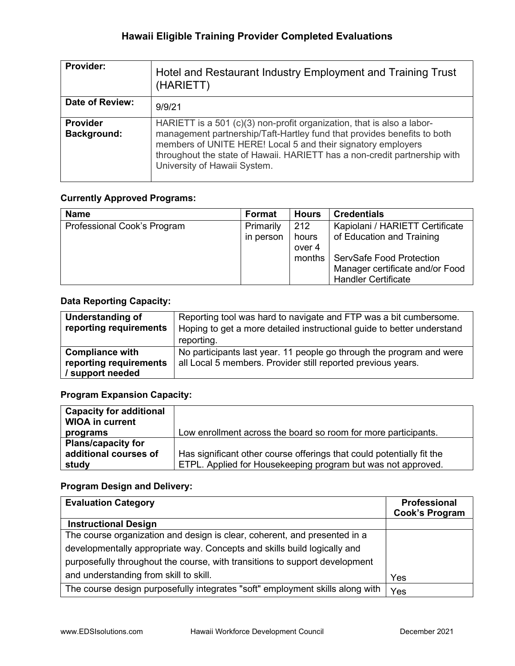| Provider:                             | Hotel and Restaurant Industry Employment and Training Trust<br>(HARIETT)                                                                                                                                                                                                                                                       |
|---------------------------------------|--------------------------------------------------------------------------------------------------------------------------------------------------------------------------------------------------------------------------------------------------------------------------------------------------------------------------------|
| <b>Date of Review:</b>                | 9/9/21                                                                                                                                                                                                                                                                                                                         |
| <b>Provider</b><br><b>Background:</b> | HARIETT is a 501 (c)(3) non-profit organization, that is also a labor-<br>management partnership/Taft-Hartley fund that provides benefits to both<br>members of UNITE HERE! Local 5 and their signatory employers<br>throughout the state of Hawaii. HARIETT has a non-credit partnership with<br>University of Hawaii System. |

#### Currently Approved Programs:

| <b>Name</b>                 | Format    | <b>Hours</b> | <b>Credentials</b>              |
|-----------------------------|-----------|--------------|---------------------------------|
| Professional Cook's Program | Primarily | 212          | Kapiolani / HARIETT Certificate |
|                             | in person | hours        | of Education and Training       |
|                             |           | over 4       |                                 |
|                             |           | months       | ServSafe Food Protection        |
|                             |           |              | Manager certificate and/or Food |
|                             |           |              | <b>Handler Certificate</b>      |

#### Data Reporting Capacity:

| Understanding of<br>reporting requirements                           | Reporting tool was hard to navigate and FTP was a bit cumbersome.<br>Hoping to get a more detailed instructional guide to better understand<br>reporting. |
|----------------------------------------------------------------------|-----------------------------------------------------------------------------------------------------------------------------------------------------------|
| <b>Compliance with</b><br>reporting requirements<br>/ support needed | No participants last year. 11 people go through the program and were<br>all Local 5 members. Provider still reported previous years.                      |

### Program Expansion Capacity:

| <b>Capacity for additional</b> |                                                                       |
|--------------------------------|-----------------------------------------------------------------------|
| <b>WIOA in current</b>         |                                                                       |
| programs                       | Low enrollment across the board so room for more participants.        |
| <b>Plans/capacity for</b>      |                                                                       |
| additional courses of          | Has significant other course offerings that could potentially fit the |
| study                          | ETPL. Applied for Housekeeping program but was not approved.          |

| <b>Evaluation Category</b>                                                    | Professional<br><b>Cook's Program</b> |
|-------------------------------------------------------------------------------|---------------------------------------|
| <b>Instructional Design</b>                                                   |                                       |
| The course organization and design is clear, coherent, and presented in a     |                                       |
| developmentally appropriate way. Concepts and skills build logically and      |                                       |
| purposefully throughout the course, with transitions to support development   |                                       |
| and understanding from skill to skill.                                        | Yes                                   |
| The course design purposefully integrates "soft" employment skills along with | Yes                                   |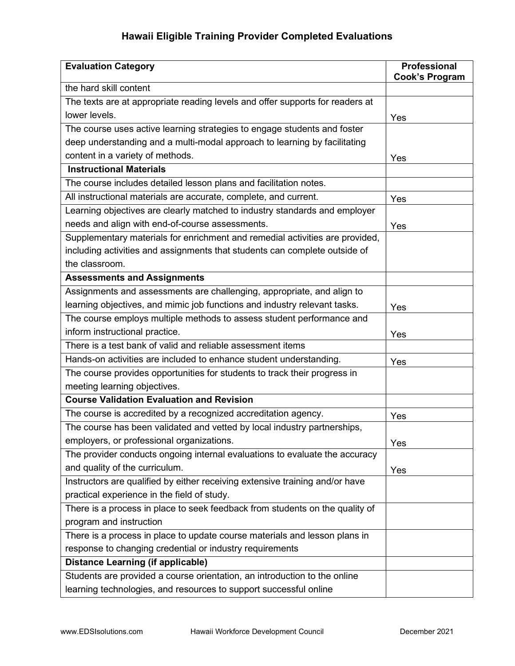| <b>Evaluation Category</b>                                                    | <b>Professional</b><br><b>Cook's Program</b> |
|-------------------------------------------------------------------------------|----------------------------------------------|
| the hard skill content                                                        |                                              |
| The texts are at appropriate reading levels and offer supports for readers at |                                              |
| lower levels.                                                                 | Yes                                          |
| The course uses active learning strategies to engage students and foster      |                                              |
| deep understanding and a multi-modal approach to learning by facilitating     |                                              |
| content in a variety of methods.                                              | Yes                                          |
| <b>Instructional Materials</b>                                                |                                              |
| The course includes detailed lesson plans and facilitation notes.             |                                              |
| All instructional materials are accurate, complete, and current.              | Yes                                          |
| Learning objectives are clearly matched to industry standards and employer    |                                              |
| needs and align with end-of-course assessments.                               | Yes                                          |
| Supplementary materials for enrichment and remedial activities are provided,  |                                              |
| including activities and assignments that students can complete outside of    |                                              |
| the classroom.                                                                |                                              |
| <b>Assessments and Assignments</b>                                            |                                              |
| Assignments and assessments are challenging, appropriate, and align to        |                                              |
| learning objectives, and mimic job functions and industry relevant tasks.     | Yes                                          |
| The course employs multiple methods to assess student performance and         |                                              |
| inform instructional practice.                                                | Yes                                          |
| There is a test bank of valid and reliable assessment items                   |                                              |
| Hands-on activities are included to enhance student understanding.            | Yes                                          |
| The course provides opportunities for students to track their progress in     |                                              |
| meeting learning objectives.                                                  |                                              |
| <b>Course Validation Evaluation and Revision</b>                              |                                              |
| The course is accredited by a recognized accreditation agency.                | Yes                                          |
| The course has been validated and vetted by local industry partnerships,      |                                              |
| employers, or professional organizations.                                     | Yes                                          |
| The provider conducts ongoing internal evaluations to evaluate the accuracy   |                                              |
| and quality of the curriculum.                                                | Yes                                          |
| Instructors are qualified by either receiving extensive training and/or have  |                                              |
| practical experience in the field of study.                                   |                                              |
| There is a process in place to seek feedback from students on the quality of  |                                              |
| program and instruction                                                       |                                              |
| There is a process in place to update course materials and lesson plans in    |                                              |
| response to changing credential or industry requirements                      |                                              |
| <b>Distance Learning (if applicable)</b>                                      |                                              |
| Students are provided a course orientation, an introduction to the online     |                                              |
| learning technologies, and resources to support successful online             |                                              |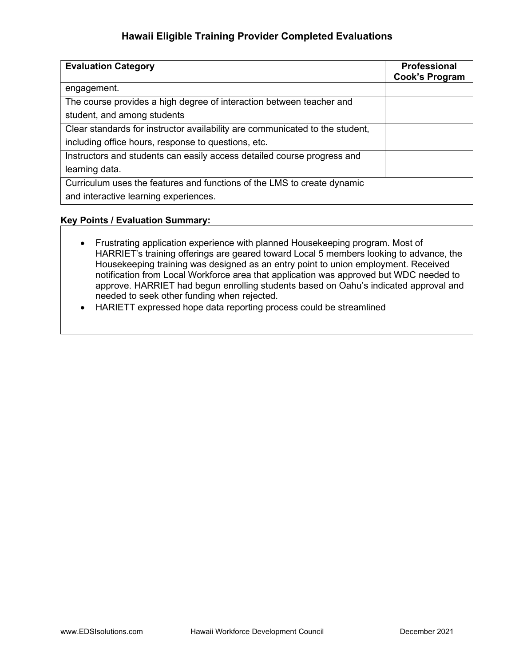| <b>Evaluation Category</b>                                                   | Professional<br><b>Cook's Program</b> |
|------------------------------------------------------------------------------|---------------------------------------|
| engagement.                                                                  |                                       |
| The course provides a high degree of interaction between teacher and         |                                       |
| student, and among students                                                  |                                       |
| Clear standards for instructor availability are communicated to the student, |                                       |
| including office hours, response to questions, etc.                          |                                       |
| Instructors and students can easily access detailed course progress and      |                                       |
| learning data.                                                               |                                       |
| Curriculum uses the features and functions of the LMS to create dynamic      |                                       |
| and interactive learning experiences.                                        |                                       |

#### Key Points / Evaluation Summary:

- Frustrating application experience with planned Housekeeping program. Most of HARRIET's training offerings are geared toward Local 5 members looking to advance, the Housekeeping training was designed as an entry point to union employment. Received notification from Local Workforce area that application was approved but WDC needed to approve. HARRIET had begun enrolling students based on Oahu's indicated approval and needed to seek other funding when rejected.
- HARIETT expressed hope data reporting process could be streamlined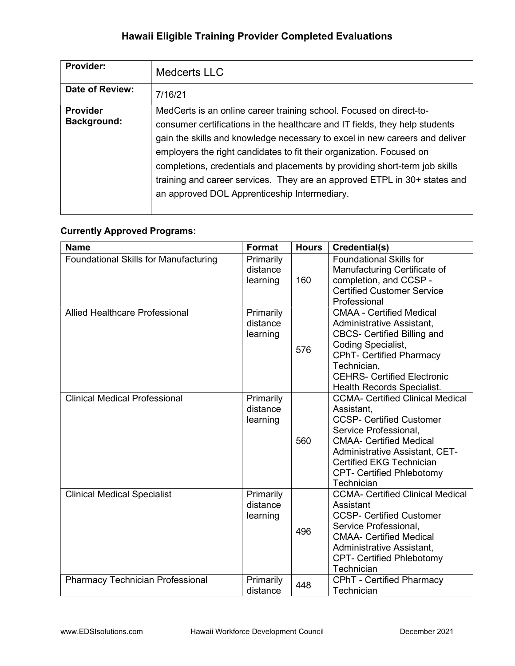| <b>Provider:</b>                      | <b>Medcerts LLC</b>                                                                                                                                                                                                                                                                                                                                                                                                                                                                                                  |
|---------------------------------------|----------------------------------------------------------------------------------------------------------------------------------------------------------------------------------------------------------------------------------------------------------------------------------------------------------------------------------------------------------------------------------------------------------------------------------------------------------------------------------------------------------------------|
| Date of Review:                       | 7/16/21                                                                                                                                                                                                                                                                                                                                                                                                                                                                                                              |
| <b>Provider</b><br><b>Background:</b> | MedCerts is an online career training school. Focused on direct-to-<br>consumer certifications in the healthcare and IT fields, they help students<br>gain the skills and knowledge necessary to excel in new careers and deliver<br>employers the right candidates to fit their organization. Focused on<br>completions, credentials and placements by providing short-term job skills<br>training and career services. They are an approved ETPL in 30+ states and<br>an approved DOL Apprenticeship Intermediary. |

### Currently Approved Programs:

| <b>Name</b>                                  | Format                            | <b>Hours</b> | Credential(s)                                                                                                                                                                                                                                                                     |
|----------------------------------------------|-----------------------------------|--------------|-----------------------------------------------------------------------------------------------------------------------------------------------------------------------------------------------------------------------------------------------------------------------------------|
| <b>Foundational Skills for Manufacturing</b> | Primarily<br>distance<br>learning | 160          | <b>Foundational Skills for</b><br>Manufacturing Certificate of<br>completion, and CCSP -<br><b>Certified Customer Service</b><br>Professional                                                                                                                                     |
| Allied Healthcare Professional               | Primarily<br>distance<br>learning | 576          | <b>CMAA - Certified Medical</b><br>Administrative Assistant,<br><b>CBCS- Certified Billing and</b><br>Coding Specialist,<br><b>CPhT- Certified Pharmacy</b><br>Technician,<br><b>CEHRS- Certified Electronic</b><br><b>Health Records Specialist.</b>                             |
| <b>Clinical Medical Professional</b>         | Primarily<br>distance<br>learning | 560          | <b>CCMA- Certified Clinical Medical</b><br>Assistant,<br><b>CCSP- Certified Customer</b><br>Service Professional,<br><b>CMAA- Certified Medical</b><br><b>Administrative Assistant, CET-</b><br><b>Certified EKG Technician</b><br><b>CPT- Certified Phlebotomy</b><br>Technician |
| <b>Clinical Medical Specialist</b>           | Primarily<br>distance<br>learning | 496          | <b>CCMA- Certified Clinical Medical</b><br>Assistant<br><b>CCSP- Certified Customer</b><br>Service Professional,<br><b>CMAA- Certified Medical</b><br>Administrative Assistant,<br><b>CPT- Certified Phlebotomy</b><br>Technician                                                 |
| <b>Pharmacy Technician Professional</b>      | Primarily<br>distance             | 448          | <b>CPhT</b> - Certified Pharmacy<br>Technician                                                                                                                                                                                                                                    |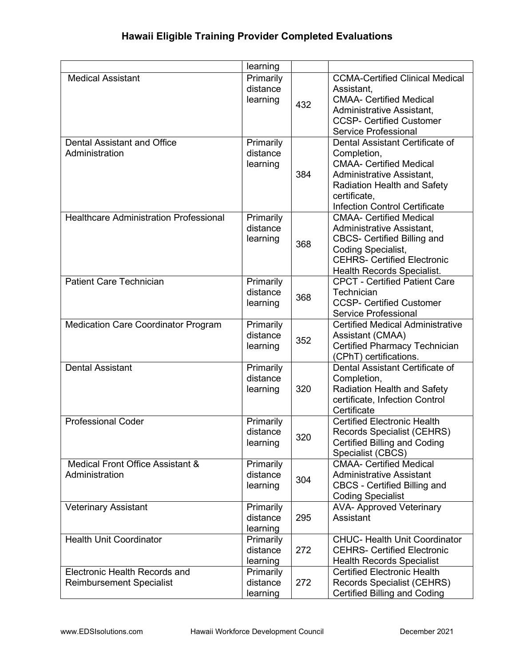|                                                                  | learning                          |     |                                                                                                                                                                                                             |
|------------------------------------------------------------------|-----------------------------------|-----|-------------------------------------------------------------------------------------------------------------------------------------------------------------------------------------------------------------|
| <b>Medical Assistant</b>                                         | Primarily<br>distance<br>learning | 432 | <b>CCMA-Certified Clinical Medical</b><br>Assistant,<br><b>CMAA- Certified Medical</b><br>Administrative Assistant,<br><b>CCSP- Certified Customer</b><br>Service Professional                              |
| <b>Dental Assistant and Office</b><br>Administration             | Primarily<br>distance<br>learning | 384 | Dental Assistant Certificate of<br>Completion,<br><b>CMAA- Certified Medical</b><br>Administrative Assistant,<br><b>Radiation Health and Safety</b><br>certificate,<br><b>Infection Control Certificate</b> |
| <b>Healthcare Administration Professional</b>                    | Primarily<br>distance<br>learning | 368 | <b>CMAA- Certified Medical</b><br>Administrative Assistant,<br><b>CBCS- Certified Billing and</b><br><b>Coding Specialist,</b><br><b>CEHRS- Certified Electronic</b><br>Health Records Specialist.          |
| <b>Patient Care Technician</b>                                   | Primarily<br>distance<br>learning | 368 | <b>CPCT - Certified Patient Care</b><br>Technician<br><b>CCSP- Certified Customer</b><br><b>Service Professional</b>                                                                                        |
| <b>Medication Care Coordinator Program</b>                       | Primarily<br>distance<br>learning | 352 | <b>Certified Medical Administrative</b><br>Assistant (CMAA)<br><b>Certified Pharmacy Technician</b><br>(CPhT) certifications.                                                                               |
| <b>Dental Assistant</b>                                          | Primarily<br>distance<br>learning | 320 | Dental Assistant Certificate of<br>Completion,<br><b>Radiation Health and Safety</b><br>certificate, Infection Control<br>Certificate                                                                       |
| <b>Professional Coder</b>                                        | Primarily<br>distance<br>learning | 320 | <b>Certified Electronic Health</b><br>Records Specialist (CEHRS)<br><b>Certified Billing and Coding</b><br>Specialist (CBCS)                                                                                |
| Medical Front Office Assistant &<br>Administration               | Primarily<br>distance<br>learning | 304 | <b>CMAA- Certified Medical</b><br><b>Administrative Assistant</b><br><b>CBCS - Certified Billing and</b><br><b>Coding Specialist</b>                                                                        |
| <b>Veterinary Assistant</b>                                      | Primarily<br>distance<br>learning | 295 | <b>AVA- Approved Veterinary</b><br>Assistant                                                                                                                                                                |
| <b>Health Unit Coordinator</b>                                   | Primarily<br>distance<br>learning | 272 | <b>CHUC- Health Unit Coordinator</b><br><b>CEHRS- Certified Electronic</b><br><b>Health Records Specialist</b>                                                                                              |
| Electronic Health Records and<br><b>Reimbursement Specialist</b> | Primarily<br>distance<br>learning | 272 | <b>Certified Electronic Health</b><br>Records Specialist (CEHRS)<br><b>Certified Billing and Coding</b>                                                                                                     |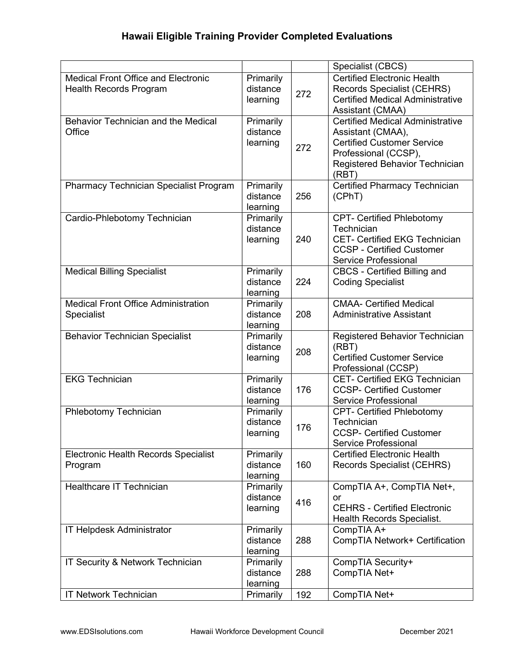|                                                        |                       |     | Specialist (CBCS)                                              |
|--------------------------------------------------------|-----------------------|-----|----------------------------------------------------------------|
| <b>Medical Front Office and Electronic</b>             | Primarily             |     | <b>Certified Electronic Health</b>                             |
| <b>Health Records Program</b>                          | distance              |     | <b>Records Specialist (CEHRS)</b>                              |
|                                                        | learning              | 272 | <b>Certified Medical Administrative</b>                        |
|                                                        |                       |     | Assistant (CMAA)                                               |
| Behavior Technician and the Medical                    | Primarily             |     | <b>Certified Medical Administrative</b>                        |
| Office                                                 | distance              |     | Assistant (CMAA),                                              |
|                                                        | learning              |     | <b>Certified Customer Service</b>                              |
|                                                        |                       | 272 | Professional (CCSP),                                           |
|                                                        |                       |     | Registered Behavior Technician                                 |
|                                                        |                       |     | (RBT)                                                          |
| <b>Pharmacy Technician Specialist Program</b>          | Primarily             |     | <b>Certified Pharmacy Technician</b>                           |
|                                                        | distance              | 256 | (CPhT)                                                         |
|                                                        | learning              |     |                                                                |
| Cardio-Phlebotomy Technician                           | Primarily             |     | <b>CPT- Certified Phlebotomy</b>                               |
|                                                        | distance              |     | Technician                                                     |
|                                                        | learning              | 240 | <b>CET- Certified EKG Technician</b>                           |
|                                                        |                       |     | <b>CCSP - Certified Customer</b>                               |
|                                                        |                       |     | <b>Service Professional</b>                                    |
| <b>Medical Billing Specialist</b>                      | Primarily             |     | <b>CBCS - Certified Billing and</b>                            |
|                                                        | distance              | 224 | <b>Coding Specialist</b>                                       |
|                                                        | learning              |     |                                                                |
| <b>Medical Front Office Administration</b>             | Primarily             |     | <b>CMAA- Certified Medical</b>                                 |
| Specialist                                             | distance              | 208 | <b>Administrative Assistant</b>                                |
|                                                        | learning              |     |                                                                |
| <b>Behavior Technician Specialist</b>                  | Primarily             |     | Registered Behavior Technician                                 |
|                                                        | distance              | 208 | (RBT)                                                          |
|                                                        | learning              |     | <b>Certified Customer Service</b>                              |
|                                                        |                       |     | Professional (CCSP)                                            |
| <b>EKG Technician</b>                                  | Primarily             |     | <b>CET- Certified EKG Technician</b>                           |
|                                                        | distance              | 176 | <b>CCSP- Certified Customer</b>                                |
|                                                        | learning              |     | Service Professional                                           |
| Phlebotomy Technician                                  | Primarily<br>distance |     | <b>CPT- Certified Phlebotomy</b>                               |
|                                                        |                       | 176 | Technician                                                     |
|                                                        | learning              |     | <b>CCSP- Certified Customer</b><br><b>Service Professional</b> |
|                                                        |                       |     | <b>Certified Electronic Health</b>                             |
| <b>Electronic Health Records Specialist</b><br>Program | Primarily<br>distance | 160 | Records Specialist (CEHRS)                                     |
|                                                        | learning              |     |                                                                |
| <b>Healthcare IT Technician</b>                        | Primarily             |     | CompTIA A+, CompTIA Net+,                                      |
|                                                        | distance              |     | or                                                             |
|                                                        | learning              | 416 | <b>CEHRS - Certified Electronic</b>                            |
|                                                        |                       |     | <b>Health Records Specialist.</b>                              |
| <b>IT Helpdesk Administrator</b>                       | Primarily             |     | CompTIA A+                                                     |
|                                                        | distance              | 288 | CompTIA Network+ Certification                                 |
|                                                        | learning              |     |                                                                |
| IT Security & Network Technician                       | Primarily             |     | CompTIA Security+                                              |
|                                                        | distance              | 288 | CompTIA Net+                                                   |
|                                                        | learning              |     |                                                                |
| <b>IT Network Technician</b>                           | Primarily             | 192 | CompTIA Net+                                                   |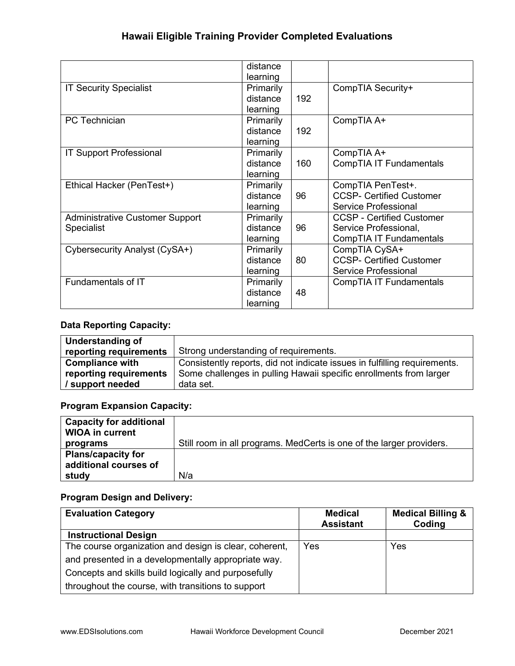| distance  |     |                                  |
|-----------|-----|----------------------------------|
| learning  |     |                                  |
| Primarily |     | CompTIA Security+                |
| distance  | 192 |                                  |
| learning  |     |                                  |
| Primarily |     | CompTIA A+                       |
| distance  | 192 |                                  |
| learning  |     |                                  |
| Primarily |     | CompTIA A+                       |
| distance  | 160 | CompTIA IT Fundamentals          |
| learning  |     |                                  |
| Primarily |     | CompTIA PenTest+.                |
| distance  | 96  | <b>CCSP- Certified Customer</b>  |
| learning  |     | Service Professional             |
| Primarily |     | <b>CCSP - Certified Customer</b> |
| distance  | 96  | Service Professional,            |
| learning  |     | CompTIA IT Fundamentals          |
| Primarily |     | CompTIA CySA+                    |
| distance  | 80  | <b>CCSP- Certified Customer</b>  |
| learning  |     | Service Professional             |
| Primarily |     | CompTIA IT Fundamentals          |
| distance  | 48  |                                  |
| learning  |     |                                  |
|           |     |                                  |

#### Data Reporting Capacity:

| Understanding of       |                                                                           |
|------------------------|---------------------------------------------------------------------------|
| reporting requirements | Strong understanding of requirements.                                     |
| <b>Compliance with</b> | Consistently reports, did not indicate issues in fulfilling requirements. |
| reporting requirements | Some challenges in pulling Hawaii specific enrollments from larger        |
| support needed         | data set.                                                                 |

### Program Expansion Capacity:

| <b>Capacity for additional</b> |                                                                      |
|--------------------------------|----------------------------------------------------------------------|
| <b>WIOA in current</b>         |                                                                      |
| programs                       | Still room in all programs. MedCerts is one of the larger providers. |
| <b>Plans/capacity for</b>      |                                                                      |
| additional courses of          |                                                                      |
| study                          | N/a                                                                  |

| <b>Evaluation Category</b>                             | <b>Medical</b><br><b>Assistant</b> | <b>Medical Billing &amp;</b><br>Coding |
|--------------------------------------------------------|------------------------------------|----------------------------------------|
| <b>Instructional Design</b>                            |                                    |                                        |
| The course organization and design is clear, coherent, | Yes                                | Yes                                    |
| and presented in a developmentally appropriate way.    |                                    |                                        |
| Concepts and skills build logically and purposefully   |                                    |                                        |
| throughout the course, with transitions to support     |                                    |                                        |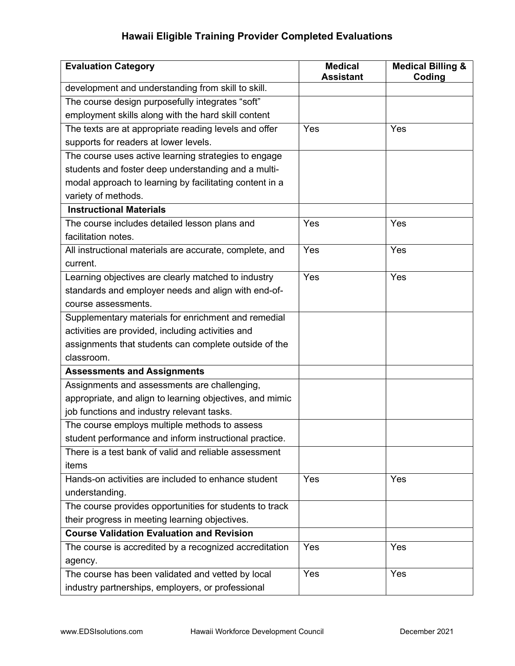| <b>Evaluation Category</b>                               | <b>Medical</b><br><b>Assistant</b> | <b>Medical Billing &amp;</b><br>Coding |
|----------------------------------------------------------|------------------------------------|----------------------------------------|
| development and understanding from skill to skill.       |                                    |                                        |
| The course design purposefully integrates "soft"         |                                    |                                        |
| employment skills along with the hard skill content      |                                    |                                        |
| The texts are at appropriate reading levels and offer    | Yes                                | Yes                                    |
| supports for readers at lower levels.                    |                                    |                                        |
| The course uses active learning strategies to engage     |                                    |                                        |
| students and foster deep understanding and a multi-      |                                    |                                        |
| modal approach to learning by facilitating content in a  |                                    |                                        |
| variety of methods.                                      |                                    |                                        |
| <b>Instructional Materials</b>                           |                                    |                                        |
| The course includes detailed lesson plans and            | Yes                                | Yes                                    |
| facilitation notes.                                      |                                    |                                        |
| All instructional materials are accurate, complete, and  | Yes                                | Yes                                    |
| current.                                                 |                                    |                                        |
| Learning objectives are clearly matched to industry      | Yes                                | Yes                                    |
| standards and employer needs and align with end-of-      |                                    |                                        |
| course assessments.                                      |                                    |                                        |
| Supplementary materials for enrichment and remedial      |                                    |                                        |
| activities are provided, including activities and        |                                    |                                        |
| assignments that students can complete outside of the    |                                    |                                        |
| classroom.                                               |                                    |                                        |
| <b>Assessments and Assignments</b>                       |                                    |                                        |
| Assignments and assessments are challenging,             |                                    |                                        |
| appropriate, and align to learning objectives, and mimic |                                    |                                        |
| job functions and industry relevant tasks.               |                                    |                                        |
| The course employs multiple methods to assess            |                                    |                                        |
| student performance and inform instructional practice.   |                                    |                                        |
| There is a test bank of valid and reliable assessment    |                                    |                                        |
| items                                                    |                                    |                                        |
| Hands-on activities are included to enhance student      | Yes                                | Yes                                    |
| understanding.                                           |                                    |                                        |
| The course provides opportunities for students to track  |                                    |                                        |
| their progress in meeting learning objectives.           |                                    |                                        |
| <b>Course Validation Evaluation and Revision</b>         |                                    |                                        |
| The course is accredited by a recognized accreditation   | Yes                                | Yes                                    |
| agency.                                                  |                                    |                                        |
| The course has been validated and vetted by local        | Yes                                | Yes                                    |
| industry partnerships, employers, or professional        |                                    |                                        |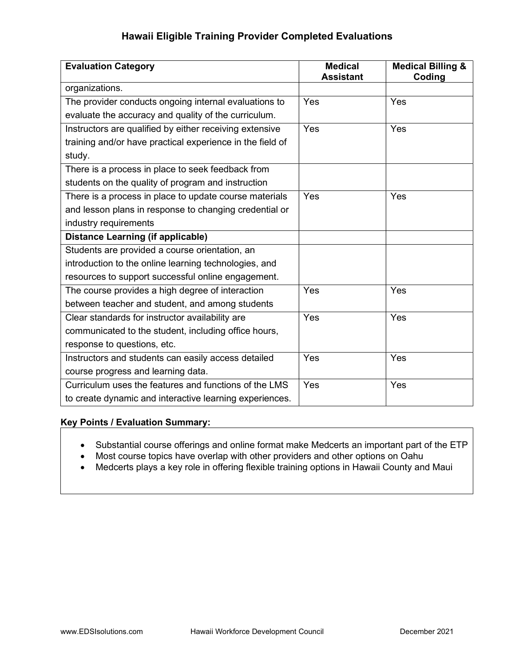| <b>Evaluation Category</b>                                | <b>Medical</b><br><b>Assistant</b> | <b>Medical Billing &amp;</b><br>Coding |
|-----------------------------------------------------------|------------------------------------|----------------------------------------|
| organizations.                                            |                                    |                                        |
| The provider conducts ongoing internal evaluations to     | Yes                                | Yes                                    |
| evaluate the accuracy and quality of the curriculum.      |                                    |                                        |
| Instructors are qualified by either receiving extensive   | Yes                                | Yes                                    |
| training and/or have practical experience in the field of |                                    |                                        |
| study.                                                    |                                    |                                        |
| There is a process in place to seek feedback from         |                                    |                                        |
| students on the quality of program and instruction        |                                    |                                        |
| There is a process in place to update course materials    | Yes                                | Yes                                    |
| and lesson plans in response to changing credential or    |                                    |                                        |
| industry requirements                                     |                                    |                                        |
| <b>Distance Learning (if applicable)</b>                  |                                    |                                        |
| Students are provided a course orientation, an            |                                    |                                        |
| introduction to the online learning technologies, and     |                                    |                                        |
| resources to support successful online engagement.        |                                    |                                        |
| The course provides a high degree of interaction          | Yes                                | Yes                                    |
| between teacher and student, and among students           |                                    |                                        |
| Clear standards for instructor availability are           | Yes                                | Yes                                    |
| communicated to the student, including office hours,      |                                    |                                        |
| response to questions, etc.                               |                                    |                                        |
| Instructors and students can easily access detailed       | Yes                                | Yes                                    |
| course progress and learning data.                        |                                    |                                        |
| Curriculum uses the features and functions of the LMS     | Yes                                | Yes                                    |
| to create dynamic and interactive learning experiences.   |                                    |                                        |

#### Key Points / Evaluation Summary:

- Substantial course offerings and online format make Medcerts an important part of the ETP
- Most course topics have overlap with other providers and other options on Oahu
- Medcerts plays a key role in offering flexible training options in Hawaii County and Maui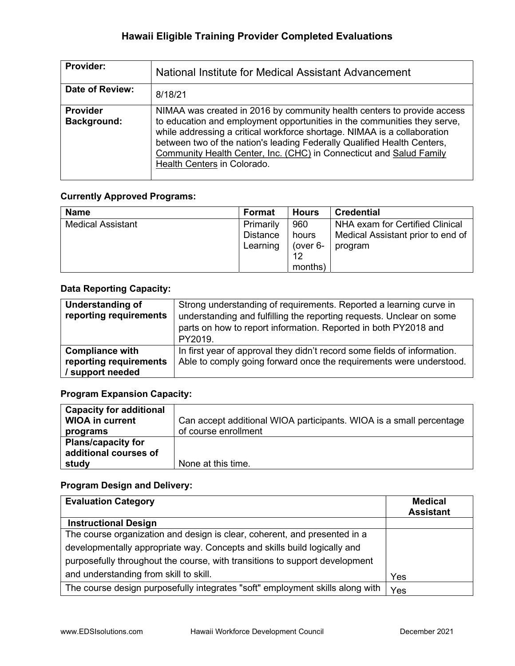| <b>Provider:</b>                      | National Institute for Medical Assistant Advancement                                                                                                                                                                                                                                                                                                                                                             |
|---------------------------------------|------------------------------------------------------------------------------------------------------------------------------------------------------------------------------------------------------------------------------------------------------------------------------------------------------------------------------------------------------------------------------------------------------------------|
| <b>Date of Review:</b>                | 8/18/21                                                                                                                                                                                                                                                                                                                                                                                                          |
| <b>Provider</b><br><b>Background:</b> | NIMAA was created in 2016 by community health centers to provide access<br>to education and employment opportunities in the communities they serve,<br>while addressing a critical workforce shortage. NIMAA is a collaboration<br>between two of the nation's leading Federally Qualified Health Centers,<br>Community Health Center, Inc. (CHC) in Connecticut and Salud Family<br>Health Centers in Colorado. |

#### Currently Approved Programs:

| <b>Name</b>              | Format                            | <b>Hours</b>                              | <b>Credential</b>                                                               |
|--------------------------|-----------------------------------|-------------------------------------------|---------------------------------------------------------------------------------|
| <b>Medical Assistant</b> | Primarily<br>Distance<br>Learning | 960<br>hours<br>(over 6-<br>12<br>months) | NHA exam for Certified Clinical<br>Medical Assistant prior to end of<br>program |

### Data Reporting Capacity:

| Understanding of<br>reporting requirements                           | Strong understanding of requirements. Reported a learning curve in<br>understanding and fulfilling the reporting requests. Unclear on some<br>parts on how to report information. Reported in both PY2018 and<br>PY2019. |
|----------------------------------------------------------------------|--------------------------------------------------------------------------------------------------------------------------------------------------------------------------------------------------------------------------|
| <b>Compliance with</b><br>reporting requirements<br>/ support needed | In first year of approval they didn't record some fields of information.<br>Able to comply going forward once the requirements were understood.                                                                          |

### Program Expansion Capacity:

| <b>Capacity for additional</b> |                                                                     |
|--------------------------------|---------------------------------------------------------------------|
| <b>WIOA in current</b>         | Can accept additional WIOA participants. WIOA is a small percentage |
| programs                       | of course enrollment                                                |
| <b>Plans/capacity for</b>      |                                                                     |
| additional courses of          |                                                                     |
| study                          | None at this time.                                                  |

| <b>Evaluation Category</b>                                                    | <b>Medical</b><br><b>Assistant</b> |
|-------------------------------------------------------------------------------|------------------------------------|
| <b>Instructional Design</b>                                                   |                                    |
| The course organization and design is clear, coherent, and presented in a     |                                    |
| developmentally appropriate way. Concepts and skills build logically and      |                                    |
| purposefully throughout the course, with transitions to support development   |                                    |
| and understanding from skill to skill.                                        | Yes                                |
| The course design purposefully integrates "soft" employment skills along with | Yes                                |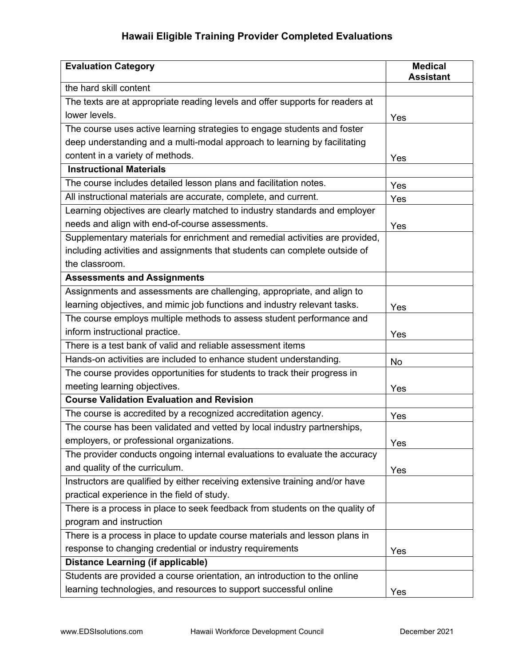| <b>Evaluation Category</b>                                                    | <b>Medical</b><br><b>Assistant</b> |
|-------------------------------------------------------------------------------|------------------------------------|
| the hard skill content                                                        |                                    |
| The texts are at appropriate reading levels and offer supports for readers at |                                    |
| lower levels.                                                                 | Yes                                |
| The course uses active learning strategies to engage students and foster      |                                    |
| deep understanding and a multi-modal approach to learning by facilitating     |                                    |
| content in a variety of methods.                                              | Yes                                |
| <b>Instructional Materials</b>                                                |                                    |
| The course includes detailed lesson plans and facilitation notes.             | Yes                                |
| All instructional materials are accurate, complete, and current.              | Yes                                |
| Learning objectives are clearly matched to industry standards and employer    |                                    |
| needs and align with end-of-course assessments.                               | Yes                                |
| Supplementary materials for enrichment and remedial activities are provided,  |                                    |
| including activities and assignments that students can complete outside of    |                                    |
| the classroom.                                                                |                                    |
| <b>Assessments and Assignments</b>                                            |                                    |
| Assignments and assessments are challenging, appropriate, and align to        |                                    |
| learning objectives, and mimic job functions and industry relevant tasks.     | Yes                                |
| The course employs multiple methods to assess student performance and         |                                    |
| inform instructional practice.                                                | Yes                                |
| There is a test bank of valid and reliable assessment items                   |                                    |
| Hands-on activities are included to enhance student understanding.            | No                                 |
| The course provides opportunities for students to track their progress in     |                                    |
| meeting learning objectives.                                                  | Yes                                |
| <b>Course Validation Evaluation and Revision</b>                              |                                    |
| The course is accredited by a recognized accreditation agency.                | Yes                                |
| The course has been validated and vetted by local industry partnerships,      |                                    |
| employers, or professional organizations.                                     | Yes                                |
| The provider conducts ongoing internal evaluations to evaluate the accuracy   |                                    |
| and quality of the curriculum.                                                | Yes                                |
| Instructors are qualified by either receiving extensive training and/or have  |                                    |
| practical experience in the field of study.                                   |                                    |
| There is a process in place to seek feedback from students on the quality of  |                                    |
| program and instruction                                                       |                                    |
| There is a process in place to update course materials and lesson plans in    |                                    |
| response to changing credential or industry requirements                      | Yes                                |
| <b>Distance Learning (if applicable)</b>                                      |                                    |
| Students are provided a course orientation, an introduction to the online     |                                    |
| learning technologies, and resources to support successful online             | Yes                                |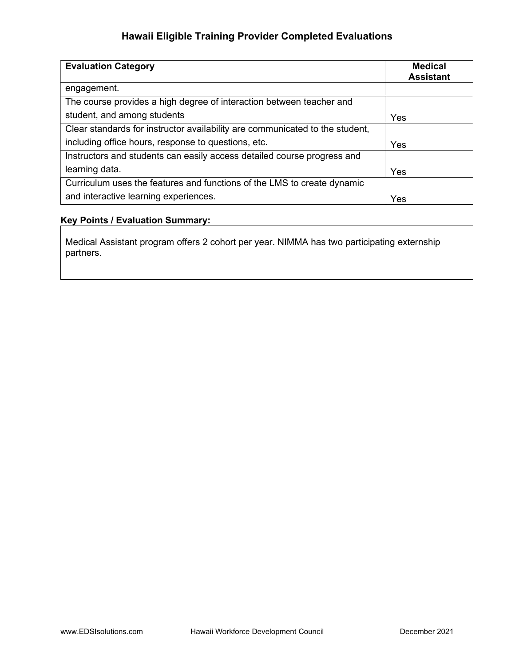| <b>Evaluation Category</b>                                                   | <b>Medical</b><br><b>Assistant</b> |
|------------------------------------------------------------------------------|------------------------------------|
| engagement.                                                                  |                                    |
| The course provides a high degree of interaction between teacher and         |                                    |
| student, and among students                                                  | Yes                                |
| Clear standards for instructor availability are communicated to the student, |                                    |
| including office hours, response to questions, etc.                          | Yes                                |
| Instructors and students can easily access detailed course progress and      |                                    |
| learning data.                                                               | Yes                                |
| Curriculum uses the features and functions of the LMS to create dynamic      |                                    |
| and interactive learning experiences.                                        | Yes                                |

#### Key Points / Evaluation Summary:

Medical Assistant program offers 2 cohort per year. NIMMA has two participating externship partners.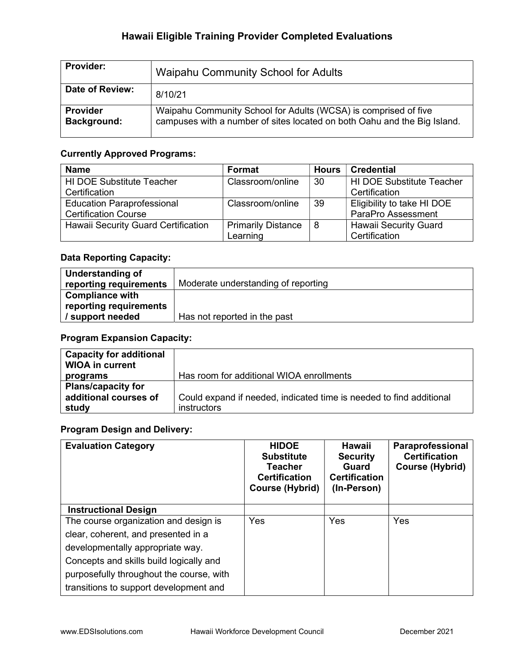| <b>Provider:</b>               | Waipahu Community School for Adults                                                                                                         |
|--------------------------------|---------------------------------------------------------------------------------------------------------------------------------------------|
| Date of Review:                | 8/10/21                                                                                                                                     |
| Provider<br><b>Background:</b> | Waipahu Community School for Adults (WCSA) is comprised of five<br>campuses with a number of sites located on both Oahu and the Big Island. |

### Currently Approved Programs:

| <b>Name</b>                                | <b>Format</b>             | Hours | <b>Credential</b>                |
|--------------------------------------------|---------------------------|-------|----------------------------------|
| <b>HI DOE Substitute Teacher</b>           | Classroom/online          | -30   | <b>HI DOE Substitute Teacher</b> |
| Certification                              |                           |       | Certification                    |
| <b>Education Paraprofessional</b>          | Classroom/online          | -39   | Eligibility to take HI DOE       |
| <b>Certification Course</b>                |                           |       | ParaPro Assessment               |
| <b>Hawaii Security Guard Certification</b> | <b>Primarily Distance</b> | -8    | <b>Hawaii Security Guard</b>     |
|                                            | Learning                  |       | Certification                    |

### Data Reporting Capacity:

| Understanding of       |                                     |
|------------------------|-------------------------------------|
| reporting requirements | Moderate understanding of reporting |
| <b>Compliance with</b> |                                     |
| reporting requirements |                                     |
| / support needed       | Has not reported in the past        |

#### Program Expansion Capacity:

| <b>Capacity for additional</b><br><b>WIOA in current</b> |                                                                     |
|----------------------------------------------------------|---------------------------------------------------------------------|
| programs                                                 | Has room for additional WIOA enrollments                            |
| <b>Plans/capacity for</b>                                |                                                                     |
| additional courses of                                    | Could expand if needed, indicated time is needed to find additional |
| study                                                    | instructors                                                         |

| <b>Evaluation Category</b>               | <b>HIDOE</b><br><b>Substitute</b><br>Teacher<br><b>Certification</b><br><b>Course (Hybrid)</b> | Hawaii<br><b>Security</b><br>Guard<br><b>Certification</b><br>(In-Person) | Paraprofessional<br><b>Certification</b><br>Course (Hybrid) |
|------------------------------------------|------------------------------------------------------------------------------------------------|---------------------------------------------------------------------------|-------------------------------------------------------------|
| <b>Instructional Design</b>              |                                                                                                |                                                                           |                                                             |
| The course organization and design is    | Yes                                                                                            | Yes                                                                       | Yes                                                         |
| clear, coherent, and presented in a      |                                                                                                |                                                                           |                                                             |
| developmentally appropriate way.         |                                                                                                |                                                                           |                                                             |
| Concepts and skills build logically and  |                                                                                                |                                                                           |                                                             |
| purposefully throughout the course, with |                                                                                                |                                                                           |                                                             |
| transitions to support development and   |                                                                                                |                                                                           |                                                             |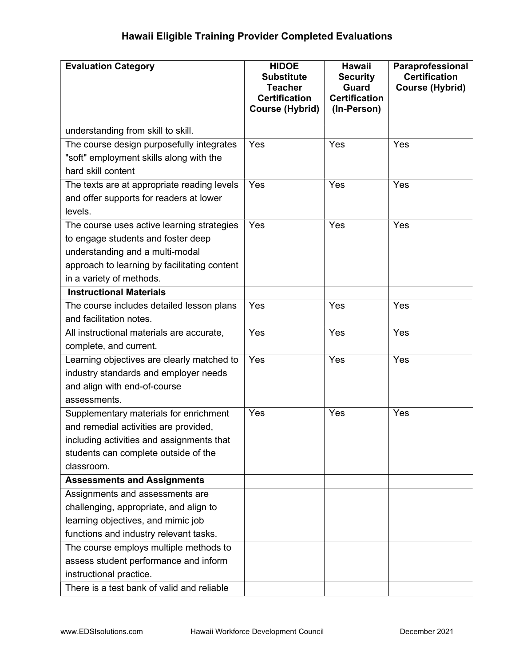| <b>Evaluation Category</b>                                                                                                                                                                                                                   | <b>HIDOE</b><br><b>Substitute</b><br><b>Teacher</b><br><b>Certification</b><br><b>Course (Hybrid)</b> | <b>Hawaii</b><br><b>Security</b><br><b>Guard</b><br><b>Certification</b><br>(In-Person) | Paraprofessional<br><b>Certification</b><br><b>Course (Hybrid)</b> |
|----------------------------------------------------------------------------------------------------------------------------------------------------------------------------------------------------------------------------------------------|-------------------------------------------------------------------------------------------------------|-----------------------------------------------------------------------------------------|--------------------------------------------------------------------|
| understanding from skill to skill.                                                                                                                                                                                                           |                                                                                                       |                                                                                         |                                                                    |
| The course design purposefully integrates<br>"soft" employment skills along with the<br>hard skill content                                                                                                                                   | Yes                                                                                                   | Yes                                                                                     | Yes                                                                |
| The texts are at appropriate reading levels<br>and offer supports for readers at lower<br>levels.                                                                                                                                            | Yes                                                                                                   | Yes                                                                                     | Yes                                                                |
| The course uses active learning strategies<br>to engage students and foster deep<br>understanding and a multi-modal<br>approach to learning by facilitating content<br>in a variety of methods.                                              | Yes                                                                                                   | Yes                                                                                     | Yes                                                                |
| <b>Instructional Materials</b>                                                                                                                                                                                                               |                                                                                                       |                                                                                         |                                                                    |
| The course includes detailed lesson plans<br>and facilitation notes.                                                                                                                                                                         | Yes                                                                                                   | Yes                                                                                     | Yes                                                                |
| All instructional materials are accurate,<br>complete, and current.                                                                                                                                                                          | Yes                                                                                                   | Yes                                                                                     | Yes                                                                |
| Learning objectives are clearly matched to<br>industry standards and employer needs<br>and align with end-of-course<br>assessments.                                                                                                          | Yes                                                                                                   | Yes                                                                                     | Yes                                                                |
| Supplementary materials for enrichment<br>and remedial activities are provided,<br>including activities and assignments that<br>students can complete outside of the<br>classroom.                                                           | Yes                                                                                                   | Yes                                                                                     | Yes                                                                |
| <b>Assessments and Assignments</b>                                                                                                                                                                                                           |                                                                                                       |                                                                                         |                                                                    |
| Assignments and assessments are<br>challenging, appropriate, and align to<br>learning objectives, and mimic job<br>functions and industry relevant tasks.<br>The course employs multiple methods to<br>assess student performance and inform |                                                                                                       |                                                                                         |                                                                    |
| instructional practice.<br>There is a test bank of valid and reliable                                                                                                                                                                        |                                                                                                       |                                                                                         |                                                                    |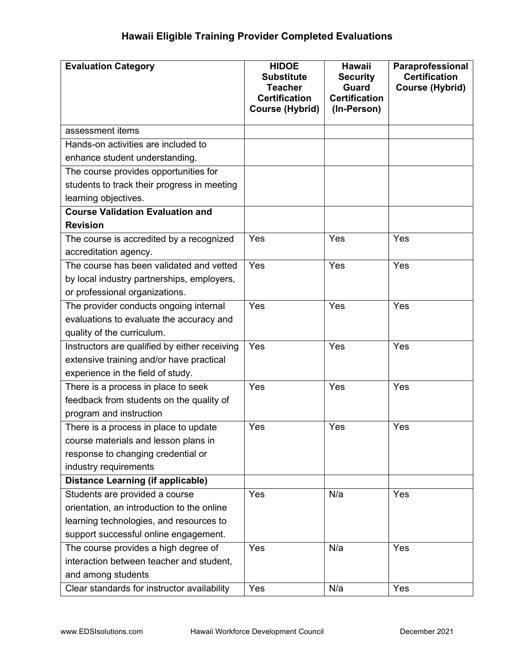| <b>Evaluation Category</b>                    | <b>HIDOE</b><br><b>Substitute</b><br><b>Teacher</b><br><b>Certification</b><br><b>Course (Hybrid)</b> | <b>Hawaii</b><br><b>Security</b><br><b>Guard</b><br><b>Certification</b><br>(In-Person) | Paraprofessional<br><b>Certification</b><br><b>Course (Hybrid)</b> |
|-----------------------------------------------|-------------------------------------------------------------------------------------------------------|-----------------------------------------------------------------------------------------|--------------------------------------------------------------------|
| assessment items                              |                                                                                                       |                                                                                         |                                                                    |
| Hands-on activities are included to           |                                                                                                       |                                                                                         |                                                                    |
| enhance student understanding.                |                                                                                                       |                                                                                         |                                                                    |
| The course provides opportunities for         |                                                                                                       |                                                                                         |                                                                    |
| students to track their progress in meeting   |                                                                                                       |                                                                                         |                                                                    |
| learning objectives.                          |                                                                                                       |                                                                                         |                                                                    |
| <b>Course Validation Evaluation and</b>       |                                                                                                       |                                                                                         |                                                                    |
| <b>Revision</b>                               |                                                                                                       |                                                                                         |                                                                    |
| The course is accredited by a recognized      | Yes                                                                                                   | Yes                                                                                     | Yes                                                                |
| accreditation agency.                         |                                                                                                       |                                                                                         |                                                                    |
| The course has been validated and vetted      | Yes                                                                                                   | Yes                                                                                     | Yes                                                                |
| by local industry partnerships, employers,    |                                                                                                       |                                                                                         |                                                                    |
| or professional organizations.                |                                                                                                       |                                                                                         |                                                                    |
| The provider conducts ongoing internal        | Yes                                                                                                   | Yes                                                                                     | Yes                                                                |
| evaluations to evaluate the accuracy and      |                                                                                                       |                                                                                         |                                                                    |
| quality of the curriculum.                    |                                                                                                       |                                                                                         |                                                                    |
| Instructors are qualified by either receiving | Yes                                                                                                   | Yes                                                                                     | Yes                                                                |
| extensive training and/or have practical      |                                                                                                       |                                                                                         |                                                                    |
| experience in the field of study.             |                                                                                                       |                                                                                         |                                                                    |
| There is a process in place to seek           | Yes                                                                                                   | Yes                                                                                     | Yes                                                                |
| feedback from students on the quality of      |                                                                                                       |                                                                                         |                                                                    |
| program and instruction                       |                                                                                                       |                                                                                         |                                                                    |
| There is a process in place to update         | Yes                                                                                                   | Yes                                                                                     | Yes                                                                |
| course materials and lesson plans in          |                                                                                                       |                                                                                         |                                                                    |
| response to changing credential or            |                                                                                                       |                                                                                         |                                                                    |
| industry requirements                         |                                                                                                       |                                                                                         |                                                                    |
| Distance Learning (if applicable)             |                                                                                                       |                                                                                         |                                                                    |
| Students are provided a course                | Yes                                                                                                   | N/a                                                                                     | Yes                                                                |
| orientation, an introduction to the online    |                                                                                                       |                                                                                         |                                                                    |
| learning technologies, and resources to       |                                                                                                       |                                                                                         |                                                                    |
| support successful online engagement.         |                                                                                                       |                                                                                         |                                                                    |
| The course provides a high degree of          | Yes                                                                                                   | N/a                                                                                     | Yes                                                                |
| interaction between teacher and student,      |                                                                                                       |                                                                                         |                                                                    |
| and among students                            |                                                                                                       |                                                                                         |                                                                    |
| Clear standards for instructor availability   | Yes                                                                                                   | N/a                                                                                     | Yes                                                                |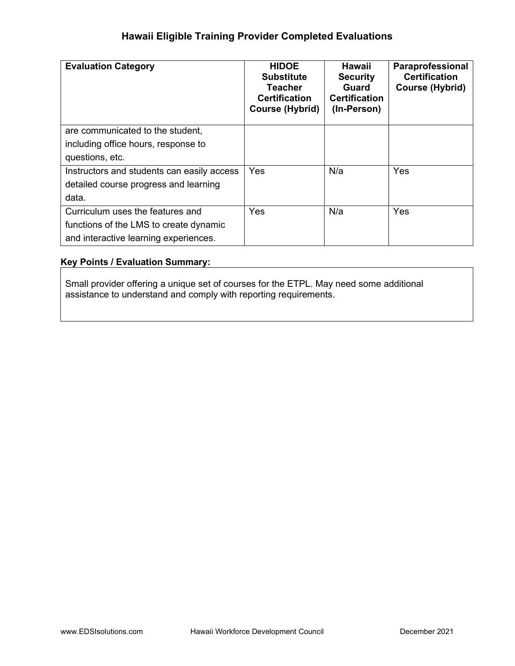| <b>Evaluation Category</b>                 | <b>HIDOE</b><br><b>Substitute</b><br>Teacher<br><b>Certification</b><br><b>Course (Hybrid)</b> | Hawaii<br><b>Security</b><br>Guard<br><b>Certification</b><br>(In-Person) | Paraprofessional<br><b>Certification</b><br>Course (Hybrid) |
|--------------------------------------------|------------------------------------------------------------------------------------------------|---------------------------------------------------------------------------|-------------------------------------------------------------|
| are communicated to the student,           |                                                                                                |                                                                           |                                                             |
| including office hours, response to        |                                                                                                |                                                                           |                                                             |
| questions, etc.                            |                                                                                                |                                                                           |                                                             |
| Instructors and students can easily access | Yes                                                                                            | N/a                                                                       | Yes                                                         |
| detailed course progress and learning      |                                                                                                |                                                                           |                                                             |
| data.                                      |                                                                                                |                                                                           |                                                             |
| Curriculum uses the features and           | Yes                                                                                            | N/a                                                                       | Yes                                                         |
| functions of the LMS to create dynamic     |                                                                                                |                                                                           |                                                             |
| and interactive learning experiences.      |                                                                                                |                                                                           |                                                             |

#### Key Points / Evaluation Summary:

Small provider offering a unique set of courses for the ETPL. May need some additional assistance to understand and comply with reporting requirements.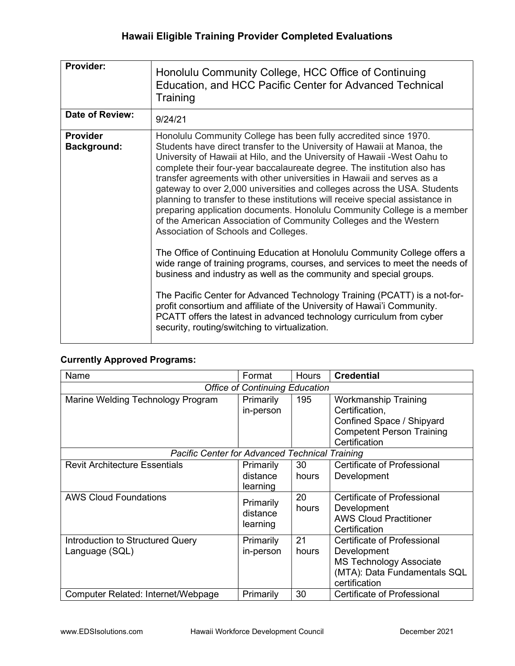| Provider:                             | Honolulu Community College, HCC Office of Continuing<br>Education, and HCC Pacific Center for Advanced Technical<br>Training                                                                                                                                                                                                                                                                                                                                                                                                                                                                                                                                                                                                                                                                                                                                                                                                                                                                                                                                                                                                                                                                                                                          |
|---------------------------------------|-------------------------------------------------------------------------------------------------------------------------------------------------------------------------------------------------------------------------------------------------------------------------------------------------------------------------------------------------------------------------------------------------------------------------------------------------------------------------------------------------------------------------------------------------------------------------------------------------------------------------------------------------------------------------------------------------------------------------------------------------------------------------------------------------------------------------------------------------------------------------------------------------------------------------------------------------------------------------------------------------------------------------------------------------------------------------------------------------------------------------------------------------------------------------------------------------------------------------------------------------------|
| <b>Date of Review:</b>                | 9/24/21                                                                                                                                                                                                                                                                                                                                                                                                                                                                                                                                                                                                                                                                                                                                                                                                                                                                                                                                                                                                                                                                                                                                                                                                                                               |
| <b>Provider</b><br><b>Background:</b> | Honolulu Community College has been fully accredited since 1970.<br>Students have direct transfer to the University of Hawaii at Manoa, the<br>University of Hawaii at Hilo, and the University of Hawaii - West Oahu to<br>complete their four-year baccalaureate degree. The institution also has<br>transfer agreements with other universities in Hawaii and serves as a<br>gateway to over 2,000 universities and colleges across the USA. Students<br>planning to transfer to these institutions will receive special assistance in<br>preparing application documents. Honolulu Community College is a member<br>of the American Association of Community Colleges and the Western<br>Association of Schools and Colleges.<br>The Office of Continuing Education at Honolulu Community College offers a<br>wide range of training programs, courses, and services to meet the needs of<br>business and industry as well as the community and special groups.<br>The Pacific Center for Advanced Technology Training (PCATT) is a not-for-<br>profit consortium and affiliate of the University of Hawai'i Community.<br>PCATT offers the latest in advanced technology curriculum from cyber<br>security, routing/switching to virtualization. |

### Currently Approved Programs:

| Name                                                  | Format                            | <b>Hours</b> | <b>Credential</b>                                                                                                             |  |  |
|-------------------------------------------------------|-----------------------------------|--------------|-------------------------------------------------------------------------------------------------------------------------------|--|--|
| <b>Office of Continuing Education</b>                 |                                   |              |                                                                                                                               |  |  |
| Marine Welding Technology Program                     | Primarily<br>in-person            | 195          | <b>Workmanship Training</b><br>Certification,                                                                                 |  |  |
|                                                       |                                   |              | Confined Space / Shipyard<br><b>Competent Person Training</b><br>Certification                                                |  |  |
| <b>Pacific Center for Advanced Technical Training</b> |                                   |              |                                                                                                                               |  |  |
| <b>Revit Architecture Essentials</b>                  | Primarily<br>distance<br>learning | 30<br>hours  | Certificate of Professional<br>Development                                                                                    |  |  |
| <b>AWS Cloud Foundations</b>                          | Primarily<br>distance<br>learning | 20<br>hours  | Certificate of Professional<br>Development<br><b>AWS Cloud Practitioner</b><br>Certification                                  |  |  |
| Introduction to Structured Query<br>Language (SQL)    | Primarily<br>in-person            | 21<br>hours  | Certificate of Professional<br>Development<br><b>MS Technology Associate</b><br>(MTA): Data Fundamentals SQL<br>certification |  |  |
| Computer Related: Internet/Webpage                    | Primarily                         | 30           | <b>Certificate of Professional</b>                                                                                            |  |  |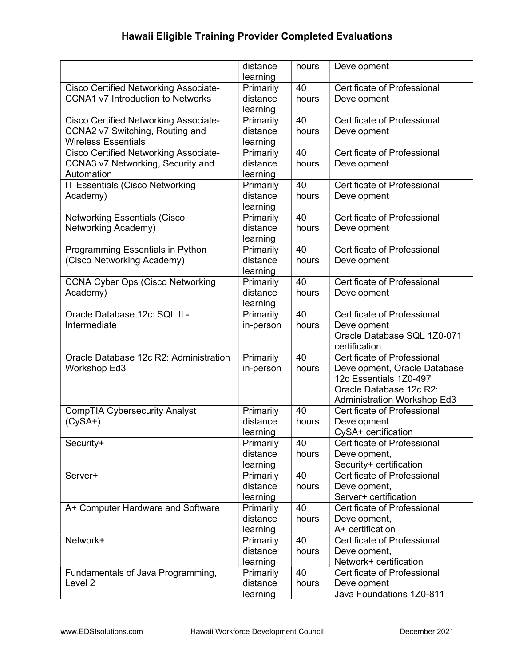|                                              | distance  | hours | Development                        |
|----------------------------------------------|-----------|-------|------------------------------------|
|                                              | learning  |       | Certificate of Professional        |
| <b>Cisco Certified Networking Associate-</b> | Primarily | 40    |                                    |
| <b>CCNA1 v7 Introduction to Networks</b>     | distance  | hours | Development                        |
|                                              | learning  |       |                                    |
| <b>Cisco Certified Networking Associate-</b> | Primarily | 40    | <b>Certificate of Professional</b> |
| CCNA2 v7 Switching, Routing and              | distance  | hours | Development                        |
| <b>Wireless Essentials</b>                   | learning  |       |                                    |
| <b>Cisco Certified Networking Associate-</b> | Primarily | 40    | <b>Certificate of Professional</b> |
| CCNA3 v7 Networking, Security and            | distance  | hours | Development                        |
| Automation                                   | learning  |       |                                    |
| IT Essentials (Cisco Networking              | Primarily | 40    | <b>Certificate of Professional</b> |
| Academy)                                     | distance  | hours | Development                        |
|                                              | learning  |       |                                    |
| <b>Networking Essentials (Cisco</b>          | Primarily | 40    | <b>Certificate of Professional</b> |
| Networking Academy)                          | distance  | hours | Development                        |
|                                              | learning  |       |                                    |
| Programming Essentials in Python             | Primarily | 40    | <b>Certificate of Professional</b> |
| (Cisco Networking Academy)                   | distance  | hours | Development                        |
|                                              | learning  |       |                                    |
| <b>CCNA Cyber Ops (Cisco Networking</b>      | Primarily | 40    | <b>Certificate of Professional</b> |
| Academy)                                     | distance  | hours | Development                        |
|                                              | learning  |       |                                    |
| Oracle Database 12c: SQL II -                | Primarily | 40    | <b>Certificate of Professional</b> |
| Intermediate                                 | in-person | hours | Development                        |
|                                              |           |       | Oracle Database SQL 1Z0-071        |
|                                              |           |       | certification                      |
| Oracle Database 12c R2: Administration       | Primarily | 40    | <b>Certificate of Professional</b> |
| <b>Workshop Ed3</b>                          | in-person | hours | Development, Oracle Database       |
|                                              |           |       | 12c Essentials 1Z0-497             |
|                                              |           |       | Oracle Database 12c R2:            |
|                                              |           |       | <b>Administration Workshop Ed3</b> |
| <b>CompTIA Cybersecurity Analyst</b>         | Primarily | 40    | Certificate of Professional        |
| $(CySA+)$                                    | distance  | hours | Development                        |
|                                              | learning  |       | CySA+ certification                |
| Security+                                    | Primarily | 40    | <b>Certificate of Professional</b> |
|                                              | distance  | hours | Development,                       |
|                                              | learning  |       | Security+ certification            |
| Server+                                      | Primarily | 40    | <b>Certificate of Professional</b> |
|                                              | distance  | hours | Development,                       |
|                                              | learning  |       | Server+ certification              |
| A+ Computer Hardware and Software            | Primarily | 40    | <b>Certificate of Professional</b> |
|                                              | distance  | hours | Development,                       |
|                                              | learning  |       | A+ certification                   |
| Network+                                     | Primarily | 40    | <b>Certificate of Professional</b> |
|                                              | distance  | hours | Development,                       |
|                                              | learning  |       | Network+ certification             |
| Fundamentals of Java Programming,            | Primarily | 40    | <b>Certificate of Professional</b> |
| Level 2                                      | distance  | hours | Development                        |
|                                              | learning  |       | Java Foundations 1Z0-811           |
|                                              |           |       |                                    |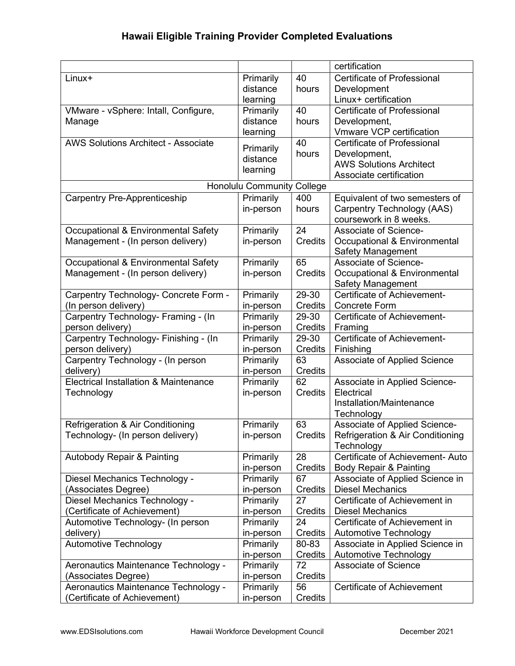|                                                  |                           |                | certification                               |
|--------------------------------------------------|---------------------------|----------------|---------------------------------------------|
| Linux+                                           | Primarily                 | 40             | <b>Certificate of Professional</b>          |
|                                                  | distance                  | hours          | Development                                 |
|                                                  | learning                  |                | Linux+ certification                        |
| VMware - vSphere: Intall, Configure,             | Primarily                 | 40             | <b>Certificate of Professional</b>          |
| Manage                                           | distance                  | hours          | Development,                                |
|                                                  | learning                  |                | Vmware VCP certification                    |
| <b>AWS Solutions Architect - Associate</b>       | Primarily                 | 40             | <b>Certificate of Professional</b>          |
|                                                  | distance                  | hours          | Development,                                |
|                                                  | learning                  |                | <b>AWS Solutions Architect</b>              |
|                                                  |                           |                | Associate certification                     |
|                                                  | <b>Honolulu Community</b> | College        |                                             |
| <b>Carpentry Pre-Apprenticeship</b>              | Primarily                 | 400            | Equivalent of two semesters of              |
|                                                  | in-person                 | hours          | Carpentry Technology (AAS)                  |
|                                                  |                           |                | coursework in 8 weeks.                      |
| Occupational & Environmental Safety              | Primarily                 | 24             | <b>Associate of Science-</b>                |
| Management - (In person delivery)                | in-person                 | Credits        | Occupational & Environmental                |
|                                                  |                           |                | <b>Safety Management</b>                    |
| Occupational & Environmental Safety              | Primarily                 | 65             | Associate of Science-                       |
| Management - (In person delivery)                | in-person                 | <b>Credits</b> | Occupational & Environmental                |
|                                                  |                           |                | <b>Safety Management</b>                    |
| Carpentry Technology- Concrete Form -            | Primarily                 | 29-30          | Certificate of Achievement-                 |
| (In person delivery)                             | in-person                 | Credits        | <b>Concrete Form</b>                        |
| Carpentry Technology- Framing - (In              | Primarily                 | 29-30          | Certificate of Achievement-                 |
| person delivery)                                 | in-person                 | Credits        | Framing                                     |
| Carpentry Technology- Finishing - (In            | Primarily                 | 29-30          | Certificate of Achievement-                 |
| person delivery)                                 | in-person                 | Credits        | Finishing                                   |
| Carpentry Technology - (In person                | Primarily                 | 63             | Associate of Applied Science                |
| delivery)                                        | in-person                 | Credits        |                                             |
| <b>Electrical Installation &amp; Maintenance</b> | Primarily                 | 62             | Associate in Applied Science-               |
| Technology                                       | in-person                 | Credits        | Electrical                                  |
|                                                  |                           |                | Installation/Maintenance                    |
|                                                  |                           |                | Technology                                  |
| Refrigeration & Air Conditioning                 | Primarily                 | 63             | Associate of Applied Science-               |
| Technology- (In person delivery)                 | in-person                 | Credits        | <b>Refrigeration &amp; Air Conditioning</b> |
|                                                  |                           |                | Technology                                  |
| <b>Autobody Repair &amp; Painting</b>            | Primarily                 | 28             | Certificate of Achievement- Auto            |
|                                                  | in-person                 | Credits        | Body Repair & Painting                      |
| Diesel Mechanics Technology -                    | Primarily                 | 67             | Associate of Applied Science in             |
| (Associates Degree)                              | in-person                 | Credits        | <b>Diesel Mechanics</b>                     |
| Diesel Mechanics Technology -                    | Primarily                 | 27             | Certificate of Achievement in               |
| (Certificate of Achievement)                     | in-person                 | Credits        | <b>Diesel Mechanics</b>                     |
|                                                  | Primarily                 | 24             | Certificate of Achievement in               |
| Automotive Technology- (In person                |                           |                | Automotive Technology                       |
| delivery)                                        | in-person                 | Credits        |                                             |
| <b>Automotive Technology</b>                     | Primarily                 | 80-83          | Associate in Applied Science in             |
|                                                  | in-person                 | Credits        | Automotive Technology                       |
| Aeronautics Maintenance Technology -             | Primarily                 | 72             | <b>Associate of Science</b>                 |
| (Associates Degree)                              | in-person                 | Credits        |                                             |
| Aeronautics Maintenance Technology -             | Primarily                 | 56             | Certificate of Achievement                  |
| (Certificate of Achievement)                     | in-person                 | Credits        |                                             |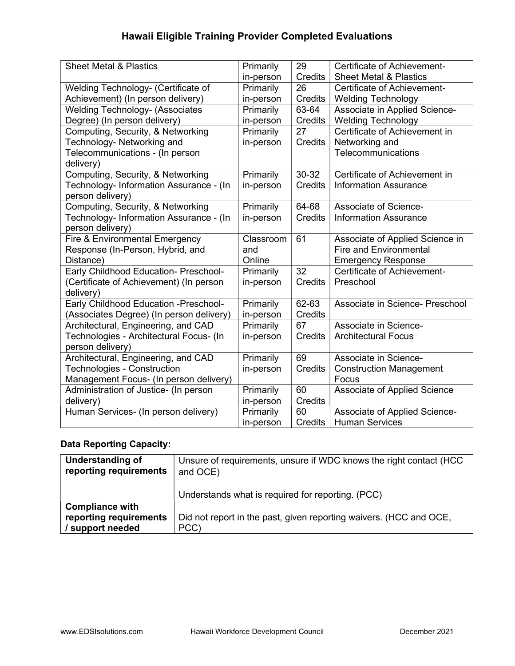| <b>Sheet Metal &amp; Plastics</b>        | Primarily | 29              | Certificate of Achievement-         |
|------------------------------------------|-----------|-----------------|-------------------------------------|
|                                          | in-person | Credits         | <b>Sheet Metal &amp; Plastics</b>   |
| Welding Technology- (Certificate of      | Primarily | 26              | Certificate of Achievement-         |
| Achievement) (In person delivery)        | in-person | Credits         | <b>Welding Technology</b>           |
| <b>Welding Technology- (Associates</b>   | Primarily | 63-64           | Associate in Applied Science-       |
| Degree) (In person delivery)             | in-person | Credits         | <b>Welding Technology</b>           |
| Computing, Security, & Networking        | Primarily | 27              | Certificate of Achievement in       |
| Technology- Networking and               | in-person | <b>Credits</b>  | Networking and                      |
| Telecommunications - (In person          |           |                 | Telecommunications                  |
| delivery)                                |           |                 |                                     |
| Computing, Security, & Networking        | Primarily | 30-32           | Certificate of Achievement in       |
| Technology- Information Assurance - (In  | in-person | <b>Credits</b>  | <b>Information Assurance</b>        |
| person delivery)                         |           |                 |                                     |
| Computing, Security, & Networking        | Primarily | 64-68           | Associate of Science-               |
| Technology- Information Assurance - (In  | in-person | <b>Credits</b>  | <b>Information Assurance</b>        |
| person delivery)                         |           |                 |                                     |
| Fire & Environmental Emergency           | Classroom | 61              | Associate of Applied Science in     |
| Response (In-Person, Hybrid, and         | and       |                 | <b>Fire and Environmental</b>       |
| Distance)                                | Online    |                 | <b>Emergency Response</b>           |
| Early Childhood Education- Preschool-    | Primarily | $\overline{32}$ | Certificate of Achievement-         |
| (Certificate of Achievement) (In person  | in-person | <b>Credits</b>  | Preschool                           |
| delivery)                                |           |                 |                                     |
| Early Childhood Education - Preschool-   | Primarily | 62-63           | Associate in Science- Preschool     |
| (Associates Degree) (In person delivery) | in-person | Credits         |                                     |
| Architectural, Engineering, and CAD      | Primarily | 67              | Associate in Science-               |
| Technologies - Architectural Focus- (In  | in-person | <b>Credits</b>  | <b>Architectural Focus</b>          |
| person delivery)                         |           |                 |                                     |
| Architectural, Engineering, and CAD      | Primarily | 69              | Associate in Science-               |
| <b>Technologies - Construction</b>       | in-person | <b>Credits</b>  | <b>Construction Management</b>      |
| Management Focus- (In person delivery)   |           |                 | Focus                               |
| Administration of Justice- (In person    | Primarily | 60              | <b>Associate of Applied Science</b> |
| delivery)                                | in-person | Credits         |                                     |
| Human Services- (In person delivery)     | Primarily | 60              | Associate of Applied Science-       |
|                                          | in-person | <b>Credits</b>  | <b>Human Services</b>               |

### Data Reporting Capacity:

| Understanding of<br>reporting requirements | Unsure of requirements, unsure if WDC knows the right contact (HCC<br>and OCE) |
|--------------------------------------------|--------------------------------------------------------------------------------|
|                                            | Understands what is required for reporting. (PCC)                              |
| <b>Compliance with</b>                     |                                                                                |
| reporting requirements                     | Did not report in the past, given reporting waivers. (HCC and OCE,             |
| / support needed                           | PCC)                                                                           |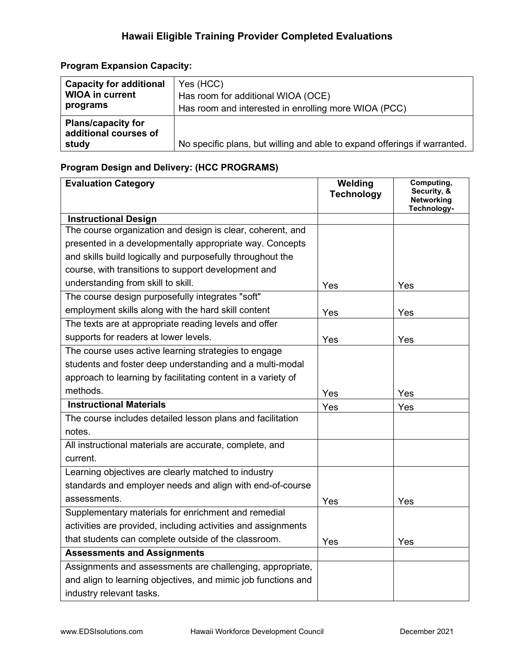### Program Expansion Capacity:

| <b>Capacity for additional</b>                              | Yes (HCC)                                                                 |
|-------------------------------------------------------------|---------------------------------------------------------------------------|
| <b>WIOA in current</b>                                      | Has room for additional WIOA (OCE)                                        |
| programs                                                    | Has room and interested in enrolling more WIOA (PCC)                      |
| <b>Plans/capacity for</b><br>additional courses of<br>study | No specific plans, but willing and able to expand offerings if warranted. |

### Program Design and Delivery: (HCC PROGRAMS)

| <b>Evaluation Category</b>                                    | Welding           | Computing,<br>Security, & |
|---------------------------------------------------------------|-------------------|---------------------------|
|                                                               | <b>Technology</b> | <b>Networking</b>         |
| <b>Instructional Design</b>                                   |                   | Technology-               |
| The course organization and design is clear, coherent, and    |                   |                           |
| presented in a developmentally appropriate way. Concepts      |                   |                           |
| and skills build logically and purposefully throughout the    |                   |                           |
| course, with transitions to support development and           |                   |                           |
| understanding from skill to skill.                            | Yes               | Yes                       |
| The course design purposefully integrates "soft"              |                   |                           |
| employment skills along with the hard skill content           | Yes               | Yes                       |
| The texts are at appropriate reading levels and offer         |                   |                           |
| supports for readers at lower levels.                         | Yes               | Yes                       |
| The course uses active learning strategies to engage          |                   |                           |
| students and foster deep understanding and a multi-modal      |                   |                           |
| approach to learning by facilitating content in a variety of  |                   |                           |
| methods.                                                      | Yes               | Yes                       |
| <b>Instructional Materials</b>                                | Yes               | Yes                       |
| The course includes detailed lesson plans and facilitation    |                   |                           |
| notes.                                                        |                   |                           |
| All instructional materials are accurate, complete, and       |                   |                           |
| current.                                                      |                   |                           |
| Learning objectives are clearly matched to industry           |                   |                           |
| standards and employer needs and align with end-of-course     |                   |                           |
| assessments.                                                  | Yes               | Yes                       |
| Supplementary materials for enrichment and remedial           |                   |                           |
| activities are provided, including activities and assignments |                   |                           |
| that students can complete outside of the classroom.          | Yes               | Yes                       |
| <b>Assessments and Assignments</b>                            |                   |                           |
| Assignments and assessments are challenging, appropriate,     |                   |                           |
| and align to learning objectives, and mimic job functions and |                   |                           |
| industry relevant tasks.                                      |                   |                           |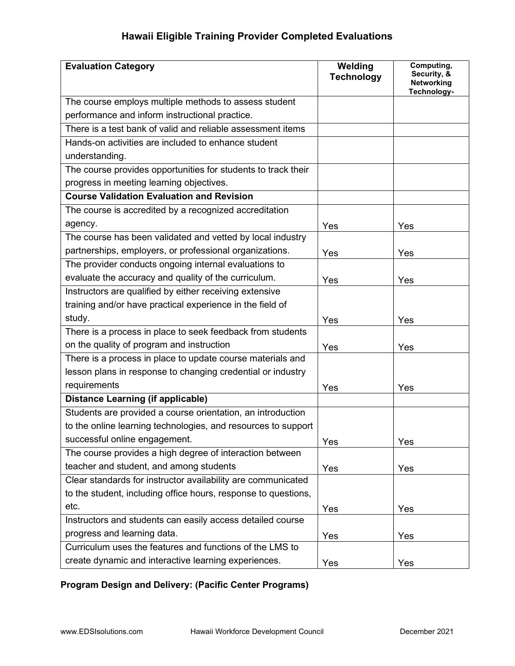| <b>Evaluation Category</b>                                     | Welding<br><b>Technology</b> | Computing,<br>Security, &<br><b>Networking</b><br>Technology- |
|----------------------------------------------------------------|------------------------------|---------------------------------------------------------------|
| The course employs multiple methods to assess student          |                              |                                                               |
| performance and inform instructional practice.                 |                              |                                                               |
| There is a test bank of valid and reliable assessment items    |                              |                                                               |
| Hands-on activities are included to enhance student            |                              |                                                               |
| understanding.                                                 |                              |                                                               |
| The course provides opportunities for students to track their  |                              |                                                               |
| progress in meeting learning objectives.                       |                              |                                                               |
| <b>Course Validation Evaluation and Revision</b>               |                              |                                                               |
| The course is accredited by a recognized accreditation         |                              |                                                               |
| agency.                                                        | Yes                          | Yes                                                           |
| The course has been validated and vetted by local industry     |                              |                                                               |
| partnerships, employers, or professional organizations.        | Yes                          | Yes                                                           |
| The provider conducts ongoing internal evaluations to          |                              |                                                               |
| evaluate the accuracy and quality of the curriculum.           | Yes                          | Yes                                                           |
| Instructors are qualified by either receiving extensive        |                              |                                                               |
| training and/or have practical experience in the field of      |                              |                                                               |
| study.                                                         | Yes                          | Yes                                                           |
| There is a process in place to seek feedback from students     |                              |                                                               |
| on the quality of program and instruction                      | Yes                          | Yes                                                           |
| There is a process in place to update course materials and     |                              |                                                               |
| lesson plans in response to changing credential or industry    |                              |                                                               |
| requirements                                                   | Yes                          | Yes                                                           |
| <b>Distance Learning (if applicable)</b>                       |                              |                                                               |
| Students are provided a course orientation, an introduction    |                              |                                                               |
| to the online learning technologies, and resources to support  |                              |                                                               |
| successful online engagement.                                  | Yes                          | Yes                                                           |
| The course provides a high degree of interaction between       |                              |                                                               |
| teacher and student, and among students                        | Yes                          | Yes                                                           |
| Clear standards for instructor availability are communicated   |                              |                                                               |
| to the student, including office hours, response to questions, |                              |                                                               |
| etc.                                                           | Yes                          | Yes                                                           |
| Instructors and students can easily access detailed course     |                              |                                                               |
| progress and learning data.                                    | Yes                          | Yes                                                           |
| Curriculum uses the features and functions of the LMS to       |                              |                                                               |
| create dynamic and interactive learning experiences.           | Yes                          | Yes                                                           |

# Program Design and Delivery: (Pacific Center Programs)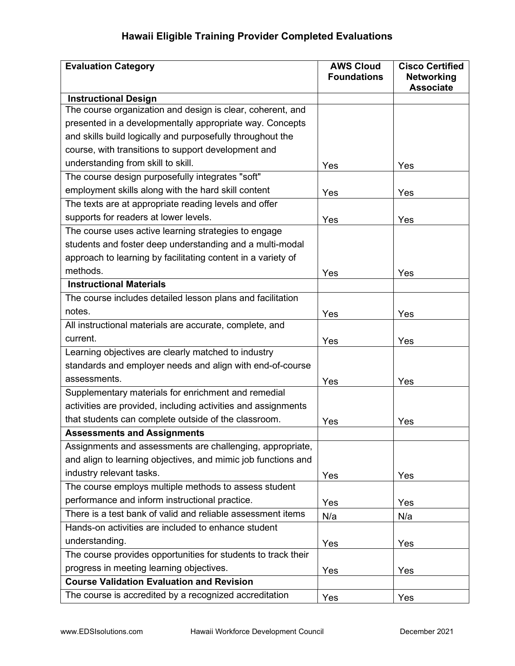| <b>Evaluation Category</b>                                                                | <b>AWS Cloud</b><br><b>Foundations</b> | <b>Cisco Certified</b><br><b>Networking</b> |
|-------------------------------------------------------------------------------------------|----------------------------------------|---------------------------------------------|
|                                                                                           |                                        | <b>Associate</b>                            |
| <b>Instructional Design</b><br>The course organization and design is clear, coherent, and |                                        |                                             |
| presented in a developmentally appropriate way. Concepts                                  |                                        |                                             |
| and skills build logically and purposefully throughout the                                |                                        |                                             |
| course, with transitions to support development and                                       |                                        |                                             |
| understanding from skill to skill.                                                        |                                        |                                             |
| The course design purposefully integrates "soft"                                          | Yes                                    | Yes                                         |
| employment skills along with the hard skill content                                       |                                        |                                             |
| The texts are at appropriate reading levels and offer                                     | Yes                                    | Yes                                         |
| supports for readers at lower levels.                                                     |                                        |                                             |
| The course uses active learning strategies to engage                                      | Yes                                    | Yes                                         |
| students and foster deep understanding and a multi-modal                                  |                                        |                                             |
|                                                                                           |                                        |                                             |
| approach to learning by facilitating content in a variety of                              |                                        |                                             |
| methods.                                                                                  | Yes                                    | Yes                                         |
| <b>Instructional Materials</b>                                                            |                                        |                                             |
| The course includes detailed lesson plans and facilitation                                |                                        |                                             |
| notes.                                                                                    | Yes                                    | Yes                                         |
| All instructional materials are accurate, complete, and                                   |                                        |                                             |
| current.                                                                                  | Yes                                    | Yes                                         |
| Learning objectives are clearly matched to industry                                       |                                        |                                             |
| standards and employer needs and align with end-of-course                                 |                                        |                                             |
| assessments.                                                                              | Yes                                    | Yes                                         |
| Supplementary materials for enrichment and remedial                                       |                                        |                                             |
| activities are provided, including activities and assignments                             |                                        |                                             |
| that students can complete outside of the classroom.                                      | Yes                                    | Yes                                         |
| <b>Assessments and Assignments</b>                                                        |                                        |                                             |
| Assignments and assessments are challenging, appropriate,                                 |                                        |                                             |
| and align to learning objectives, and mimic job functions and                             |                                        |                                             |
| industry relevant tasks.                                                                  | Yes                                    | Yes                                         |
| The course employs multiple methods to assess student                                     |                                        |                                             |
| performance and inform instructional practice.                                            | Yes                                    | Yes                                         |
| There is a test bank of valid and reliable assessment items                               | N/a                                    | N/a                                         |
| Hands-on activities are included to enhance student                                       |                                        |                                             |
| understanding.                                                                            | Yes                                    | Yes                                         |
| The course provides opportunities for students to track their                             |                                        |                                             |
| progress in meeting learning objectives.                                                  | Yes                                    | Yes                                         |
| <b>Course Validation Evaluation and Revision</b>                                          |                                        |                                             |
| The course is accredited by a recognized accreditation                                    | Yes                                    | Yes                                         |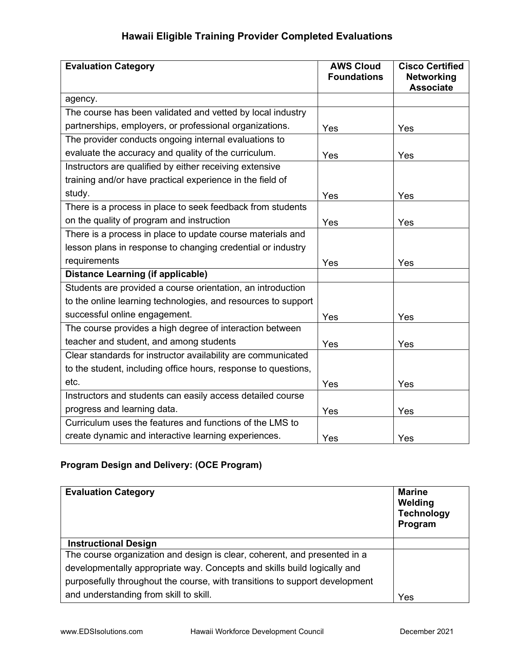| <b>Evaluation Category</b>                                     | <b>AWS Cloud</b><br><b>Foundations</b> | <b>Cisco Certified</b><br><b>Networking</b> |
|----------------------------------------------------------------|----------------------------------------|---------------------------------------------|
|                                                                |                                        | <b>Associate</b>                            |
| agency.                                                        |                                        |                                             |
| The course has been validated and vetted by local industry     |                                        |                                             |
| partnerships, employers, or professional organizations.        | Yes                                    | Yes                                         |
| The provider conducts ongoing internal evaluations to          |                                        |                                             |
| evaluate the accuracy and quality of the curriculum.           | Yes                                    | Yes                                         |
| Instructors are qualified by either receiving extensive        |                                        |                                             |
| training and/or have practical experience in the field of      |                                        |                                             |
| study.                                                         | Yes                                    | Yes                                         |
| There is a process in place to seek feedback from students     |                                        |                                             |
| on the quality of program and instruction                      | Yes                                    | Yes                                         |
| There is a process in place to update course materials and     |                                        |                                             |
| lesson plans in response to changing credential or industry    |                                        |                                             |
| requirements                                                   | Yes                                    | Yes                                         |
| <b>Distance Learning (if applicable)</b>                       |                                        |                                             |
| Students are provided a course orientation, an introduction    |                                        |                                             |
| to the online learning technologies, and resources to support  |                                        |                                             |
| successful online engagement.                                  | Yes                                    | Yes                                         |
| The course provides a high degree of interaction between       |                                        |                                             |
| teacher and student, and among students                        | Yes                                    | Yes                                         |
| Clear standards for instructor availability are communicated   |                                        |                                             |
| to the student, including office hours, response to questions, |                                        |                                             |
| etc.                                                           | Yes                                    | Yes                                         |
| Instructors and students can easily access detailed course     |                                        |                                             |
| progress and learning data.                                    | Yes                                    | Yes                                         |
| Curriculum uses the features and functions of the LMS to       |                                        |                                             |
| create dynamic and interactive learning experiences.           | Yes                                    | Yes                                         |

### Program Design and Delivery: (OCE Program)

| <b>Evaluation Category</b>                                                  | <b>Marine</b><br>Welding<br><b>Technology</b><br>Program |
|-----------------------------------------------------------------------------|----------------------------------------------------------|
| <b>Instructional Design</b>                                                 |                                                          |
| The course organization and design is clear, coherent, and presented in a   |                                                          |
| developmentally appropriate way. Concepts and skills build logically and    |                                                          |
| purposefully throughout the course, with transitions to support development |                                                          |
| and understanding from skill to skill.                                      | Yes                                                      |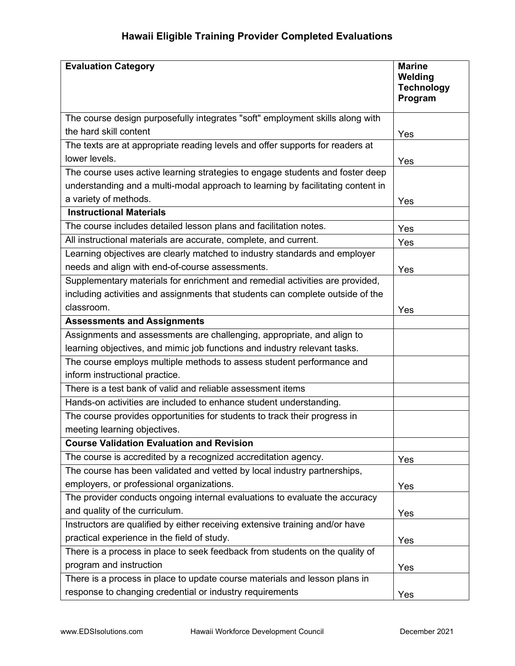| <b>Evaluation Category</b>                                                      | <b>Marine</b><br>Welding<br><b>Technology</b><br>Program |
|---------------------------------------------------------------------------------|----------------------------------------------------------|
| The course design purposefully integrates "soft" employment skills along with   |                                                          |
| the hard skill content                                                          | Yes                                                      |
| The texts are at appropriate reading levels and offer supports for readers at   |                                                          |
| lower levels.                                                                   | Yes                                                      |
| The course uses active learning strategies to engage students and foster deep   |                                                          |
| understanding and a multi-modal approach to learning by facilitating content in |                                                          |
| a variety of methods.                                                           | Yes                                                      |
| <b>Instructional Materials</b>                                                  |                                                          |
| The course includes detailed lesson plans and facilitation notes.               | Yes                                                      |
| All instructional materials are accurate, complete, and current.                | Yes                                                      |
| Learning objectives are clearly matched to industry standards and employer      |                                                          |
| needs and align with end-of-course assessments.                                 | Yes                                                      |
| Supplementary materials for enrichment and remedial activities are provided,    |                                                          |
| including activities and assignments that students can complete outside of the  |                                                          |
| classroom.                                                                      | Yes                                                      |
| <b>Assessments and Assignments</b>                                              |                                                          |
| Assignments and assessments are challenging, appropriate, and align to          |                                                          |
| learning objectives, and mimic job functions and industry relevant tasks.       |                                                          |
| The course employs multiple methods to assess student performance and           |                                                          |
| inform instructional practice.                                                  |                                                          |
| There is a test bank of valid and reliable assessment items                     |                                                          |
| Hands-on activities are included to enhance student understanding.              |                                                          |
| The course provides opportunities for students to track their progress in       |                                                          |
| meeting learning objectives.                                                    |                                                          |
| <b>Course Validation Evaluation and Revision</b>                                |                                                          |
| The course is accredited by a recognized accreditation agency.                  | Yes                                                      |
| The course has been validated and vetted by local industry partnerships,        |                                                          |
| employers, or professional organizations.                                       | Yes                                                      |
| The provider conducts ongoing internal evaluations to evaluate the accuracy     |                                                          |
| and quality of the curriculum.                                                  | Yes                                                      |
| Instructors are qualified by either receiving extensive training and/or have    |                                                          |
| practical experience in the field of study.                                     | Yes                                                      |
| There is a process in place to seek feedback from students on the quality of    |                                                          |
| program and instruction                                                         | Yes                                                      |
| There is a process in place to update course materials and lesson plans in      |                                                          |
| response to changing credential or industry requirements                        | Yes                                                      |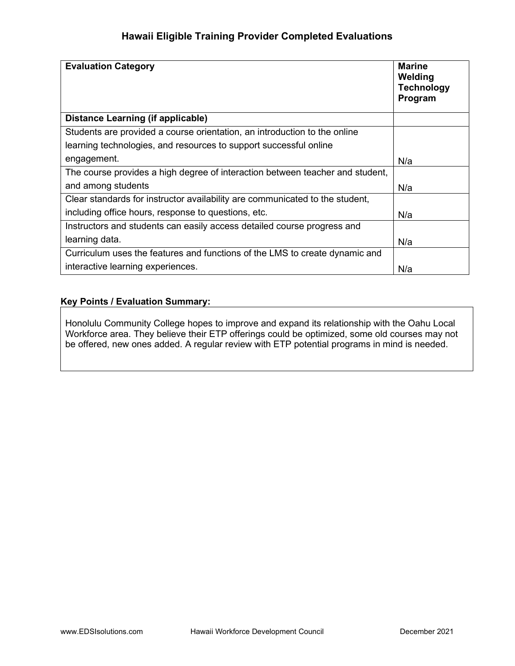| <b>Evaluation Category</b>                                                    | <b>Marine</b><br>Welding<br><b>Technology</b><br>Program |
|-------------------------------------------------------------------------------|----------------------------------------------------------|
| Distance Learning (if applicable)                                             |                                                          |
| Students are provided a course orientation, an introduction to the online     |                                                          |
| learning technologies, and resources to support successful online             |                                                          |
| engagement.                                                                   | N/a                                                      |
| The course provides a high degree of interaction between teacher and student, |                                                          |
| and among students                                                            | N/a                                                      |
| Clear standards for instructor availability are communicated to the student,  |                                                          |
| including office hours, response to questions, etc.                           | N/a                                                      |
| Instructors and students can easily access detailed course progress and       |                                                          |
| learning data.                                                                | N/a                                                      |
| Curriculum uses the features and functions of the LMS to create dynamic and   |                                                          |
| interactive learning experiences.                                             | N/a                                                      |

#### Key Points / Evaluation Summary:

Honolulu Community College hopes to improve and expand its relationship with the Oahu Local Workforce area. They believe their ETP offerings could be optimized, some old courses may not be offered, new ones added. A regular review with ETP potential programs in mind is needed.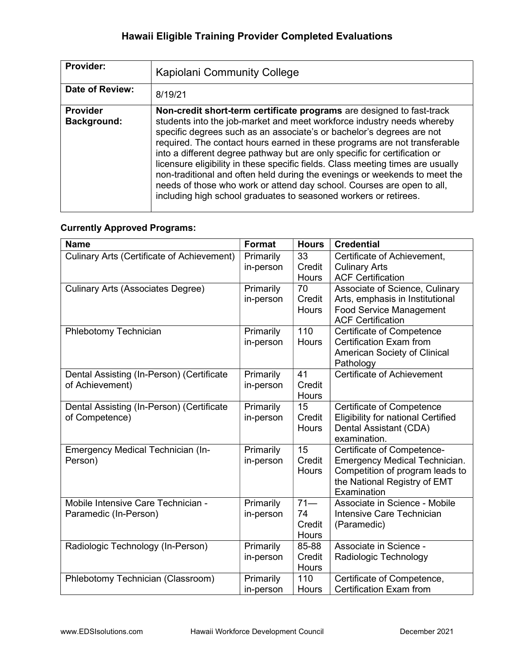| Provider:                      | <b>Kapiolani Community College</b>                                                                                                                                                                                                                                                                                                                                                                                                                                                                                                                                                                                                                                                                 |
|--------------------------------|----------------------------------------------------------------------------------------------------------------------------------------------------------------------------------------------------------------------------------------------------------------------------------------------------------------------------------------------------------------------------------------------------------------------------------------------------------------------------------------------------------------------------------------------------------------------------------------------------------------------------------------------------------------------------------------------------|
| Date of Review:                | 8/19/21                                                                                                                                                                                                                                                                                                                                                                                                                                                                                                                                                                                                                                                                                            |
| <b>Provider</b><br>Background: | Non-credit short-term certificate programs are designed to fast-track<br>students into the job-market and meet workforce industry needs whereby<br>specific degrees such as an associate's or bachelor's degrees are not<br>required. The contact hours earned in these programs are not transferable<br>into a different degree pathway but are only specific for certification or<br>licensure eligibility in these specific fields. Class meeting times are usually<br>non-traditional and often held during the evenings or weekends to meet the<br>needs of those who work or attend day school. Courses are open to all,<br>including high school graduates to seasoned workers or retirees. |

## Currently Approved Programs:

| <b>Name</b>                                       | Format    | <b>Hours</b> | <b>Credential</b>                                                  |
|---------------------------------------------------|-----------|--------------|--------------------------------------------------------------------|
| <b>Culinary Arts (Certificate of Achievement)</b> | Primarily | 33           | Certificate of Achievement,                                        |
|                                                   | in-person | Credit       | <b>Culinary Arts</b>                                               |
|                                                   |           | Hours        | <b>ACF Certification</b>                                           |
| <b>Culinary Arts (Associates Degree)</b>          | Primarily | 70           | Associate of Science, Culinary                                     |
|                                                   | in-person | Credit       | Arts, emphasis in Institutional                                    |
|                                                   |           | Hours        | <b>Food Service Management</b>                                     |
|                                                   |           |              | <b>ACF Certification</b>                                           |
| Phlebotomy Technician                             | Primarily | 110          | <b>Certificate of Competence</b>                                   |
|                                                   | in-person | Hours        | Certification Exam from                                            |
|                                                   |           |              | American Society of Clinical                                       |
|                                                   |           |              | Pathology                                                          |
| Dental Assisting (In-Person) (Certificate         | Primarily | 41           | Certificate of Achievement                                         |
| of Achievement)                                   | in-person | Credit       |                                                                    |
|                                                   |           | <b>Hours</b> |                                                                    |
| Dental Assisting (In-Person) (Certificate         | Primarily | 15           | <b>Certificate of Competence</b>                                   |
| of Competence)                                    | in-person | Credit       | <b>Eligibility for national Certified</b>                          |
|                                                   |           | Hours        | Dental Assistant (CDA)<br>examination.                             |
|                                                   |           | 15           |                                                                    |
| Emergency Medical Technician (In-<br>Person)      | Primarily | Credit       | Certificate of Competence-<br><b>Emergency Medical Technician.</b> |
|                                                   | in-person | Hours        | Competition of program leads to                                    |
|                                                   |           |              | the National Registry of EMT                                       |
|                                                   |           |              | Examination                                                        |
| Mobile Intensive Care Technician -                | Primarily | $71 -$       | Associate in Science - Mobile                                      |
| Paramedic (In-Person)                             | in-person | 74           | Intensive Care Technician                                          |
|                                                   |           | Credit       | (Paramedic)                                                        |
|                                                   |           | Hours        |                                                                    |
| Radiologic Technology (In-Person)                 | Primarily | 85-88        | Associate in Science -                                             |
|                                                   | in-person | Credit       | Radiologic Technology                                              |
|                                                   |           | Hours        |                                                                    |
| Phlebotomy Technician (Classroom)                 | Primarily | 110          | Certificate of Competence,                                         |
|                                                   | in-person | Hours        | Certification Exam from                                            |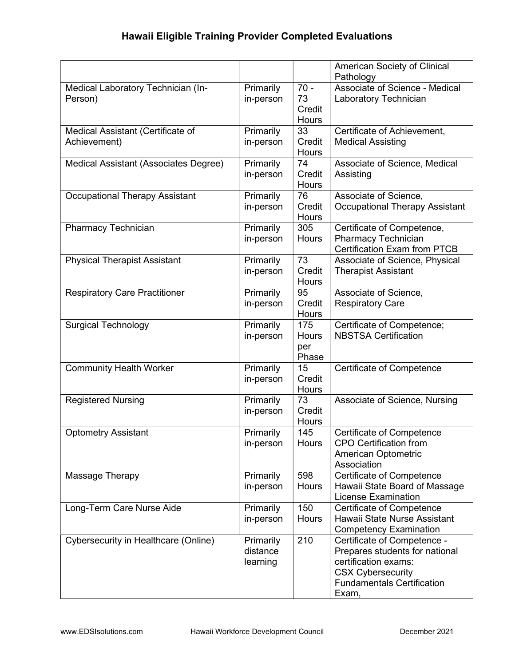|                                              |           |              | American Society of Clinical                                      |
|----------------------------------------------|-----------|--------------|-------------------------------------------------------------------|
|                                              |           |              | Pathology                                                         |
| Medical Laboratory Technician (In-           | Primarily | $70 -$       | Associate of Science - Medical                                    |
| Person)                                      | in-person | 73           | Laboratory Technician                                             |
|                                              |           | Credit       |                                                                   |
|                                              |           | Hours        |                                                                   |
| Medical Assistant (Certificate of            | Primarily | 33           | Certificate of Achievement,                                       |
| Achievement)                                 | in-person | Credit       | <b>Medical Assisting</b>                                          |
|                                              |           | Hours        |                                                                   |
| <b>Medical Assistant (Associates Degree)</b> | Primarily | 74           | Associate of Science, Medical                                     |
|                                              | in-person | Credit       | Assisting                                                         |
|                                              |           | Hours        |                                                                   |
| <b>Occupational Therapy Assistant</b>        | Primarily | 76           | Associate of Science,                                             |
|                                              | in-person | Credit       | <b>Occupational Therapy Assistant</b>                             |
|                                              |           | Hours        |                                                                   |
| <b>Pharmacy Technician</b>                   | Primarily | 305          | Certificate of Competence,                                        |
|                                              | in-person | Hours        | <b>Pharmacy Technician</b>                                        |
|                                              |           |              | <b>Certification Exam from PTCB</b>                               |
| <b>Physical Therapist Assistant</b>          | Primarily | 73           | Associate of Science, Physical                                    |
|                                              | in-person | Credit       | <b>Therapist Assistant</b>                                        |
|                                              |           | Hours        |                                                                   |
| <b>Respiratory Care Practitioner</b>         | Primarily | 95           | Associate of Science,                                             |
|                                              | in-person | Credit       | <b>Respiratory Care</b>                                           |
|                                              |           | Hours        |                                                                   |
| <b>Surgical Technology</b>                   | Primarily | 175          | Certificate of Competence;                                        |
|                                              | in-person | Hours        | <b>NBSTSA Certification</b>                                       |
|                                              |           | per          |                                                                   |
|                                              |           | Phase        |                                                                   |
| <b>Community Health Worker</b>               | Primarily | 15           | Certificate of Competence                                         |
|                                              | in-person | Credit       |                                                                   |
|                                              |           | Hours        |                                                                   |
| <b>Registered Nursing</b>                    | Primarily | 73           | Associate of Science, Nursing                                     |
|                                              | in-person | Credit       |                                                                   |
|                                              |           | Hours<br>145 |                                                                   |
| <b>Optometry Assistant</b>                   | Primarily | Hours        | <b>Certificate of Competence</b><br><b>CPO Certification from</b> |
|                                              | in-person |              | American Optometric                                               |
|                                              |           |              | Association                                                       |
| Massage Therapy                              | Primarily | 598          | Certificate of Competence                                         |
|                                              | in-person | Hours        | Hawaii State Board of Massage                                     |
|                                              |           |              | <b>License Examination</b>                                        |
| Long-Term Care Nurse Aide                    | Primarily | 150          | Certificate of Competence                                         |
|                                              | in-person | Hours        | Hawaii State Nurse Assistant                                      |
|                                              |           |              | <b>Competency Examination</b>                                     |
| Cybersecurity in Healthcare (Online)         | Primarily | 210          | Certificate of Competence -                                       |
|                                              | distance  |              | Prepares students for national                                    |
|                                              | learning  |              | certification exams:                                              |
|                                              |           |              | <b>CSX Cybersecurity</b>                                          |
|                                              |           |              | <b>Fundamentals Certification</b>                                 |
|                                              |           |              | Exam,                                                             |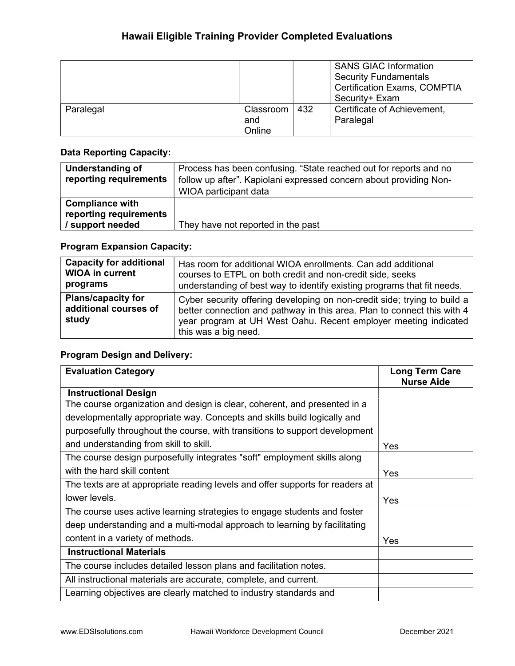|           |           |      | <b>SANS GIAC Information</b><br><b>Security Fundamentals</b><br><b>Certification Exams, COMPTIA</b><br>Security+ Exam |
|-----------|-----------|------|-----------------------------------------------------------------------------------------------------------------------|
| Paralegal | Classroom | -432 | Certificate of Achievement,                                                                                           |
|           | and       |      | Paralegal                                                                                                             |
|           | Online    |      |                                                                                                                       |

### Data Reporting Capacity:

| <b>Understanding of</b><br>reporting requirements                    | Process has been confusing. "State reached out for reports and no<br>follow up after". Kapiolani expressed concern about providing Non-<br>WIOA participant data |
|----------------------------------------------------------------------|------------------------------------------------------------------------------------------------------------------------------------------------------------------|
| <b>Compliance with</b><br>reporting requirements<br>/ support needed | They have not reported in the past                                                                                                                               |

## Program Expansion Capacity:

| <b>Capacity for additional</b>                              | Has room for additional WIOA enrollments. Can add additional                                                                                                                                                                                   |
|-------------------------------------------------------------|------------------------------------------------------------------------------------------------------------------------------------------------------------------------------------------------------------------------------------------------|
| <b>WIOA in current</b>                                      | courses to ETPL on both credit and non-credit side, seeks                                                                                                                                                                                      |
| programs                                                    | understanding of best way to identify existing programs that fit needs.                                                                                                                                                                        |
| <b>Plans/capacity for</b><br>additional courses of<br>study | Cyber security offering developing on non-credit side; trying to build a<br>better connection and pathway in this area. Plan to connect this with 4<br>year program at UH West Oahu. Recent employer meeting indicated<br>this was a big need. |

| <b>Evaluation Category</b>                                                    | <b>Long Term Care</b><br><b>Nurse Aide</b> |
|-------------------------------------------------------------------------------|--------------------------------------------|
| <b>Instructional Design</b>                                                   |                                            |
| The course organization and design is clear, coherent, and presented in a     |                                            |
| developmentally appropriate way. Concepts and skills build logically and      |                                            |
| purposefully throughout the course, with transitions to support development   |                                            |
| and understanding from skill to skill.                                        | <b>Yes</b>                                 |
| The course design purposefully integrates "soft" employment skills along      |                                            |
| with the hard skill content                                                   | Yes                                        |
| The texts are at appropriate reading levels and offer supports for readers at |                                            |
| lower levels.                                                                 | Yes                                        |
| The course uses active learning strategies to engage students and foster      |                                            |
| deep understanding and a multi-modal approach to learning by facilitating     |                                            |
| content in a variety of methods.                                              | Yes                                        |
| <b>Instructional Materials</b>                                                |                                            |
| The course includes detailed lesson plans and facilitation notes.             |                                            |
| All instructional materials are accurate, complete, and current.              |                                            |
| Learning objectives are clearly matched to industry standards and             |                                            |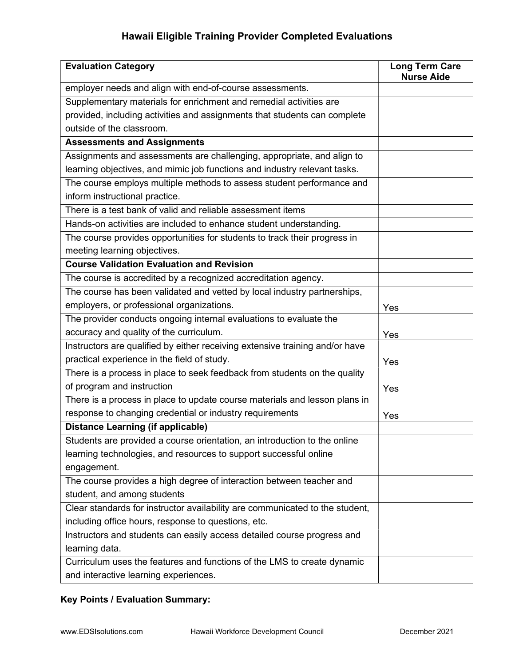| <b>Evaluation Category</b>                                                   | <b>Long Term Care</b><br><b>Nurse Aide</b> |
|------------------------------------------------------------------------------|--------------------------------------------|
| employer needs and align with end-of-course assessments.                     |                                            |
| Supplementary materials for enrichment and remedial activities are           |                                            |
| provided, including activities and assignments that students can complete    |                                            |
| outside of the classroom.                                                    |                                            |
| <b>Assessments and Assignments</b>                                           |                                            |
| Assignments and assessments are challenging, appropriate, and align to       |                                            |
| learning objectives, and mimic job functions and industry relevant tasks.    |                                            |
| The course employs multiple methods to assess student performance and        |                                            |
| inform instructional practice.                                               |                                            |
| There is a test bank of valid and reliable assessment items                  |                                            |
| Hands-on activities are included to enhance student understanding.           |                                            |
| The course provides opportunities for students to track their progress in    |                                            |
| meeting learning objectives.                                                 |                                            |
| <b>Course Validation Evaluation and Revision</b>                             |                                            |
| The course is accredited by a recognized accreditation agency.               |                                            |
| The course has been validated and vetted by local industry partnerships,     |                                            |
| employers, or professional organizations.                                    | Yes                                        |
| The provider conducts ongoing internal evaluations to evaluate the           |                                            |
| accuracy and quality of the curriculum.                                      | Yes                                        |
| Instructors are qualified by either receiving extensive training and/or have |                                            |
| practical experience in the field of study.                                  | Yes                                        |
| There is a process in place to seek feedback from students on the quality    |                                            |
| of program and instruction                                                   | Yes                                        |
| There is a process in place to update course materials and lesson plans in   |                                            |
| response to changing credential or industry requirements                     | Yes                                        |
| <b>Distance Learning (if applicable)</b>                                     |                                            |
| Students are provided a course orientation, an introduction to the online    |                                            |
| learning technologies, and resources to support successful online            |                                            |
| engagement.                                                                  |                                            |
| The course provides a high degree of interaction between teacher and         |                                            |
| student, and among students                                                  |                                            |
| Clear standards for instructor availability are communicated to the student, |                                            |
| including office hours, response to questions, etc.                          |                                            |
| Instructors and students can easily access detailed course progress and      |                                            |
| learning data.                                                               |                                            |
| Curriculum uses the features and functions of the LMS to create dynamic      |                                            |
| and interactive learning experiences.                                        |                                            |

# Key Points / Evaluation Summary: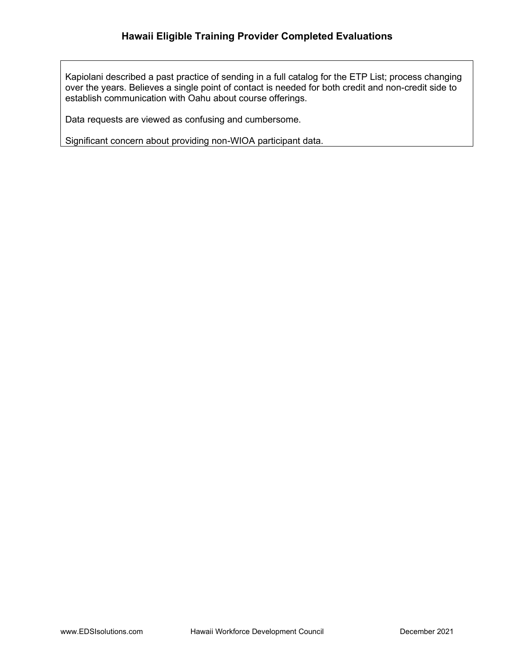Kapiolani described a past practice of sending in a full catalog for the ETP List; process changing over the years. Believes a single point of contact is needed for both credit and non-credit side to establish communication with Oahu about course offerings.

Data requests are viewed as confusing and cumbersome.

Significant concern about providing non-WIOA participant data.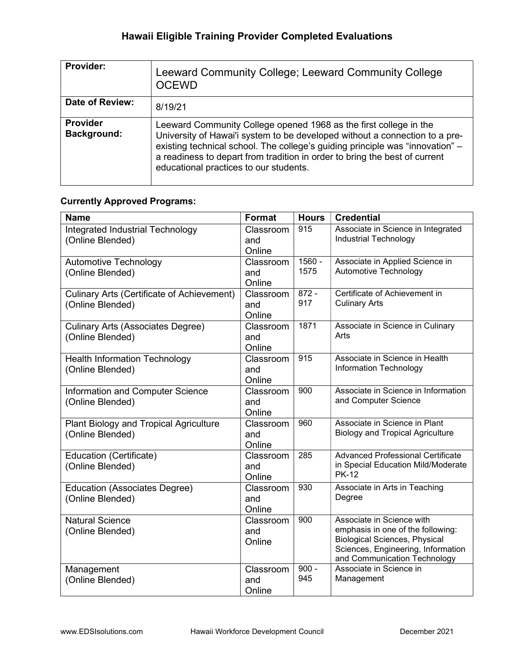| <b>Provider:</b>                      | Leeward Community College; Leeward Community College<br><b>OCEWD</b>                                                                                                                                                                                                                                                                                      |
|---------------------------------------|-----------------------------------------------------------------------------------------------------------------------------------------------------------------------------------------------------------------------------------------------------------------------------------------------------------------------------------------------------------|
| Date of Review:                       | 8/19/21                                                                                                                                                                                                                                                                                                                                                   |
| <b>Provider</b><br><b>Background:</b> | Leeward Community College opened 1968 as the first college in the<br>University of Hawai'i system to be developed without a connection to a pre-<br>existing technical school. The college's guiding principle was "innovation" -<br>a readiness to depart from tradition in order to bring the best of current<br>educational practices to our students. |

## Currently Approved Programs:

| <b>Name</b>                                          | <b>Format</b>              | <b>Hours</b>     | <b>Credential</b>                                                  |
|------------------------------------------------------|----------------------------|------------------|--------------------------------------------------------------------|
| Integrated Industrial Technology<br>(Online Blended) | Classroom<br>and<br>Online | 915              | Associate in Science in Integrated<br><b>Industrial Technology</b> |
| <b>Automotive Technology</b>                         | Classroom                  | $1560 -$         | Associate in Applied Science in                                    |
| (Online Blended)                                     | and                        | 1575             | Automotive Technology                                              |
|                                                      | Online                     |                  |                                                                    |
| <b>Culinary Arts (Certificate of Achievement)</b>    | Classroom                  | $872 -$          | Certificate of Achievement in                                      |
| (Online Blended)                                     | and                        | 917              | <b>Culinary Arts</b>                                               |
|                                                      | Online                     |                  |                                                                    |
| <b>Culinary Arts (Associates Degree)</b>             | Classroom                  | 1871             | Associate in Science in Culinary                                   |
| (Online Blended)                                     | and                        |                  | Arts                                                               |
|                                                      | Online                     |                  |                                                                    |
| <b>Health Information Technology</b>                 | Classroom                  | 915              | Associate in Science in Health                                     |
| (Online Blended)                                     | and                        |                  | Information Technology                                             |
|                                                      | Online                     |                  |                                                                    |
| Information and Computer Science                     | Classroom                  | 900              | Associate in Science in Information                                |
| (Online Blended)                                     | and                        |                  | and Computer Science                                               |
|                                                      | Online                     |                  |                                                                    |
| Plant Biology and Tropical Agriculture               | Classroom                  | 960              | Associate in Science in Plant                                      |
| (Online Blended)                                     | and                        |                  | <b>Biology and Tropical Agriculture</b>                            |
|                                                      | Online                     | $\overline{285}$ | <b>Advanced Professional Certificate</b>                           |
| Education (Certificate)                              | Classroom                  |                  | in Special Education Mild/Moderate                                 |
| (Online Blended)                                     | and<br>Online              |                  | <b>PK-12</b>                                                       |
| <b>Education (Associates Degree)</b>                 | Classroom                  | 930              | Associate in Arts in Teaching                                      |
| (Online Blended)                                     | and                        |                  | Degree                                                             |
|                                                      | Online                     |                  |                                                                    |
| <b>Natural Science</b>                               | Classroom                  | 900              | Associate in Science with                                          |
| (Online Blended)                                     | and                        |                  | emphasis in one of the following:                                  |
|                                                      | Online                     |                  | <b>Biological Sciences, Physical</b>                               |
|                                                      |                            |                  | Sciences, Engineering, Information                                 |
|                                                      |                            |                  | and Communication Technology                                       |
| Management                                           | Classroom                  | $900 -$          | Associate in Science in                                            |
| (Online Blended)                                     | and                        | 945              | Management                                                         |
|                                                      | Online                     |                  |                                                                    |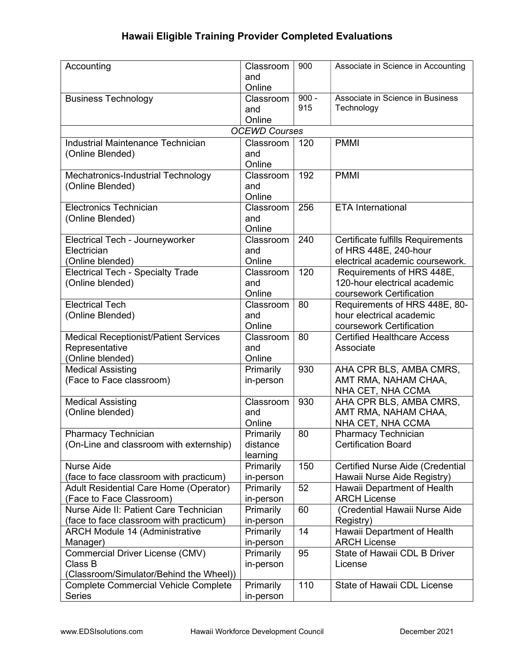| Accounting                                   | Classroom            | 900     | Associate in Science in Accounting      |
|----------------------------------------------|----------------------|---------|-----------------------------------------|
|                                              | and                  |         |                                         |
|                                              | Online               |         |                                         |
| <b>Business Technology</b>                   | Classroom            | $900 -$ | Associate in Science in Business        |
|                                              | and                  | 915     | Technology                              |
|                                              | Online               |         |                                         |
|                                              | <b>OCEWD Courses</b> |         |                                         |
| Industrial Maintenance Technician            | Classroom            | 120     | <b>PMMI</b>                             |
| (Online Blended)                             | and                  |         |                                         |
|                                              | Online               |         |                                         |
| Mechatronics-Industrial Technology           | Classroom            | 192     | <b>PMMI</b>                             |
| (Online Blended)                             | and                  |         |                                         |
|                                              | Online               |         |                                         |
| <b>Electronics Technician</b>                | Classroom            | 256     | <b>ETA</b> International                |
| (Online Blended)                             | and                  |         |                                         |
|                                              | Online               |         |                                         |
| Electrical Tech - Journeyworker              | Classroom            | 240     | Certificate fulfills Requirements       |
| Electrician                                  | and                  |         | of HRS 448E, 240-hour                   |
| (Online blended)                             | Online               |         | electrical academic coursework.         |
| <b>Electrical Tech - Specialty Trade</b>     | Classroom            | 120     | Requirements of HRS 448E,               |
| (Online blended)                             | and                  |         | 120-hour electrical academic            |
|                                              | Online               |         | coursework Certification                |
| <b>Electrical Tech</b>                       | Classroom            | 80      | Requirements of HRS 448E, 80-           |
| (Online Blended)                             | and                  |         | hour electrical academic                |
|                                              | Online               |         | coursework Certification                |
| <b>Medical Receptionist/Patient Services</b> | Classroom            | 80      | <b>Certified Healthcare Access</b>      |
| Representative                               | and                  |         | Associate                               |
| (Online blended)                             | Online               |         |                                         |
| <b>Medical Assisting</b>                     | Primarily            | 930     | AHA CPR BLS, AMBA CMRS,                 |
| (Face to Face classroom)                     | in-person            |         | AMT RMA, NAHAM CHAA,                    |
|                                              |                      |         | NHA CET, NHA CCMA                       |
| <b>Medical Assisting</b>                     | Classroom            | 930     | AHA CPR BLS, AMBA CMRS,                 |
| (Online blended)                             | and                  |         | AMT RMA, NAHAM CHAA,                    |
|                                              | Online               |         | NHA CET, NHA CCMA                       |
| <b>Pharmacy Technician</b>                   | Primarily            | 80      | <b>Pharmacy Technician</b>              |
| (On-Line and classroom with externship)      | distance             |         | <b>Certification Board</b>              |
|                                              | learning             |         |                                         |
| <b>Nurse Aide</b>                            | Primarily            | 150     | <b>Certified Nurse Aide (Credential</b> |
| (face to face classroom with practicum)      | in-person            |         | Hawaii Nurse Aide Registry)             |
| Adult Residential Care Home (Operator)       | Primarily            | 52      | Hawaii Department of Health             |
| (Face to Face Classroom)                     | in-person            |         | <b>ARCH License</b>                     |
| Nurse Aide II: Patient Care Technician       | Primarily            | 60      | (Credential Hawaii Nurse Aide           |
| (face to face classroom with practicum)      | in-person            |         | Registry)                               |
| <b>ARCH Module 14 (Administrative</b>        | Primarily            | 14      | Hawaii Department of Health             |
| Manager)                                     | in-person            |         | <b>ARCH License</b>                     |
| Commercial Driver License (CMV)              | Primarily            | 95      | State of Hawaii CDL B Driver            |
| Class B                                      | in-person            |         | License                                 |
| (Classroom/Simulator/Behind the Wheel))      |                      |         |                                         |
| <b>Complete Commercial Vehicle Complete</b>  | Primarily            | 110     | State of Hawaii CDL License             |
| <b>Series</b>                                | in-person            |         |                                         |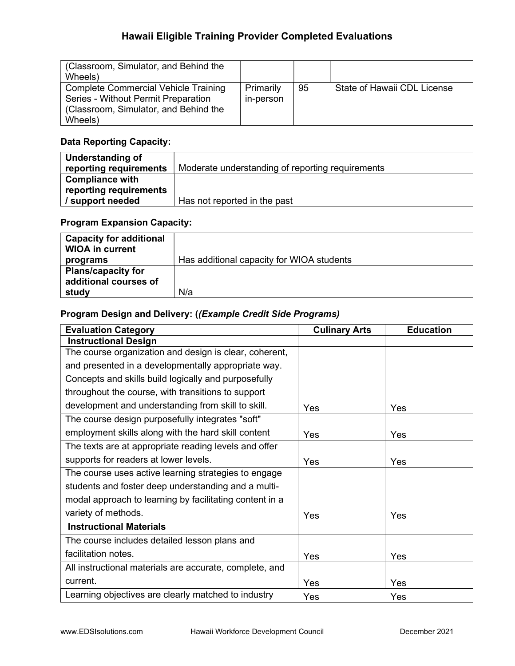| (Classroom, Simulator, and Behind the<br>Wheels)                                                                                       |                        |    |                             |
|----------------------------------------------------------------------------------------------------------------------------------------|------------------------|----|-----------------------------|
| <b>Complete Commercial Vehicle Training</b><br>Series - Without Permit Preparation<br>(Classroom, Simulator, and Behind the<br>Wheels) | Primarily<br>in-person | 95 | State of Hawaii CDL License |

## Data Reporting Capacity:

| Understanding of       |                                                  |
|------------------------|--------------------------------------------------|
| reporting requirements | Moderate understanding of reporting requirements |
| <b>Compliance with</b> |                                                  |
| reporting requirements |                                                  |
| / support needed       | Has not reported in the past                     |

### Program Expansion Capacity:

| <b>Capacity for additional</b><br><b>WIOA in current</b> |                                           |
|----------------------------------------------------------|-------------------------------------------|
| programs                                                 | Has additional capacity for WIOA students |
| <b>Plans/capacity for</b>                                |                                           |
| additional courses of                                    |                                           |
| study                                                    | N/a                                       |

## Program Design and Delivery: ((Example Credit Side Programs)

| <b>Evaluation Category</b>                              | <b>Culinary Arts</b> | <b>Education</b> |
|---------------------------------------------------------|----------------------|------------------|
| <b>Instructional Design</b>                             |                      |                  |
| The course organization and design is clear, coherent,  |                      |                  |
| and presented in a developmentally appropriate way.     |                      |                  |
| Concepts and skills build logically and purposefully    |                      |                  |
| throughout the course, with transitions to support      |                      |                  |
| development and understanding from skill to skill.      | Yes                  | Yes              |
| The course design purposefully integrates "soft"        |                      |                  |
| employment skills along with the hard skill content     | Yes                  | Yes              |
| The texts are at appropriate reading levels and offer   |                      |                  |
| supports for readers at lower levels.                   | Yes                  | Yes              |
| The course uses active learning strategies to engage    |                      |                  |
| students and foster deep understanding and a multi-     |                      |                  |
| modal approach to learning by facilitating content in a |                      |                  |
| variety of methods.                                     | Yes                  | Yes              |
| <b>Instructional Materials</b>                          |                      |                  |
| The course includes detailed lesson plans and           |                      |                  |
| facilitation notes.                                     | Yes                  | Yes              |
| All instructional materials are accurate, complete, and |                      |                  |
| current.                                                | Yes                  | Yes              |
| Learning objectives are clearly matched to industry     | Yes                  | Yes              |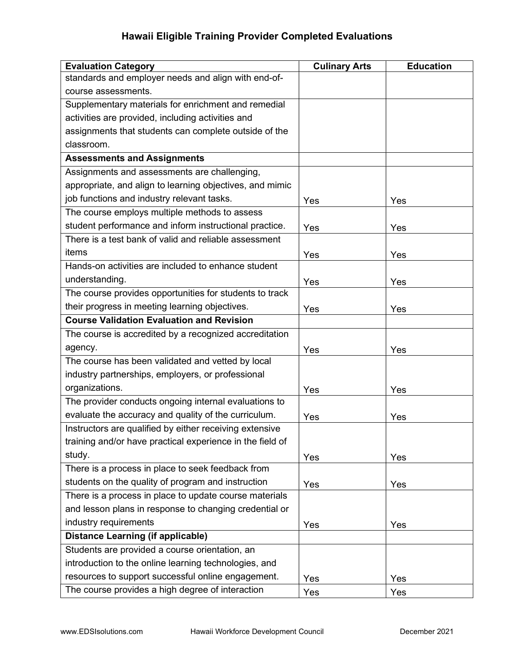| <b>Evaluation Category</b>                                | <b>Culinary Arts</b> | <b>Education</b> |
|-----------------------------------------------------------|----------------------|------------------|
| standards and employer needs and align with end-of-       |                      |                  |
| course assessments.                                       |                      |                  |
| Supplementary materials for enrichment and remedial       |                      |                  |
| activities are provided, including activities and         |                      |                  |
| assignments that students can complete outside of the     |                      |                  |
| classroom.                                                |                      |                  |
| <b>Assessments and Assignments</b>                        |                      |                  |
| Assignments and assessments are challenging,              |                      |                  |
| appropriate, and align to learning objectives, and mimic  |                      |                  |
| job functions and industry relevant tasks.                | Yes                  | Yes              |
| The course employs multiple methods to assess             |                      |                  |
| student performance and inform instructional practice.    | Yes                  | Yes              |
| There is a test bank of valid and reliable assessment     |                      |                  |
| items                                                     | Yes                  | Yes              |
| Hands-on activities are included to enhance student       |                      |                  |
| understanding.                                            | Yes                  | Yes              |
| The course provides opportunities for students to track   |                      |                  |
| their progress in meeting learning objectives.            | Yes                  | Yes              |
| <b>Course Validation Evaluation and Revision</b>          |                      |                  |
| The course is accredited by a recognized accreditation    |                      |                  |
| agency.                                                   | Yes                  | Yes              |
| The course has been validated and vetted by local         |                      |                  |
| industry partnerships, employers, or professional         |                      |                  |
| organizations.                                            | Yes                  | Yes              |
| The provider conducts ongoing internal evaluations to     |                      |                  |
| evaluate the accuracy and quality of the curriculum.      | Yes                  | Yes              |
| Instructors are qualified by either receiving extensive   |                      |                  |
| training and/or have practical experience in the field of |                      |                  |
| study.                                                    | Yes                  | Yes              |
| There is a process in place to seek feedback from         |                      |                  |
| students on the quality of program and instruction        | Yes                  | Yes              |
| There is a process in place to update course materials    |                      |                  |
| and lesson plans in response to changing credential or    |                      |                  |
| industry requirements                                     | Yes                  | Yes              |
| <b>Distance Learning (if applicable)</b>                  |                      |                  |
| Students are provided a course orientation, an            |                      |                  |
| introduction to the online learning technologies, and     |                      |                  |
| resources to support successful online engagement.        | Yes                  | Yes              |
| The course provides a high degree of interaction          | Yes                  | Yes              |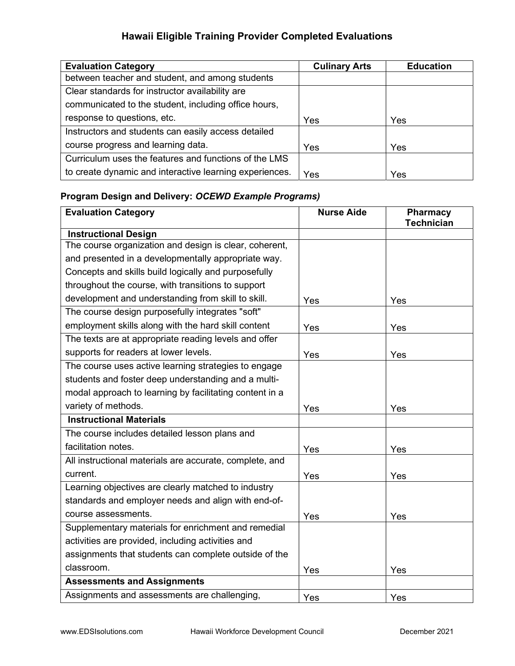| <b>Evaluation Category</b>                              | <b>Culinary Arts</b> | <b>Education</b> |
|---------------------------------------------------------|----------------------|------------------|
| between teacher and student, and among students         |                      |                  |
| Clear standards for instructor availability are         |                      |                  |
| communicated to the student, including office hours,    |                      |                  |
| response to questions, etc.                             | Yes                  | Yes              |
| Instructors and students can easily access detailed     |                      |                  |
| course progress and learning data.                      | Yes                  | Yes              |
| Curriculum uses the features and functions of the LMS   |                      |                  |
| to create dynamic and interactive learning experiences. | Yes                  | Yes              |

# Program Design and Delivery: OCEWD Example Programs)

| <b>Evaluation Category</b>                              | <b>Nurse Aide</b> | <b>Pharmacy</b>   |
|---------------------------------------------------------|-------------------|-------------------|
|                                                         |                   | <b>Technician</b> |
| <b>Instructional Design</b>                             |                   |                   |
| The course organization and design is clear, coherent,  |                   |                   |
| and presented in a developmentally appropriate way.     |                   |                   |
| Concepts and skills build logically and purposefully    |                   |                   |
| throughout the course, with transitions to support      |                   |                   |
| development and understanding from skill to skill.      | Yes               | Yes               |
| The course design purposefully integrates "soft"        |                   |                   |
| employment skills along with the hard skill content     | Yes               | Yes               |
| The texts are at appropriate reading levels and offer   |                   |                   |
| supports for readers at lower levels.                   | Yes               | Yes               |
| The course uses active learning strategies to engage    |                   |                   |
| students and foster deep understanding and a multi-     |                   |                   |
| modal approach to learning by facilitating content in a |                   |                   |
| variety of methods.                                     | Yes               | Yes               |
| <b>Instructional Materials</b>                          |                   |                   |
| The course includes detailed lesson plans and           |                   |                   |
| facilitation notes.                                     | Yes               | Yes               |
| All instructional materials are accurate, complete, and |                   |                   |
| current.                                                | Yes               | Yes               |
| Learning objectives are clearly matched to industry     |                   |                   |
| standards and employer needs and align with end-of-     |                   |                   |
| course assessments.                                     | Yes               | Yes               |
| Supplementary materials for enrichment and remedial     |                   |                   |
| activities are provided, including activities and       |                   |                   |
| assignments that students can complete outside of the   |                   |                   |
| classroom.                                              | Yes               | Yes               |
| <b>Assessments and Assignments</b>                      |                   |                   |
| Assignments and assessments are challenging,            | Yes               | Yes               |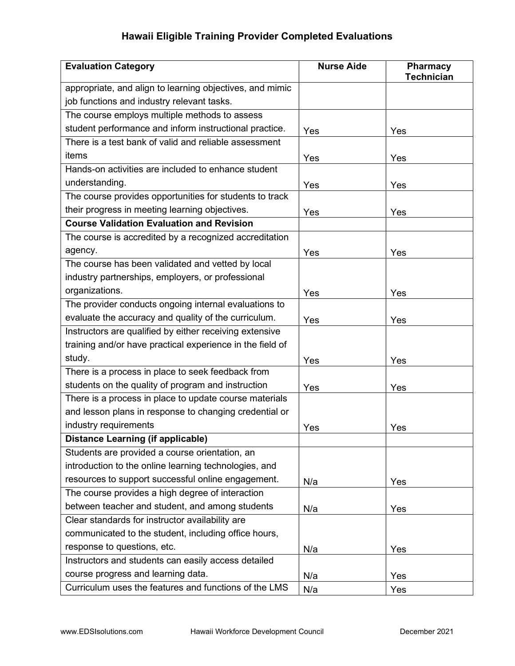| <b>Evaluation Category</b>                                | <b>Nurse Aide</b> | Pharmacy<br><b>Technician</b> |
|-----------------------------------------------------------|-------------------|-------------------------------|
| appropriate, and align to learning objectives, and mimic  |                   |                               |
| job functions and industry relevant tasks.                |                   |                               |
| The course employs multiple methods to assess             |                   |                               |
| student performance and inform instructional practice.    | Yes               | Yes                           |
| There is a test bank of valid and reliable assessment     |                   |                               |
| items                                                     | Yes               | Yes                           |
| Hands-on activities are included to enhance student       |                   |                               |
| understanding.                                            | Yes               | Yes                           |
| The course provides opportunities for students to track   |                   |                               |
| their progress in meeting learning objectives.            | Yes               | Yes                           |
| <b>Course Validation Evaluation and Revision</b>          |                   |                               |
| The course is accredited by a recognized accreditation    |                   |                               |
| agency.                                                   | Yes               | Yes                           |
| The course has been validated and vetted by local         |                   |                               |
| industry partnerships, employers, or professional         |                   |                               |
| organizations.                                            | Yes               | Yes                           |
| The provider conducts ongoing internal evaluations to     |                   |                               |
| evaluate the accuracy and quality of the curriculum.      | Yes               | Yes                           |
| Instructors are qualified by either receiving extensive   |                   |                               |
| training and/or have practical experience in the field of |                   |                               |
| study.                                                    | Yes               | Yes                           |
| There is a process in place to seek feedback from         |                   |                               |
| students on the quality of program and instruction        | Yes               | Yes                           |
| There is a process in place to update course materials    |                   |                               |
| and lesson plans in response to changing credential or    |                   |                               |
| industry requirements                                     | Yes               | Yes                           |
| Distance Learning (if applicable)                         |                   |                               |
| Students are provided a course orientation, an            |                   |                               |
| introduction to the online learning technologies, and     |                   |                               |
| resources to support successful online engagement.        | N/a               | Yes                           |
| The course provides a high degree of interaction          |                   |                               |
| between teacher and student, and among students           | N/a               | Yes                           |
| Clear standards for instructor availability are           |                   |                               |
| communicated to the student, including office hours,      |                   |                               |
| response to questions, etc.                               | N/a               | Yes                           |
| Instructors and students can easily access detailed       |                   |                               |
| course progress and learning data.                        | N/a               | Yes                           |
| Curriculum uses the features and functions of the LMS     | N/a               | Yes                           |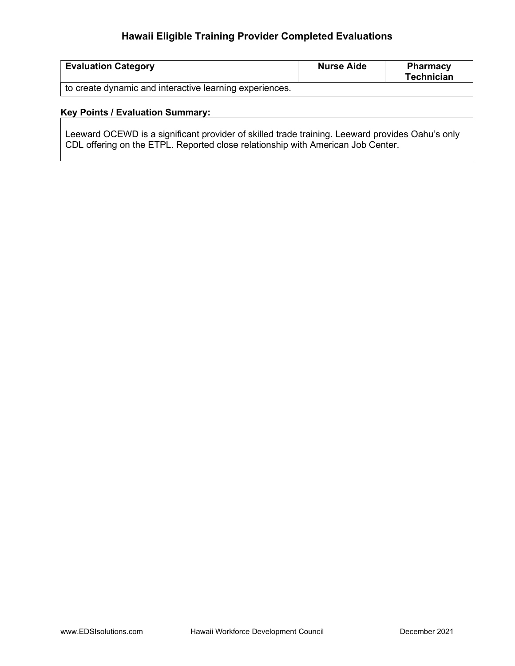| <b>Evaluation Category</b>                              | <b>Nurse Aide</b> | <b>Pharmacy</b><br>Technician |
|---------------------------------------------------------|-------------------|-------------------------------|
| to create dynamic and interactive learning experiences. |                   |                               |

### Key Points / Evaluation Summary:

Leeward OCEWD is a significant provider of skilled trade training. Leeward provides Oahu's only CDL offering on the ETPL. Reported close relationship with American Job Center.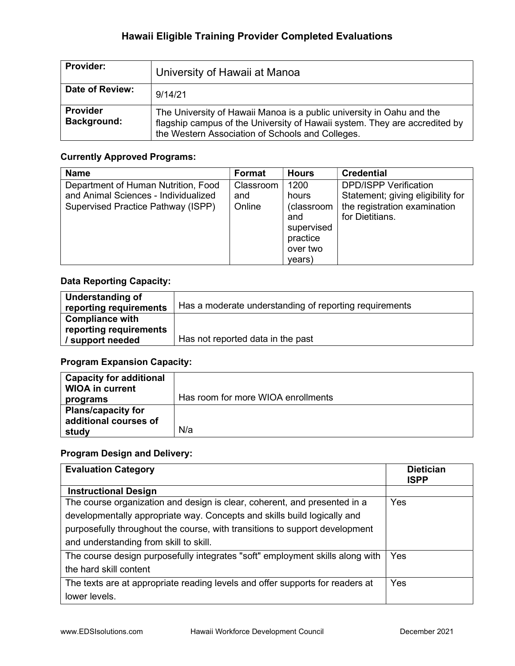| <b>Provider:</b>                      | University of Hawaii at Manoa                                                                                                                                                                           |
|---------------------------------------|---------------------------------------------------------------------------------------------------------------------------------------------------------------------------------------------------------|
| Date of Review:                       | 9/14/21                                                                                                                                                                                                 |
| <b>Provider</b><br><b>Background:</b> | The University of Hawaii Manoa is a public university in Oahu and the<br>flagship campus of the University of Hawaii system. They are accredited by<br>the Western Association of Schools and Colleges. |

#### Currently Approved Programs:

| <b>Name</b>                          | <b>Format</b> | <b>Hours</b> | <b>Credential</b>                 |
|--------------------------------------|---------------|--------------|-----------------------------------|
| Department of Human Nutrition, Food  | Classroom     | 1200         | <b>DPD/ISPP Verification</b>      |
| and Animal Sciences - Individualized | and           | hours        | Statement; giving eligibility for |
| Supervised Practice Pathway (ISPP)   | Online        | (classroom   | the registration examination      |
|                                      |               | and          | for Dietitians.                   |
|                                      |               | supervised   |                                   |
|                                      |               | practice     |                                   |
|                                      |               | over two     |                                   |
|                                      |               | years)       |                                   |

### Data Reporting Capacity:

| Understanding of       |                                                        |
|------------------------|--------------------------------------------------------|
| reporting requirements | Has a moderate understanding of reporting requirements |
| <b>Compliance with</b> |                                                        |
| reporting requirements |                                                        |
| / support needed       | Has not reported data in the past                      |

## Program Expansion Capacity:

| <b>Capacity for additional</b><br><b>WIOA in current</b> |                                    |
|----------------------------------------------------------|------------------------------------|
| programs                                                 | Has room for more WIOA enrollments |
| <b>Plans/capacity for</b><br>additional courses of       |                                    |
| study                                                    | N/a                                |

| <b>Evaluation Category</b>                                                    | <b>Dietician</b><br><b>ISPP</b> |
|-------------------------------------------------------------------------------|---------------------------------|
| <b>Instructional Design</b>                                                   |                                 |
| The course organization and design is clear, coherent, and presented in a     | Yes                             |
| developmentally appropriate way. Concepts and skills build logically and      |                                 |
| purposefully throughout the course, with transitions to support development   |                                 |
| and understanding from skill to skill.                                        |                                 |
| The course design purposefully integrates "soft" employment skills along with | Yes                             |
| the hard skill content                                                        |                                 |
| The texts are at appropriate reading levels and offer supports for readers at | Yes                             |
| lower levels.                                                                 |                                 |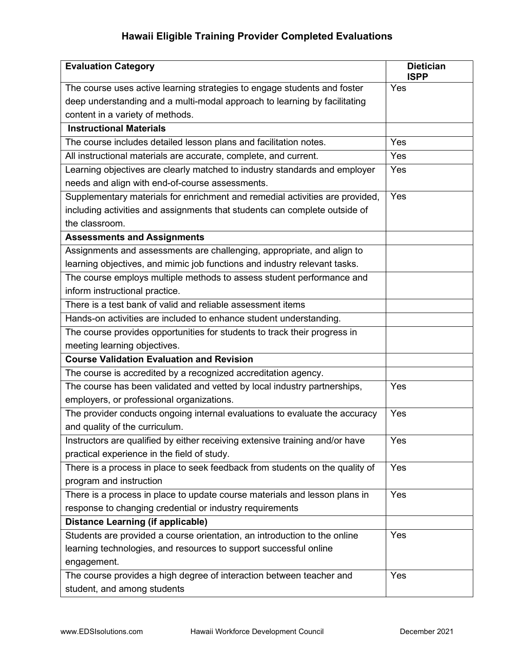| <b>Evaluation Category</b>                                                   | <b>Dietician</b><br><b>ISPP</b> |
|------------------------------------------------------------------------------|---------------------------------|
| The course uses active learning strategies to engage students and foster     | Yes                             |
| deep understanding and a multi-modal approach to learning by facilitating    |                                 |
| content in a variety of methods.                                             |                                 |
| <b>Instructional Materials</b>                                               |                                 |
| The course includes detailed lesson plans and facilitation notes.            | Yes                             |
| All instructional materials are accurate, complete, and current.             | Yes                             |
| Learning objectives are clearly matched to industry standards and employer   | Yes                             |
| needs and align with end-of-course assessments.                              |                                 |
| Supplementary materials for enrichment and remedial activities are provided, | Yes                             |
| including activities and assignments that students can complete outside of   |                                 |
| the classroom.                                                               |                                 |
| <b>Assessments and Assignments</b>                                           |                                 |
| Assignments and assessments are challenging, appropriate, and align to       |                                 |
| learning objectives, and mimic job functions and industry relevant tasks.    |                                 |
| The course employs multiple methods to assess student performance and        |                                 |
| inform instructional practice.                                               |                                 |
| There is a test bank of valid and reliable assessment items                  |                                 |
| Hands-on activities are included to enhance student understanding.           |                                 |
| The course provides opportunities for students to track their progress in    |                                 |
| meeting learning objectives.                                                 |                                 |
| <b>Course Validation Evaluation and Revision</b>                             |                                 |
| The course is accredited by a recognized accreditation agency.               |                                 |
| The course has been validated and vetted by local industry partnerships,     | Yes                             |
| employers, or professional organizations.                                    |                                 |
| The provider conducts ongoing internal evaluations to evaluate the accuracy  | Yes                             |
| and quality of the curriculum.                                               |                                 |
| Instructors are qualified by either receiving extensive training and/or have | Yes                             |
| practical experience in the field of study.                                  |                                 |
| There is a process in place to seek feedback from students on the quality of | Yes                             |
| program and instruction                                                      |                                 |
| There is a process in place to update course materials and lesson plans in   | Yes                             |
| response to changing credential or industry requirements                     |                                 |
| <b>Distance Learning (if applicable)</b>                                     |                                 |
| Students are provided a course orientation, an introduction to the online    | Yes                             |
| learning technologies, and resources to support successful online            |                                 |
| engagement.                                                                  |                                 |
| The course provides a high degree of interaction between teacher and         | Yes                             |
| student, and among students                                                  |                                 |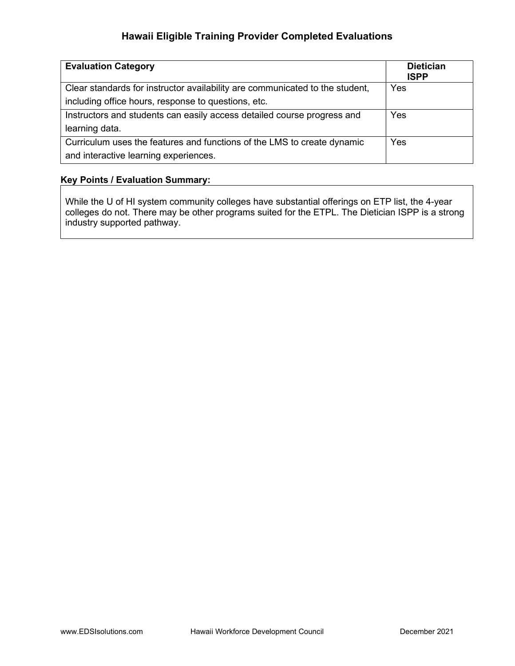| <b>Evaluation Category</b>                                                   | <b>Dietician</b><br><b>ISPP</b> |
|------------------------------------------------------------------------------|---------------------------------|
| Clear standards for instructor availability are communicated to the student, | Yes                             |
| including office hours, response to questions, etc.                          |                                 |
| Instructors and students can easily access detailed course progress and      | Yes                             |
| learning data.                                                               |                                 |
| Curriculum uses the features and functions of the LMS to create dynamic      | Yes                             |
| and interactive learning experiences.                                        |                                 |

### Key Points / Evaluation Summary:

While the U of HI system community colleges have substantial offerings on ETP list, the 4-year colleges do not. There may be other programs suited for the ETPL. The Dietician ISPP is a strong industry supported pathway.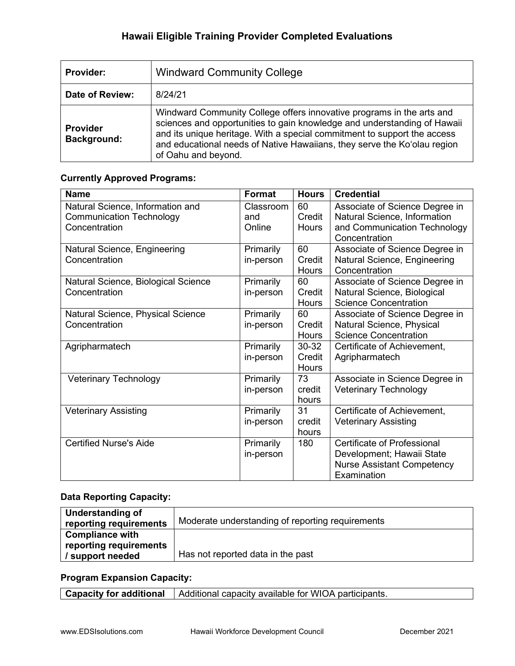| <b>Provider:</b>                      | <b>Windward Community College</b>                                                                                                                                                                                                                                                                                                |
|---------------------------------------|----------------------------------------------------------------------------------------------------------------------------------------------------------------------------------------------------------------------------------------------------------------------------------------------------------------------------------|
| Date of Review:                       | 8/24/21                                                                                                                                                                                                                                                                                                                          |
| <b>Provider</b><br><b>Background:</b> | Windward Community College offers innovative programs in the arts and<br>sciences and opportunities to gain knowledge and understanding of Hawaii<br>and its unique heritage. With a special commitment to support the access<br>and educational needs of Native Hawaiians, they serve the Ko'olau region<br>of Oahu and beyond. |

#### Currently Approved Programs:

| <b>Name</b>                         | Format    | <b>Hours</b> | <b>Credential</b>                 |
|-------------------------------------|-----------|--------------|-----------------------------------|
| Natural Science, Information and    | Classroom | 60           | Associate of Science Degree in    |
| <b>Communication Technology</b>     | and       | Credit       | Natural Science, Information      |
| Concentration                       | Online    | <b>Hours</b> | and Communication Technology      |
|                                     |           |              | Concentration                     |
| Natural Science, Engineering        | Primarily | 60           | Associate of Science Degree in    |
| Concentration                       | in-person | Credit       | Natural Science, Engineering      |
|                                     |           | <b>Hours</b> | Concentration                     |
| Natural Science, Biological Science | Primarily | 60           | Associate of Science Degree in    |
| Concentration                       | in-person | Credit       | Natural Science, Biological       |
|                                     |           | <b>Hours</b> | <b>Science Concentration</b>      |
| Natural Science, Physical Science   | Primarily | 60           | Associate of Science Degree in    |
| Concentration                       | in-person | Credit       | Natural Science, Physical         |
|                                     |           | <b>Hours</b> | <b>Science Concentration</b>      |
| Agripharmatech                      | Primarily | $30 - 32$    | Certificate of Achievement,       |
|                                     | in-person | Credit       | Agripharmatech                    |
|                                     |           | <b>Hours</b> |                                   |
| <b>Veterinary Technology</b>        | Primarily | 73           | Associate in Science Degree in    |
|                                     | in-person | credit       | <b>Veterinary Technology</b>      |
|                                     |           | hours        |                                   |
| <b>Veterinary Assisting</b>         | Primarily | 31           | Certificate of Achievement,       |
|                                     | in-person | credit       | <b>Veterinary Assisting</b>       |
|                                     |           | hours        |                                   |
| <b>Certified Nurse's Aide</b>       | Primarily | 180          | Certificate of Professional       |
|                                     | in-person |              | Development; Hawaii State         |
|                                     |           |              | <b>Nurse Assistant Competency</b> |
|                                     |           |              | Examination                       |

# Data Reporting Capacity:

| Understanding of       |                                                  |
|------------------------|--------------------------------------------------|
| reporting requirements | Moderate understanding of reporting requirements |
| <b>Compliance with</b> |                                                  |
| reporting requirements |                                                  |
| / support needed       | Has not reported data in the past                |

### Program Expansion Capacity:

Capacity for additional | Additional capacity available for WIOA participants.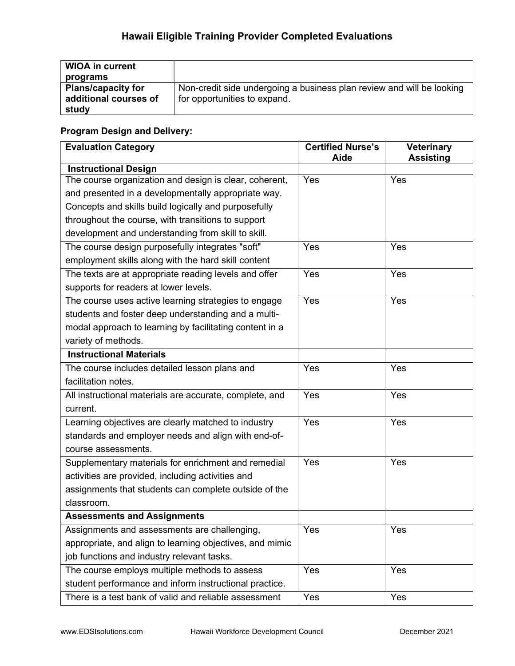| <b>WIOA in current</b>    |                                                                       |
|---------------------------|-----------------------------------------------------------------------|
| programs                  |                                                                       |
| <b>Plans/capacity for</b> | Non-credit side undergoing a business plan review and will be looking |
| additional courses of     | for opportunities to expand.                                          |
| study                     |                                                                       |

| <b>Evaluation Category</b>                               | <b>Certified Nurse's</b><br>Aide | <b>Veterinary</b><br><b>Assisting</b> |
|----------------------------------------------------------|----------------------------------|---------------------------------------|
| <b>Instructional Design</b>                              |                                  |                                       |
| The course organization and design is clear, coherent,   | Yes                              | Yes                                   |
| and presented in a developmentally appropriate way.      |                                  |                                       |
| Concepts and skills build logically and purposefully     |                                  |                                       |
| throughout the course, with transitions to support       |                                  |                                       |
| development and understanding from skill to skill.       |                                  |                                       |
| The course design purposefully integrates "soft"         | Yes                              | Yes                                   |
| employment skills along with the hard skill content      |                                  |                                       |
| The texts are at appropriate reading levels and offer    | Yes                              | Yes                                   |
| supports for readers at lower levels.                    |                                  |                                       |
| The course uses active learning strategies to engage     | Yes                              | Yes                                   |
| students and foster deep understanding and a multi-      |                                  |                                       |
| modal approach to learning by facilitating content in a  |                                  |                                       |
| variety of methods.                                      |                                  |                                       |
| <b>Instructional Materials</b>                           |                                  |                                       |
| The course includes detailed lesson plans and            | Yes                              | Yes                                   |
| facilitation notes.                                      |                                  |                                       |
| All instructional materials are accurate, complete, and  | Yes                              | Yes                                   |
| current.                                                 |                                  |                                       |
| Learning objectives are clearly matched to industry      | Yes                              | Yes                                   |
| standards and employer needs and align with end-of-      |                                  |                                       |
| course assessments.                                      |                                  |                                       |
| Supplementary materials for enrichment and remedial      | Yes                              | Yes                                   |
| activities are provided, including activities and        |                                  |                                       |
| assignments that students can complete outside of the    |                                  |                                       |
| classroom.                                               |                                  |                                       |
| <b>Assessments and Assignments</b>                       |                                  |                                       |
| Assignments and assessments are challenging,             | Yes                              | Yes                                   |
| appropriate, and align to learning objectives, and mimic |                                  |                                       |
| job functions and industry relevant tasks.               |                                  |                                       |
| The course employs multiple methods to assess            | Yes                              | Yes                                   |
| student performance and inform instructional practice.   |                                  |                                       |
| There is a test bank of valid and reliable assessment    | Yes                              | Yes                                   |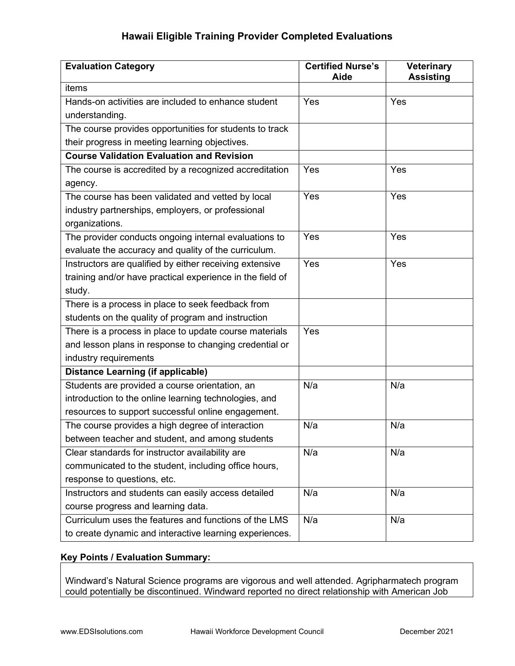| <b>Evaluation Category</b>                                | <b>Certified Nurse's</b><br>Aide | <b>Veterinary</b><br><b>Assisting</b> |
|-----------------------------------------------------------|----------------------------------|---------------------------------------|
| items                                                     |                                  |                                       |
| Hands-on activities are included to enhance student       | Yes                              | Yes                                   |
| understanding.                                            |                                  |                                       |
| The course provides opportunities for students to track   |                                  |                                       |
| their progress in meeting learning objectives.            |                                  |                                       |
| <b>Course Validation Evaluation and Revision</b>          |                                  |                                       |
| The course is accredited by a recognized accreditation    | Yes                              | Yes                                   |
| agency.                                                   |                                  |                                       |
| The course has been validated and vetted by local         | Yes                              | Yes                                   |
| industry partnerships, employers, or professional         |                                  |                                       |
| organizations.                                            |                                  |                                       |
| The provider conducts ongoing internal evaluations to     | Yes                              | Yes                                   |
| evaluate the accuracy and quality of the curriculum.      |                                  |                                       |
| Instructors are qualified by either receiving extensive   | Yes                              | Yes                                   |
| training and/or have practical experience in the field of |                                  |                                       |
| study.                                                    |                                  |                                       |
| There is a process in place to seek feedback from         |                                  |                                       |
| students on the quality of program and instruction        |                                  |                                       |
| There is a process in place to update course materials    | Yes                              |                                       |
| and lesson plans in response to changing credential or    |                                  |                                       |
| industry requirements                                     |                                  |                                       |
| <b>Distance Learning (if applicable)</b>                  |                                  |                                       |
| Students are provided a course orientation, an            | N/a                              | N/a                                   |
| introduction to the online learning technologies, and     |                                  |                                       |
| resources to support successful online engagement.        |                                  |                                       |
| The course provides a high degree of interaction          | N/a                              | N/a                                   |
| between teacher and student, and among students           |                                  |                                       |
| Clear standards for instructor availability are           | N/a                              | N/a                                   |
| communicated to the student, including office hours,      |                                  |                                       |
| response to questions, etc.                               |                                  |                                       |
| Instructors and students can easily access detailed       | N/a                              | N/a                                   |
| course progress and learning data.                        |                                  |                                       |
| Curriculum uses the features and functions of the LMS     | N/a                              | N/a                                   |
| to create dynamic and interactive learning experiences.   |                                  |                                       |

### Key Points / Evaluation Summary:

Windward's Natural Science programs are vigorous and well attended. Agripharmatech program could potentially be discontinued. Windward reported no direct relationship with American Job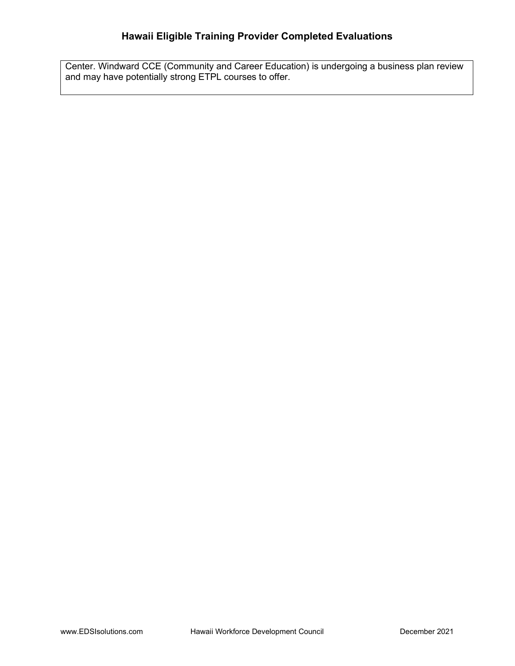Center. Windward CCE (Community and Career Education) is undergoing a business plan review and may have potentially strong ETPL courses to offer.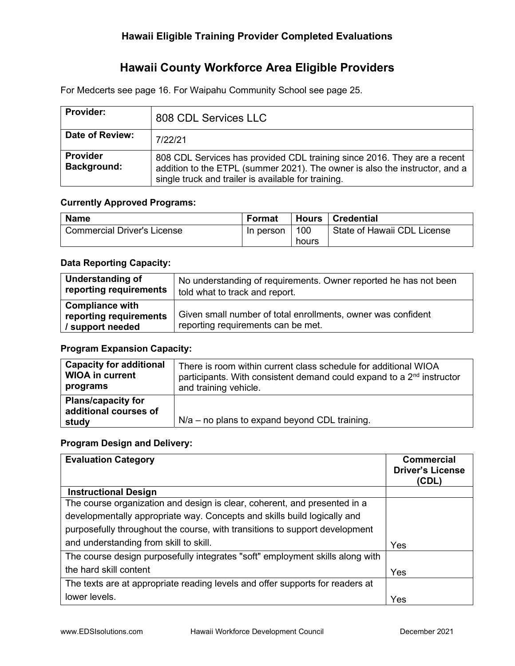# Hawaii County Workforce Area Eligible Providers

For Medcerts see page 16. For Waipahu Community School see page 25.

| <b>Provider:</b>               | 808 CDL Services LLC                                                                                                                                                                                           |
|--------------------------------|----------------------------------------------------------------------------------------------------------------------------------------------------------------------------------------------------------------|
| Date of Review:                | 7/22/21                                                                                                                                                                                                        |
| Provider<br><b>Background:</b> | 808 CDL Services has provided CDL training since 2016. They are a recent<br>addition to the ETPL (summer 2021). The owner is also the instructor, and a<br>single truck and trailer is available for training. |

#### Currently Approved Programs:

| <b>Name</b>                 | Format    |       | Hours   Credential          |
|-----------------------------|-----------|-------|-----------------------------|
| Commercial Driver's License | In person | 100   | State of Hawaii CDL License |
|                             |           | hours |                             |

### Data Reporting Capacity:

| Understanding of                                                     | No understanding of requirements. Owner reported he has not been                                   |
|----------------------------------------------------------------------|----------------------------------------------------------------------------------------------------|
| reporting requirements                                               | told what to track and report.                                                                     |
| <b>Compliance with</b><br>reporting requirements<br>/ support needed | Given small number of total enrollments, owner was confident<br>reporting requirements can be met. |

## Program Expansion Capacity:

| <b>Capacity for additional</b>                              | There is room within current class schedule for additional WIOA                   |
|-------------------------------------------------------------|-----------------------------------------------------------------------------------|
| <b>WIOA in current</b>                                      | participants. With consistent demand could expand to a 2 <sup>nd</sup> instructor |
| programs                                                    | and training vehicle.                                                             |
| <b>Plans/capacity for</b><br>additional courses of<br>study | $N/a$ – no plans to expand beyond CDL training.                                   |

| <b>Evaluation Category</b>                                                    | <b>Commercial</b><br><b>Driver's License</b><br>(CDL) |
|-------------------------------------------------------------------------------|-------------------------------------------------------|
| <b>Instructional Design</b>                                                   |                                                       |
| The course organization and design is clear, coherent, and presented in a     |                                                       |
| developmentally appropriate way. Concepts and skills build logically and      |                                                       |
| purposefully throughout the course, with transitions to support development   |                                                       |
| and understanding from skill to skill.                                        | Yes                                                   |
| The course design purposefully integrates "soft" employment skills along with |                                                       |
| the hard skill content                                                        | Yes                                                   |
| The texts are at appropriate reading levels and offer supports for readers at |                                                       |
| lower levels.                                                                 | Yes                                                   |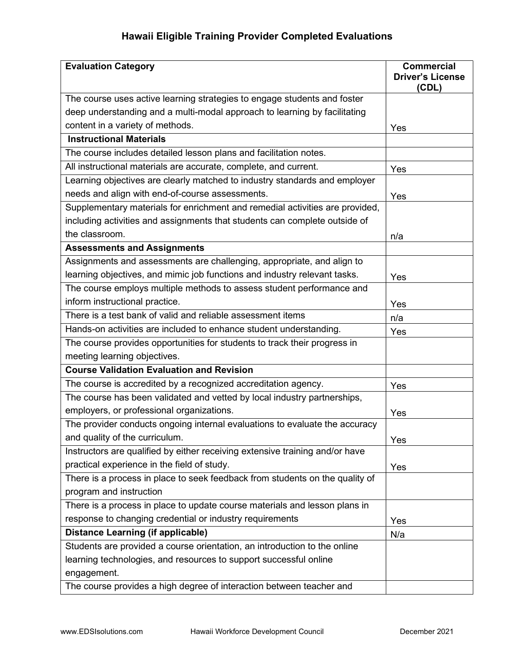| <b>Evaluation Category</b>                                                   | <b>Commercial</b><br><b>Driver's License</b><br>(CDL) |
|------------------------------------------------------------------------------|-------------------------------------------------------|
| The course uses active learning strategies to engage students and foster     |                                                       |
| deep understanding and a multi-modal approach to learning by facilitating    |                                                       |
| content in a variety of methods.                                             | Yes                                                   |
| <b>Instructional Materials</b>                                               |                                                       |
| The course includes detailed lesson plans and facilitation notes.            |                                                       |
| All instructional materials are accurate, complete, and current.             | Yes                                                   |
| Learning objectives are clearly matched to industry standards and employer   |                                                       |
| needs and align with end-of-course assessments.                              | Yes                                                   |
| Supplementary materials for enrichment and remedial activities are provided, |                                                       |
| including activities and assignments that students can complete outside of   |                                                       |
| the classroom.                                                               | n/a                                                   |
| <b>Assessments and Assignments</b>                                           |                                                       |
| Assignments and assessments are challenging, appropriate, and align to       |                                                       |
| learning objectives, and mimic job functions and industry relevant tasks.    | Yes                                                   |
| The course employs multiple methods to assess student performance and        |                                                       |
| inform instructional practice.                                               | Yes                                                   |
| There is a test bank of valid and reliable assessment items                  | n/a                                                   |
| Hands-on activities are included to enhance student understanding.           | Yes                                                   |
| The course provides opportunities for students to track their progress in    |                                                       |
| meeting learning objectives.                                                 |                                                       |
| <b>Course Validation Evaluation and Revision</b>                             |                                                       |
| The course is accredited by a recognized accreditation agency.               | Yes                                                   |
| The course has been validated and vetted by local industry partnerships,     |                                                       |
| employers, or professional organizations.                                    | Yes                                                   |
| The provider conducts ongoing internal evaluations to evaluate the accuracy  |                                                       |
| and quality of the curriculum.                                               | Yes                                                   |
| Instructors are qualified by either receiving extensive training and/or have |                                                       |
| practical experience in the field of study.                                  | Yes                                                   |
| There is a process in place to seek feedback from students on the quality of |                                                       |
| program and instruction                                                      |                                                       |
| There is a process in place to update course materials and lesson plans in   |                                                       |
| response to changing credential or industry requirements                     | Yes                                                   |
| <b>Distance Learning (if applicable)</b>                                     | N/a                                                   |
| Students are provided a course orientation, an introduction to the online    |                                                       |
| learning technologies, and resources to support successful online            |                                                       |
| engagement.                                                                  |                                                       |
| The course provides a high degree of interaction between teacher and         |                                                       |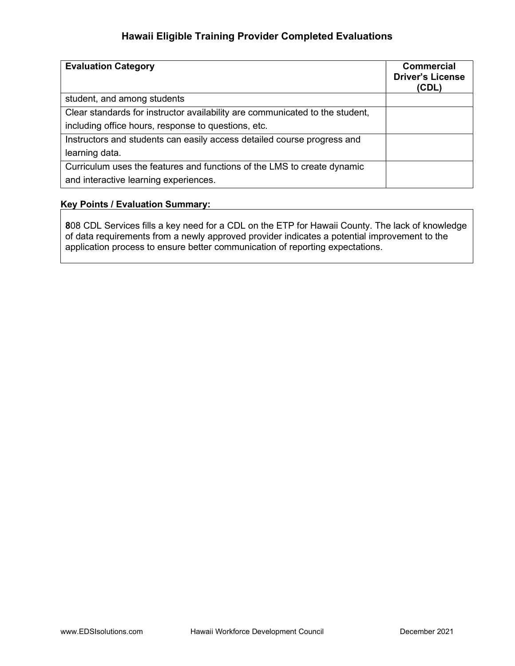| <b>Evaluation Category</b>                                                   | <b>Commercial</b><br><b>Driver's License</b><br>(CDL) |
|------------------------------------------------------------------------------|-------------------------------------------------------|
| student, and among students                                                  |                                                       |
| Clear standards for instructor availability are communicated to the student, |                                                       |
| including office hours, response to questions, etc.                          |                                                       |
| Instructors and students can easily access detailed course progress and      |                                                       |
| learning data.                                                               |                                                       |
| Curriculum uses the features and functions of the LMS to create dynamic      |                                                       |
| and interactive learning experiences.                                        |                                                       |

#### Key Points / Evaluation Summary:

808 CDL Services fills a key need for a CDL on the ETP for Hawaii County. The lack of knowledge of data requirements from a newly approved provider indicates a potential improvement to the application process to ensure better communication of reporting expectations.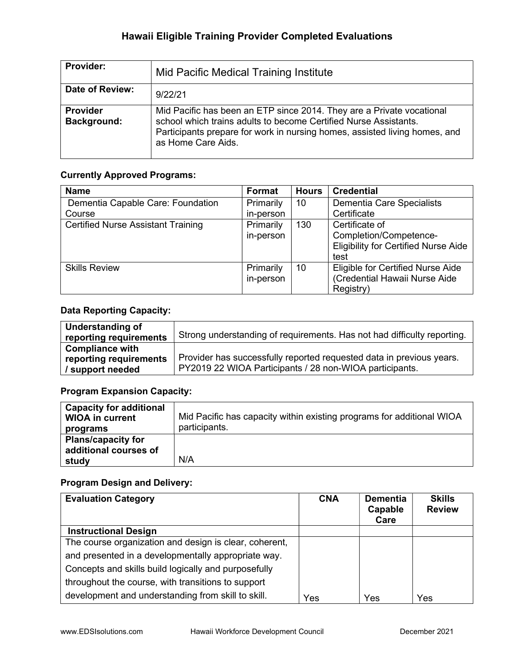| <b>Provider:</b>        | Mid Pacific Medical Training Institute                                                                                                                                                                                                        |
|-------------------------|-----------------------------------------------------------------------------------------------------------------------------------------------------------------------------------------------------------------------------------------------|
| Date of Review:         | 9/22/21                                                                                                                                                                                                                                       |
| Provider<br>Background: | Mid Pacific has been an ETP since 2014. They are a Private vocational<br>school which trains adults to become Certified Nurse Assistants.<br>Participants prepare for work in nursing homes, assisted living homes, and<br>as Home Care Aids. |

### Currently Approved Programs:

| <b>Name</b>                               | <b>Format</b> | <b>Hours</b>    | <b>Credential</b>                           |
|-------------------------------------------|---------------|-----------------|---------------------------------------------|
| Dementia Capable Care: Foundation         | Primarily     | 10              | Dementia Care Specialists                   |
| Course                                    | in-person     |                 | Certificate                                 |
| <b>Certified Nurse Assistant Training</b> | Primarily     | 130             | Certificate of                              |
|                                           | in-person     |                 | Completion/Competence-                      |
|                                           |               |                 | <b>Eligibility for Certified Nurse Aide</b> |
|                                           |               |                 | test                                        |
| <b>Skills Review</b>                      | Primarily     | 10 <sup>°</sup> | Eligible for Certified Nurse Aide           |
|                                           | in-person     |                 | (Credential Hawaii Nurse Aide               |
|                                           |               |                 | Registry)                                   |

### Data Reporting Capacity:

| Understanding of<br>reporting requirements | Strong understanding of requirements. Has not had difficulty reporting. |
|--------------------------------------------|-------------------------------------------------------------------------|
| <b>Compliance with</b>                     |                                                                         |
| reporting requirements                     | Provider has successfully reported requested data in previous years.    |
| / support needed                           | PY2019 22 WIOA Participants / 28 non-WIOA participants.                 |

# Program Expansion Capacity:

| <b>Capacity for additional</b><br><b>WIOA in current</b><br>programs | Mid Pacific has capacity within existing programs for additional WIOA<br>participants. |
|----------------------------------------------------------------------|----------------------------------------------------------------------------------------|
| <b>Plans/capacity for</b><br>additional courses of<br>study          | N/A                                                                                    |

| <b>Evaluation Category</b>                             | <b>CNA</b> | <b>Dementia</b><br>Capable<br>Care | <b>Skills</b><br><b>Review</b> |
|--------------------------------------------------------|------------|------------------------------------|--------------------------------|
| <b>Instructional Design</b>                            |            |                                    |                                |
| The course organization and design is clear, coherent, |            |                                    |                                |
| and presented in a developmentally appropriate way.    |            |                                    |                                |
| Concepts and skills build logically and purposefully   |            |                                    |                                |
| throughout the course, with transitions to support     |            |                                    |                                |
| development and understanding from skill to skill.     | Yes        | Yes                                | Yes                            |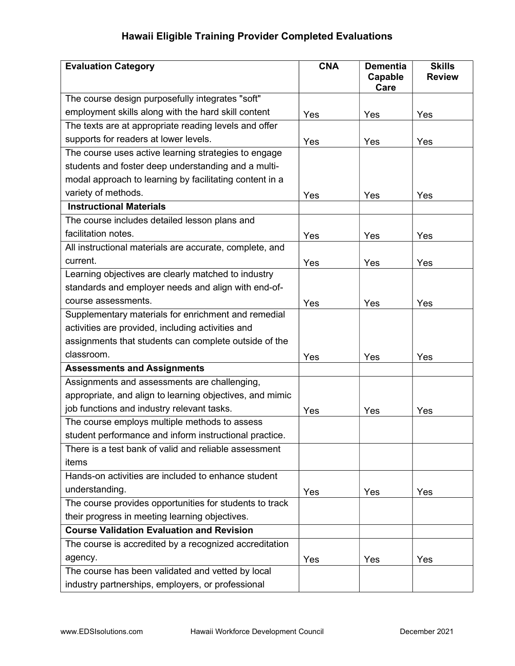| <b>Evaluation Category</b>                               | <b>CNA</b> | <b>Dementia</b><br>Capable<br>Care | <b>Skills</b><br><b>Review</b> |
|----------------------------------------------------------|------------|------------------------------------|--------------------------------|
| The course design purposefully integrates "soft"         |            |                                    |                                |
| employment skills along with the hard skill content      | Yes        | Yes                                | Yes                            |
| The texts are at appropriate reading levels and offer    |            |                                    |                                |
| supports for readers at lower levels.                    | Yes        | Yes                                | Yes                            |
| The course uses active learning strategies to engage     |            |                                    |                                |
| students and foster deep understanding and a multi-      |            |                                    |                                |
| modal approach to learning by facilitating content in a  |            |                                    |                                |
| variety of methods.                                      | Yes        | Yes                                | Yes                            |
| <b>Instructional Materials</b>                           |            |                                    |                                |
| The course includes detailed lesson plans and            |            |                                    |                                |
| facilitation notes.                                      | Yes        | Yes                                | Yes                            |
| All instructional materials are accurate, complete, and  |            |                                    |                                |
| current.                                                 | Yes        | Yes                                | Yes                            |
| Learning objectives are clearly matched to industry      |            |                                    |                                |
| standards and employer needs and align with end-of-      |            |                                    |                                |
| course assessments.                                      | Yes        | Yes                                | Yes                            |
| Supplementary materials for enrichment and remedial      |            |                                    |                                |
| activities are provided, including activities and        |            |                                    |                                |
| assignments that students can complete outside of the    |            |                                    |                                |
| classroom.                                               | Yes        | Yes                                | Yes                            |
| <b>Assessments and Assignments</b>                       |            |                                    |                                |
| Assignments and assessments are challenging,             |            |                                    |                                |
| appropriate, and align to learning objectives, and mimic |            |                                    |                                |
| job functions and industry relevant tasks.               | Yes        | Yes                                | Yes                            |
| The course employs multiple methods to assess            |            |                                    |                                |
| student performance and inform instructional practice.   |            |                                    |                                |
| There is a test bank of valid and reliable assessment    |            |                                    |                                |
| items                                                    |            |                                    |                                |
| Hands-on activities are included to enhance student      |            |                                    |                                |
| understanding.                                           | Yes        | Yes                                | Yes                            |
| The course provides opportunities for students to track  |            |                                    |                                |
| their progress in meeting learning objectives.           |            |                                    |                                |
| <b>Course Validation Evaluation and Revision</b>         |            |                                    |                                |
| The course is accredited by a recognized accreditation   |            |                                    |                                |
| agency.                                                  | Yes        | Yes                                | Yes                            |
| The course has been validated and vetted by local        |            |                                    |                                |
| industry partnerships, employers, or professional        |            |                                    |                                |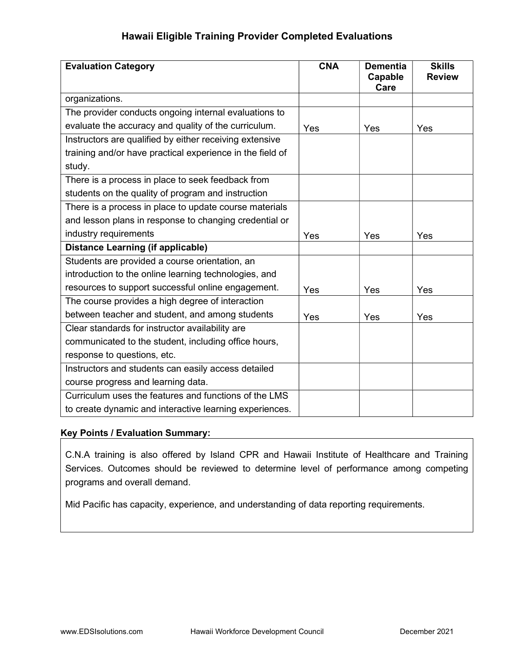| <b>Evaluation Category</b>                                | <b>CNA</b> | <b>Dementia</b><br>Capable<br>Care | <b>Skills</b><br><b>Review</b> |
|-----------------------------------------------------------|------------|------------------------------------|--------------------------------|
| organizations.                                            |            |                                    |                                |
| The provider conducts ongoing internal evaluations to     |            |                                    |                                |
| evaluate the accuracy and quality of the curriculum.      | Yes        | Yes                                | Yes                            |
| Instructors are qualified by either receiving extensive   |            |                                    |                                |
| training and/or have practical experience in the field of |            |                                    |                                |
| study.                                                    |            |                                    |                                |
| There is a process in place to seek feedback from         |            |                                    |                                |
| students on the quality of program and instruction        |            |                                    |                                |
| There is a process in place to update course materials    |            |                                    |                                |
| and lesson plans in response to changing credential or    |            |                                    |                                |
| industry requirements                                     | Yes        | Yes                                | Yes                            |
| <b>Distance Learning (if applicable)</b>                  |            |                                    |                                |
| Students are provided a course orientation, an            |            |                                    |                                |
| introduction to the online learning technologies, and     |            |                                    |                                |
| resources to support successful online engagement.        | Yes        | Yes                                | Yes                            |
| The course provides a high degree of interaction          |            |                                    |                                |
| between teacher and student, and among students           | Yes        | Yes                                | Yes                            |
| Clear standards for instructor availability are           |            |                                    |                                |
| communicated to the student, including office hours,      |            |                                    |                                |
| response to questions, etc.                               |            |                                    |                                |
| Instructors and students can easily access detailed       |            |                                    |                                |
| course progress and learning data.                        |            |                                    |                                |
| Curriculum uses the features and functions of the LMS     |            |                                    |                                |
| to create dynamic and interactive learning experiences.   |            |                                    |                                |

### Key Points / Evaluation Summary:

C.N.A training is also offered by Island CPR and Hawaii Institute of Healthcare and Training Services. Outcomes should be reviewed to determine level of performance among competing programs and overall demand.

Mid Pacific has capacity, experience, and understanding of data reporting requirements.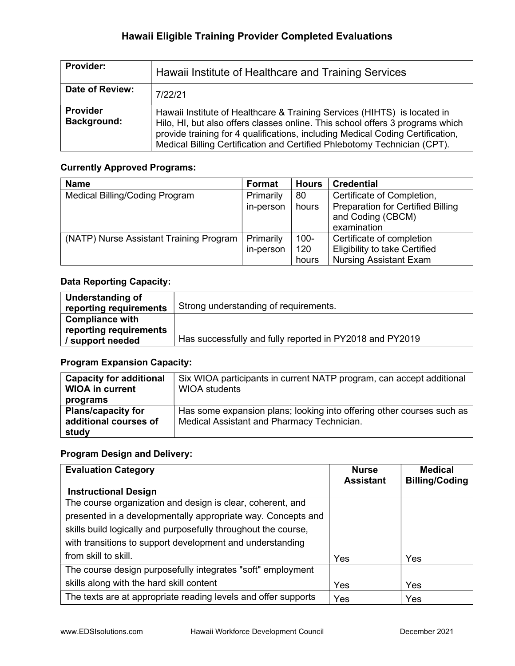| <b>Provider:</b>               | Hawaii Institute of Healthcare and Training Services                                                                                                                                                                                                                                                                    |
|--------------------------------|-------------------------------------------------------------------------------------------------------------------------------------------------------------------------------------------------------------------------------------------------------------------------------------------------------------------------|
| Date of Review:                | 7/22/21                                                                                                                                                                                                                                                                                                                 |
| <b>Provider</b><br>Background: | Hawaii Institute of Healthcare & Training Services (HIHTS) is located in<br>Hilo, HI, but also offers classes online. This school offers 3 programs which<br>provide training for 4 qualifications, including Medical Coding Certification,<br>Medical Billing Certification and Certified Phlebotomy Technician (CPT). |

## Currently Approved Programs:

| <b>Name</b>                             | Format    | <b>Hours</b> | <b>Credential</b>                                             |
|-----------------------------------------|-----------|--------------|---------------------------------------------------------------|
| Medical Billing/Coding Program          | Primarily | 80           | Certificate of Completion,                                    |
|                                         | in-person | hours        | <b>Preparation for Certified Billing</b><br>and Coding (CBCM) |
|                                         |           |              | examination                                                   |
| (NATP) Nurse Assistant Training Program | Primarily | $100 -$      | Certificate of completion                                     |
|                                         | in-person | 120          | <b>Eligibility to take Certified</b>                          |
|                                         |           | hours        | <b>Nursing Assistant Exam</b>                                 |

## Data Reporting Capacity:

| Understanding of<br>reporting requirements | Strong understanding of requirements.                    |
|--------------------------------------------|----------------------------------------------------------|
| <b>Compliance with</b>                     |                                                          |
| reporting requirements                     |                                                          |
| / support needed                           | Has successfully and fully reported in PY2018 and PY2019 |

# Program Expansion Capacity:

| <b>Capacity for additional</b><br><b>WIOA in current</b> | Six WIOA participants in current NATP program, can accept additional<br><b>WIOA students</b> |
|----------------------------------------------------------|----------------------------------------------------------------------------------------------|
| programs                                                 |                                                                                              |
| <b>Plans/capacity for</b>                                | Has some expansion plans; looking into offering other courses such as                        |
| additional courses of                                    | Medical Assistant and Pharmacy Technician.                                                   |
| study                                                    |                                                                                              |

| <b>Evaluation Category</b>                                     | <b>Nurse</b><br><b>Assistant</b> | <b>Medical</b><br><b>Billing/Coding</b> |
|----------------------------------------------------------------|----------------------------------|-----------------------------------------|
| <b>Instructional Design</b>                                    |                                  |                                         |
| The course organization and design is clear, coherent, and     |                                  |                                         |
| presented in a developmentally appropriate way. Concepts and   |                                  |                                         |
| skills build logically and purposefully throughout the course, |                                  |                                         |
| with transitions to support development and understanding      |                                  |                                         |
| from skill to skill.                                           | Yes                              | Yes                                     |
| The course design purposefully integrates "soft" employment    |                                  |                                         |
| skills along with the hard skill content                       | Yes                              | Yes                                     |
| The texts are at appropriate reading levels and offer supports | Yes                              | Yes                                     |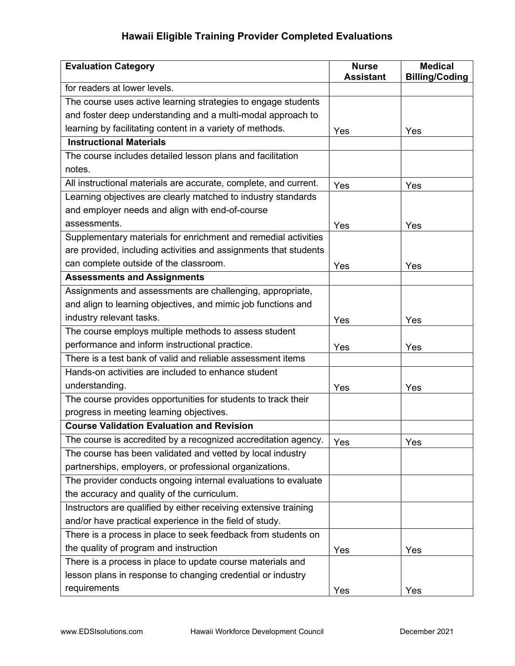| <b>Evaluation Category</b>                                       | <b>Nurse</b>     | <b>Medical</b>        |
|------------------------------------------------------------------|------------------|-----------------------|
|                                                                  | <b>Assistant</b> | <b>Billing/Coding</b> |
| for readers at lower levels.                                     |                  |                       |
| The course uses active learning strategies to engage students    |                  |                       |
| and foster deep understanding and a multi-modal approach to      |                  |                       |
| learning by facilitating content in a variety of methods.        | Yes              | Yes                   |
| <b>Instructional Materials</b>                                   |                  |                       |
| The course includes detailed lesson plans and facilitation       |                  |                       |
| notes.                                                           |                  |                       |
| All instructional materials are accurate, complete, and current. | Yes              | Yes                   |
| Learning objectives are clearly matched to industry standards    |                  |                       |
| and employer needs and align with end-of-course                  |                  |                       |
| assessments.                                                     | Yes              | Yes                   |
| Supplementary materials for enrichment and remedial activities   |                  |                       |
| are provided, including activities and assignments that students |                  |                       |
| can complete outside of the classroom.                           | Yes              | Yes                   |
| <b>Assessments and Assignments</b>                               |                  |                       |
| Assignments and assessments are challenging, appropriate,        |                  |                       |
| and align to learning objectives, and mimic job functions and    |                  |                       |
| industry relevant tasks.                                         | Yes              | Yes                   |
| The course employs multiple methods to assess student            |                  |                       |
| performance and inform instructional practice.                   | Yes              | Yes                   |
| There is a test bank of valid and reliable assessment items      |                  |                       |
| Hands-on activities are included to enhance student              |                  |                       |
| understanding.                                                   | Yes              | Yes                   |
| The course provides opportunities for students to track their    |                  |                       |
| progress in meeting learning objectives.                         |                  |                       |
| <b>Course Validation Evaluation and Revision</b>                 |                  |                       |
| The course is accredited by a recognized accreditation agency.   | Yes              | Yes                   |
| The course has been validated and vetted by local industry       |                  |                       |
| partnerships, employers, or professional organizations.          |                  |                       |
| The provider conducts ongoing internal evaluations to evaluate   |                  |                       |
| the accuracy and quality of the curriculum.                      |                  |                       |
| Instructors are qualified by either receiving extensive training |                  |                       |
| and/or have practical experience in the field of study.          |                  |                       |
| There is a process in place to seek feedback from students on    |                  |                       |
| the quality of program and instruction                           | Yes              | Yes                   |
| There is a process in place to update course materials and       |                  |                       |
| lesson plans in response to changing credential or industry      |                  |                       |
| requirements                                                     | Yes              | Yes                   |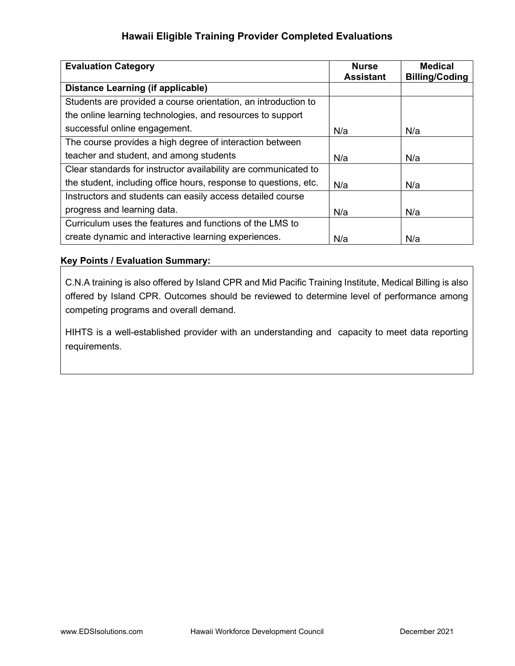| <b>Evaluation Category</b>                                       | <b>Nurse</b>     | <b>Medical</b>        |
|------------------------------------------------------------------|------------------|-----------------------|
|                                                                  | <b>Assistant</b> | <b>Billing/Coding</b> |
| <b>Distance Learning (if applicable)</b>                         |                  |                       |
| Students are provided a course orientation, an introduction to   |                  |                       |
| the online learning technologies, and resources to support       |                  |                       |
| successful online engagement.                                    | N/a              | N/a                   |
| The course provides a high degree of interaction between         |                  |                       |
| teacher and student, and among students                          | N/a              | N/a                   |
| Clear standards for instructor availability are communicated to  |                  |                       |
| the student, including office hours, response to questions, etc. | N/a              | N/a                   |
| Instructors and students can easily access detailed course       |                  |                       |
| progress and learning data.                                      | N/a              | N/a                   |
| Curriculum uses the features and functions of the LMS to         |                  |                       |
| create dynamic and interactive learning experiences.             | N/a              | N/a                   |

## Key Points / Evaluation Summary:

C.N.A training is also offered by Island CPR and Mid Pacific Training Institute, Medical Billing is also offered by Island CPR. Outcomes should be reviewed to determine level of performance among competing programs and overall demand.

HIHTS is a well-established provider with an understanding and capacity to meet data reporting requirements.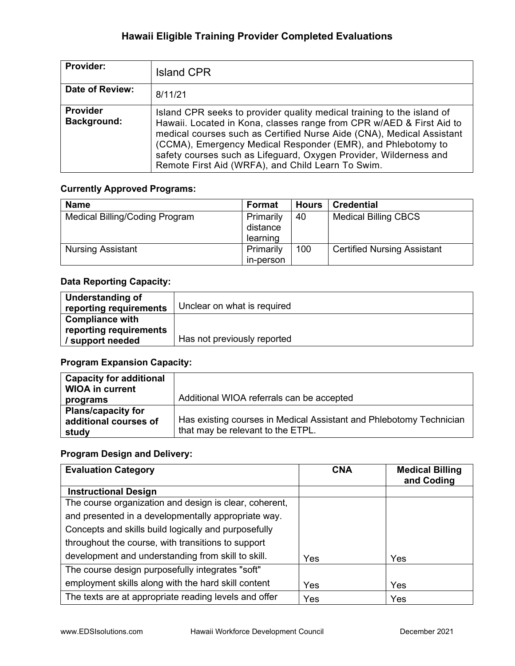| Provider:                      | <b>Island CPR</b>                                                                                                                                                                                                                                                                                                                                                                                                 |
|--------------------------------|-------------------------------------------------------------------------------------------------------------------------------------------------------------------------------------------------------------------------------------------------------------------------------------------------------------------------------------------------------------------------------------------------------------------|
| Date of Review:                | 8/11/21                                                                                                                                                                                                                                                                                                                                                                                                           |
| <b>Provider</b><br>Background: | Island CPR seeks to provider quality medical training to the island of<br>Hawaii. Located in Kona, classes range from CPR w/AED & First Aid to<br>medical courses such as Certified Nurse Aide (CNA), Medical Assistant<br>(CCMA), Emergency Medical Responder (EMR), and Phlebotomy to<br>safety courses such as Lifeguard, Oxygen Provider, Wilderness and<br>Remote First Aid (WRFA), and Child Learn To Swim. |

## Currently Approved Programs:

| <b>Name</b>                    | Format    | <b>Hours</b> | <b>Credential</b>                  |
|--------------------------------|-----------|--------------|------------------------------------|
| Medical Billing/Coding Program | Primarily | 40           | <b>Medical Billing CBCS</b>        |
|                                | distance  |              |                                    |
|                                | learning  |              |                                    |
| <b>Nursing Assistant</b>       | Primarily | 100          | <b>Certified Nursing Assistant</b> |
|                                | in-person |              |                                    |

### Data Reporting Capacity:

| Understanding of       |                             |
|------------------------|-----------------------------|
| reporting requirements | Unclear on what is required |
| <b>Compliance with</b> |                             |
| reporting requirements |                             |
| / support needed       | Has not previously reported |

# Program Expansion Capacity:

| <b>Capacity for additional</b><br><b>WIOA in current</b>    |                                                                                                          |
|-------------------------------------------------------------|----------------------------------------------------------------------------------------------------------|
| programs                                                    | Additional WIOA referrals can be accepted                                                                |
| <b>Plans/capacity for</b><br>additional courses of<br>study | Has existing courses in Medical Assistant and Phlebotomy Technician<br>that may be relevant to the ETPL. |

| <b>Evaluation Category</b>                             | <b>CNA</b> | <b>Medical Billing</b><br>and Coding |
|--------------------------------------------------------|------------|--------------------------------------|
| <b>Instructional Design</b>                            |            |                                      |
| The course organization and design is clear, coherent, |            |                                      |
| and presented in a developmentally appropriate way.    |            |                                      |
| Concepts and skills build logically and purposefully   |            |                                      |
| throughout the course, with transitions to support     |            |                                      |
| development and understanding from skill to skill.     | Yes        | Yes                                  |
| The course design purposefully integrates "soft"       |            |                                      |
| employment skills along with the hard skill content    | Yes        | Yes                                  |
| The texts are at appropriate reading levels and offer  | Yes        | Yes                                  |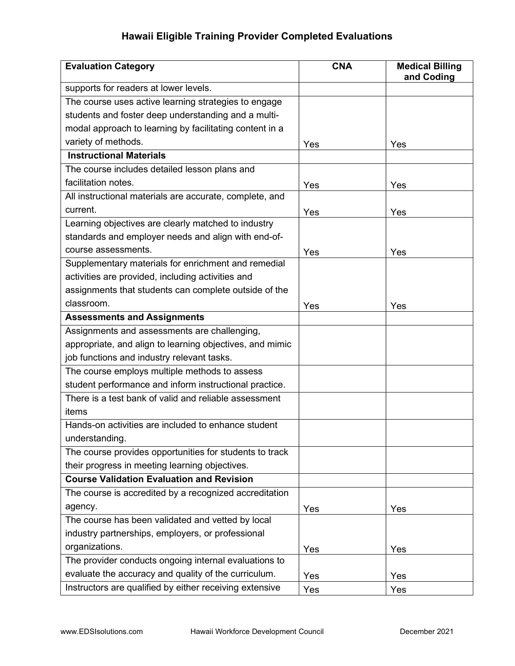| <b>Evaluation Category</b>                               | <b>CNA</b> | <b>Medical Billing</b><br>and Coding |
|----------------------------------------------------------|------------|--------------------------------------|
| supports for readers at lower levels.                    |            |                                      |
| The course uses active learning strategies to engage     |            |                                      |
| students and foster deep understanding and a multi-      |            |                                      |
| modal approach to learning by facilitating content in a  |            |                                      |
| variety of methods.                                      | Yes        | Yes                                  |
| <b>Instructional Materials</b>                           |            |                                      |
| The course includes detailed lesson plans and            |            |                                      |
| facilitation notes.                                      | Yes        | Yes                                  |
| All instructional materials are accurate, complete, and  |            |                                      |
| current.                                                 | Yes        | Yes                                  |
| Learning objectives are clearly matched to industry      |            |                                      |
| standards and employer needs and align with end-of-      |            |                                      |
| course assessments.                                      | Yes        | Yes                                  |
| Supplementary materials for enrichment and remedial      |            |                                      |
| activities are provided, including activities and        |            |                                      |
| assignments that students can complete outside of the    |            |                                      |
| classroom.                                               | Yes        | Yes                                  |
| <b>Assessments and Assignments</b>                       |            |                                      |
| Assignments and assessments are challenging,             |            |                                      |
| appropriate, and align to learning objectives, and mimic |            |                                      |
| job functions and industry relevant tasks.               |            |                                      |
| The course employs multiple methods to assess            |            |                                      |
| student performance and inform instructional practice.   |            |                                      |
| There is a test bank of valid and reliable assessment    |            |                                      |
| items                                                    |            |                                      |
| Hands-on activities are included to enhance student      |            |                                      |
| understanding.                                           |            |                                      |
| The course provides opportunities for students to track  |            |                                      |
| their progress in meeting learning objectives.           |            |                                      |
| <b>Course Validation Evaluation and Revision</b>         |            |                                      |
| The course is accredited by a recognized accreditation   |            |                                      |
| agency.                                                  | Yes        | Yes                                  |
| The course has been validated and vetted by local        |            |                                      |
| industry partnerships, employers, or professional        |            |                                      |
| organizations.                                           | Yes        | Yes                                  |
| The provider conducts ongoing internal evaluations to    |            |                                      |
| evaluate the accuracy and quality of the curriculum.     | Yes        | Yes                                  |
| Instructors are qualified by either receiving extensive  | Yes        | Yes                                  |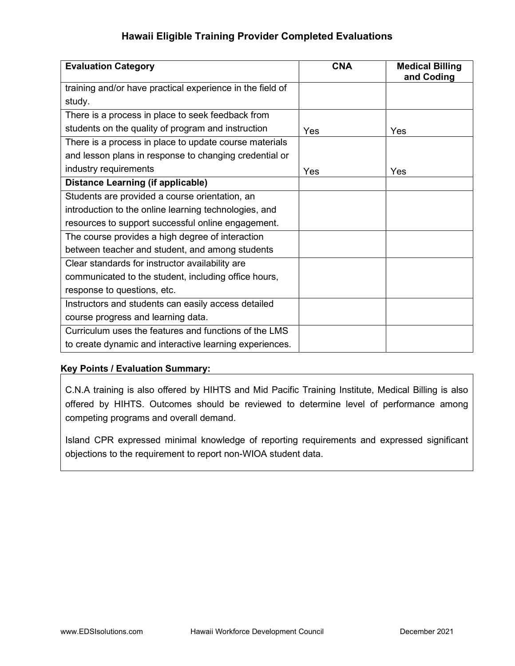| <b>Evaluation Category</b>                                | <b>CNA</b> | <b>Medical Billing</b><br>and Coding |
|-----------------------------------------------------------|------------|--------------------------------------|
| training and/or have practical experience in the field of |            |                                      |
| study.                                                    |            |                                      |
| There is a process in place to seek feedback from         |            |                                      |
| students on the quality of program and instruction        | Yes        | Yes                                  |
| There is a process in place to update course materials    |            |                                      |
| and lesson plans in response to changing credential or    |            |                                      |
| industry requirements                                     | Yes        | Yes                                  |
| <b>Distance Learning (if applicable)</b>                  |            |                                      |
| Students are provided a course orientation, an            |            |                                      |
| introduction to the online learning technologies, and     |            |                                      |
| resources to support successful online engagement.        |            |                                      |
| The course provides a high degree of interaction          |            |                                      |
| between teacher and student, and among students           |            |                                      |
| Clear standards for instructor availability are           |            |                                      |
| communicated to the student, including office hours,      |            |                                      |
| response to questions, etc.                               |            |                                      |
| Instructors and students can easily access detailed       |            |                                      |
| course progress and learning data.                        |            |                                      |
| Curriculum uses the features and functions of the LMS     |            |                                      |
| to create dynamic and interactive learning experiences.   |            |                                      |

### Key Points / Evaluation Summary:

C.N.A training is also offered by HIHTS and Mid Pacific Training Institute, Medical Billing is also offered by HIHTS. Outcomes should be reviewed to determine level of performance among competing programs and overall demand.

Island CPR expressed minimal knowledge of reporting requirements and expressed significant objections to the requirement to report non-WIOA student data.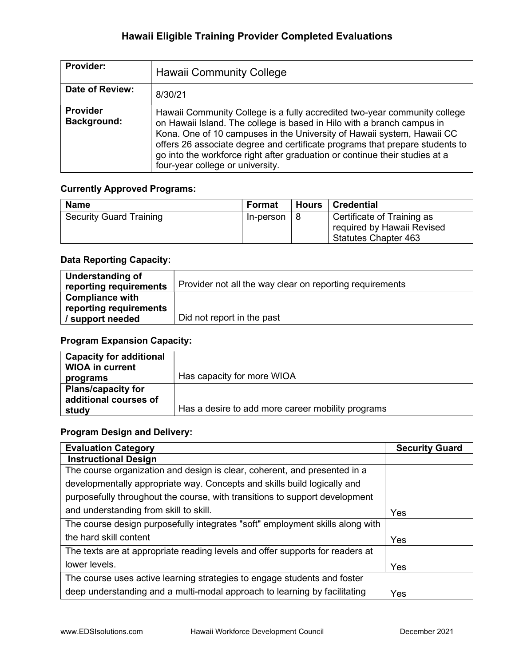| <b>Provider:</b>                      | <b>Hawaii Community College</b>                                                                                                                                                                                                                                                                                                                                                                                                  |
|---------------------------------------|----------------------------------------------------------------------------------------------------------------------------------------------------------------------------------------------------------------------------------------------------------------------------------------------------------------------------------------------------------------------------------------------------------------------------------|
| Date of Review:                       | 8/30/21                                                                                                                                                                                                                                                                                                                                                                                                                          |
| <b>Provider</b><br><b>Background:</b> | Hawaii Community College is a fully accredited two-year community college<br>on Hawaii Island. The college is based in Hilo with a branch campus in<br>Kona. One of 10 campuses in the University of Hawaii system, Hawaii CC<br>offers 26 associate degree and certificate programs that prepare students to<br>go into the workforce right after graduation or continue their studies at a<br>four-year college or university. |

### Currently Approved Programs:

| <b>Name</b>                    | Format    | Hours   Credential                                                                      |
|--------------------------------|-----------|-----------------------------------------------------------------------------------------|
| <b>Security Guard Training</b> | In-person | Certificate of Training as<br>required by Hawaii Revised<br><b>Statutes Chapter 463</b> |

### Data Reporting Capacity:

| Understanding of<br>reporting requirements | Provider not all the way clear on reporting requirements |
|--------------------------------------------|----------------------------------------------------------|
| <b>Compliance with</b>                     |                                                          |
| reporting requirements                     |                                                          |
| support needed                             | Did not report in the past                               |

## Program Expansion Capacity:

| <b>Capacity for additional</b><br><b>WIOA in current</b>    |                                                   |
|-------------------------------------------------------------|---------------------------------------------------|
| programs                                                    | Has capacity for more WIOA                        |
| <b>Plans/capacity for</b><br>additional courses of<br>study | Has a desire to add more career mobility programs |

| <b>Evaluation Category</b>                                                    | <b>Security Guard</b> |
|-------------------------------------------------------------------------------|-----------------------|
| <b>Instructional Design</b>                                                   |                       |
| The course organization and design is clear, coherent, and presented in a     |                       |
| developmentally appropriate way. Concepts and skills build logically and      |                       |
| purposefully throughout the course, with transitions to support development   |                       |
| and understanding from skill to skill.                                        | Yes                   |
| The course design purposefully integrates "soft" employment skills along with |                       |
| the hard skill content                                                        | Yes                   |
| The texts are at appropriate reading levels and offer supports for readers at |                       |
| lower levels.                                                                 | Yes                   |
| The course uses active learning strategies to engage students and foster      |                       |
| deep understanding and a multi-modal approach to learning by facilitating     | Yes                   |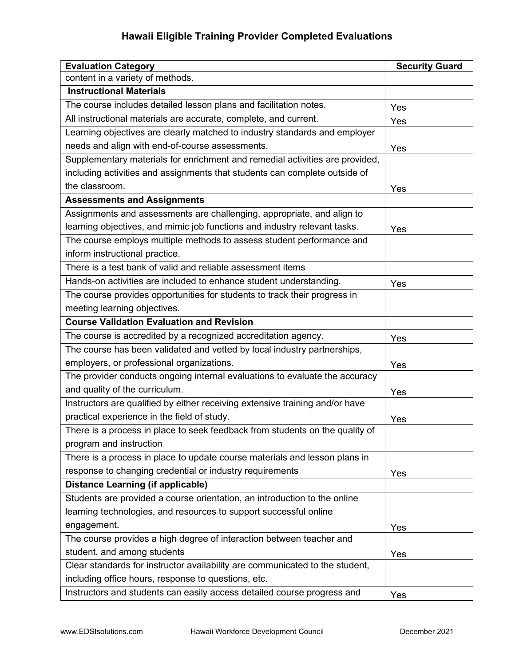| <b>Evaluation Category</b>                                                   | <b>Security Guard</b> |
|------------------------------------------------------------------------------|-----------------------|
| content in a variety of methods.                                             |                       |
| <b>Instructional Materials</b>                                               |                       |
| The course includes detailed lesson plans and facilitation notes.            | Yes                   |
| All instructional materials are accurate, complete, and current.             | Yes                   |
| Learning objectives are clearly matched to industry standards and employer   |                       |
| needs and align with end-of-course assessments.                              | Yes                   |
| Supplementary materials for enrichment and remedial activities are provided, |                       |
| including activities and assignments that students can complete outside of   |                       |
| the classroom.                                                               | Yes                   |
| <b>Assessments and Assignments</b>                                           |                       |
| Assignments and assessments are challenging, appropriate, and align to       |                       |
| learning objectives, and mimic job functions and industry relevant tasks.    | Yes                   |
| The course employs multiple methods to assess student performance and        |                       |
| inform instructional practice.                                               |                       |
| There is a test bank of valid and reliable assessment items                  |                       |
| Hands-on activities are included to enhance student understanding.           | Yes                   |
| The course provides opportunities for students to track their progress in    |                       |
| meeting learning objectives.                                                 |                       |
| <b>Course Validation Evaluation and Revision</b>                             |                       |
| The course is accredited by a recognized accreditation agency.               | Yes                   |
| The course has been validated and vetted by local industry partnerships,     |                       |
| employers, or professional organizations.                                    | Yes                   |
| The provider conducts ongoing internal evaluations to evaluate the accuracy  |                       |
| and quality of the curriculum.                                               | Yes                   |
| Instructors are qualified by either receiving extensive training and/or have |                       |
| practical experience in the field of study.                                  | Yes                   |
| There is a process in place to seek feedback from students on the quality of |                       |
| program and instruction                                                      |                       |
| There is a process in place to update course materials and lesson plans in   |                       |
| response to changing credential or industry requirements                     | Yes                   |
| <b>Distance Learning (if applicable)</b>                                     |                       |
| Students are provided a course orientation, an introduction to the online    |                       |
| learning technologies, and resources to support successful online            |                       |
| engagement.                                                                  | Yes                   |
| The course provides a high degree of interaction between teacher and         |                       |
| student, and among students                                                  | Yes                   |
| Clear standards for instructor availability are communicated to the student, |                       |
| including office hours, response to questions, etc.                          |                       |
| Instructors and students can easily access detailed course progress and      | Yes                   |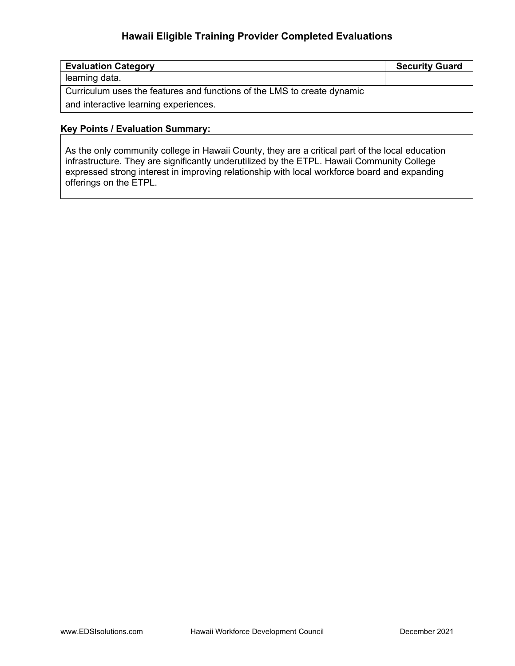| <b>Evaluation Category</b>                                              | <b>Security Guard</b> |
|-------------------------------------------------------------------------|-----------------------|
| learning data.                                                          |                       |
| Curriculum uses the features and functions of the LMS to create dynamic |                       |
| and interactive learning experiences.                                   |                       |

#### Key Points / Evaluation Summary:

As the only community college in Hawaii County, they are a critical part of the local education infrastructure. They are significantly underutilized by the ETPL. Hawaii Community College expressed strong interest in improving relationship with local workforce board and expanding offerings on the ETPL.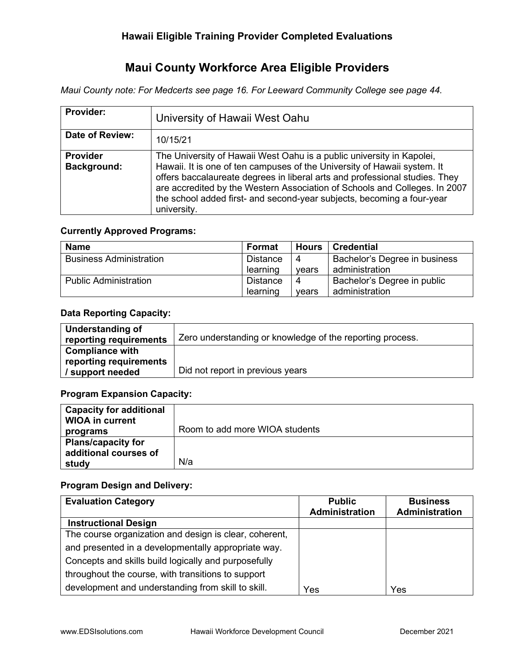# Maui County Workforce Area Eligible Providers

Maui County note: For Medcerts see page 16. For Leeward Community College see page 44.

| <b>Provider:</b>               | University of Hawaii West Oahu                                                                                                                                                                                                                                                                                                                                                                          |
|--------------------------------|---------------------------------------------------------------------------------------------------------------------------------------------------------------------------------------------------------------------------------------------------------------------------------------------------------------------------------------------------------------------------------------------------------|
| Date of Review:                | 10/15/21                                                                                                                                                                                                                                                                                                                                                                                                |
| <b>Provider</b><br>Background: | The University of Hawaii West Oahu is a public university in Kapolei,<br>Hawaii. It is one of ten campuses of the University of Hawaii system. It<br>offers baccalaureate degrees in liberal arts and professional studies. They<br>are accredited by the Western Association of Schools and Colleges. In 2007<br>the school added first- and second-year subjects, becoming a four-year<br>university. |

### Currently Approved Programs:

| <b>Name</b>                    | Format               | Hours | <b>Credential</b>             |
|--------------------------------|----------------------|-------|-------------------------------|
| <b>Business Administration</b> | <b>Distance</b><br>4 |       | Bachelor's Degree in business |
|                                | learning             | vears | administration                |
| <b>Public Administration</b>   | Distance             | 4     | Bachelor's Degree in public   |
|                                | learning             | vears | administration                |

### Data Reporting Capacity:

| <b>Understanding of</b> | Zero understanding or knowledge of the reporting process. |
|-------------------------|-----------------------------------------------------------|
| reporting requirements  |                                                           |
| Compliance with         |                                                           |
| reporting requirements  |                                                           |
| / support needed        | Did not report in previous years                          |

### Program Expansion Capacity:

| <b>Capacity for additional</b><br><b>WIOA in current</b> |                                |
|----------------------------------------------------------|--------------------------------|
| programs                                                 | Room to add more WIOA students |
| <b>Plans/capacity for</b>                                |                                |
| additional courses of                                    |                                |
| study                                                    | N/a                            |

### Program Design and Delivery:

| <b>Evaluation Category</b>                             | <b>Public</b><br><b>Administration</b> | <b>Business</b><br>Administration |
|--------------------------------------------------------|----------------------------------------|-----------------------------------|
| <b>Instructional Design</b>                            |                                        |                                   |
| The course organization and design is clear, coherent, |                                        |                                   |
| and presented in a developmentally appropriate way.    |                                        |                                   |
| Concepts and skills build logically and purposefully   |                                        |                                   |
| throughout the course, with transitions to support     |                                        |                                   |
| development and understanding from skill to skill.     | Yes                                    | Yes                               |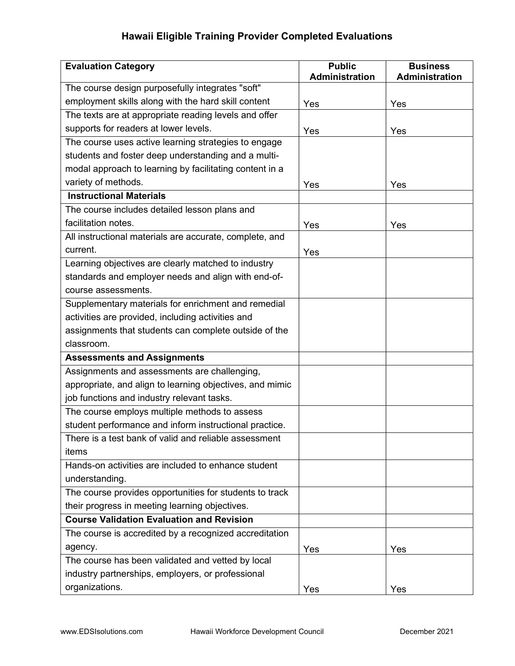| <b>Evaluation Category</b>                               | <b>Public</b><br><b>Administration</b> | <b>Business</b><br>Administration |
|----------------------------------------------------------|----------------------------------------|-----------------------------------|
| The course design purposefully integrates "soft"         |                                        |                                   |
| employment skills along with the hard skill content      | Yes                                    | Yes                               |
| The texts are at appropriate reading levels and offer    |                                        |                                   |
| supports for readers at lower levels.                    | Yes                                    | Yes                               |
| The course uses active learning strategies to engage     |                                        |                                   |
| students and foster deep understanding and a multi-      |                                        |                                   |
| modal approach to learning by facilitating content in a  |                                        |                                   |
| variety of methods.                                      | Yes                                    | Yes                               |
| <b>Instructional Materials</b>                           |                                        |                                   |
| The course includes detailed lesson plans and            |                                        |                                   |
| facilitation notes.                                      | Yes                                    | Yes                               |
| All instructional materials are accurate, complete, and  |                                        |                                   |
| current.                                                 | Yes                                    |                                   |
| Learning objectives are clearly matched to industry      |                                        |                                   |
| standards and employer needs and align with end-of-      |                                        |                                   |
| course assessments.                                      |                                        |                                   |
| Supplementary materials for enrichment and remedial      |                                        |                                   |
| activities are provided, including activities and        |                                        |                                   |
| assignments that students can complete outside of the    |                                        |                                   |
| classroom.                                               |                                        |                                   |
| <b>Assessments and Assignments</b>                       |                                        |                                   |
| Assignments and assessments are challenging,             |                                        |                                   |
| appropriate, and align to learning objectives, and mimic |                                        |                                   |
| job functions and industry relevant tasks.               |                                        |                                   |
| The course employs multiple methods to assess            |                                        |                                   |
| student performance and inform instructional practice.   |                                        |                                   |
| There is a test bank of valid and reliable assessment    |                                        |                                   |
| items                                                    |                                        |                                   |
| Hands-on activities are included to enhance student      |                                        |                                   |
| understanding.                                           |                                        |                                   |
| The course provides opportunities for students to track  |                                        |                                   |
| their progress in meeting learning objectives.           |                                        |                                   |
| <b>Course Validation Evaluation and Revision</b>         |                                        |                                   |
| The course is accredited by a recognized accreditation   |                                        |                                   |
| agency.                                                  |                                        |                                   |
| The course has been validated and vetted by local        | Yes                                    | Yes                               |
| industry partnerships, employers, or professional        |                                        |                                   |
| organizations.                                           | Yes                                    | Yes                               |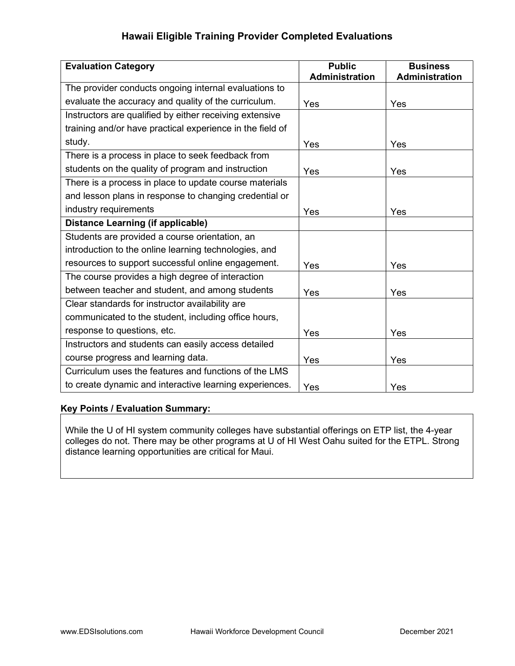| <b>Evaluation Category</b>                                | <b>Public</b><br><b>Administration</b> | <b>Business</b><br><b>Administration</b> |
|-----------------------------------------------------------|----------------------------------------|------------------------------------------|
| The provider conducts ongoing internal evaluations to     |                                        |                                          |
| evaluate the accuracy and quality of the curriculum.      | Yes                                    | Yes                                      |
| Instructors are qualified by either receiving extensive   |                                        |                                          |
| training and/or have practical experience in the field of |                                        |                                          |
| study.                                                    | Yes                                    | Yes                                      |
| There is a process in place to seek feedback from         |                                        |                                          |
| students on the quality of program and instruction        | Yes                                    | Yes                                      |
| There is a process in place to update course materials    |                                        |                                          |
| and lesson plans in response to changing credential or    |                                        |                                          |
| industry requirements                                     | Yes                                    | Yes                                      |
| <b>Distance Learning (if applicable)</b>                  |                                        |                                          |
| Students are provided a course orientation, an            |                                        |                                          |
| introduction to the online learning technologies, and     |                                        |                                          |
| resources to support successful online engagement.        | Yes                                    | Yes                                      |
| The course provides a high degree of interaction          |                                        |                                          |
| between teacher and student, and among students           | Yes                                    | Yes                                      |
| Clear standards for instructor availability are           |                                        |                                          |
| communicated to the student, including office hours,      |                                        |                                          |
| response to questions, etc.                               | Yes                                    | Yes                                      |
| Instructors and students can easily access detailed       |                                        |                                          |
| course progress and learning data.                        | Yes                                    | Yes                                      |
| Curriculum uses the features and functions of the LMS     |                                        |                                          |
| to create dynamic and interactive learning experiences.   | Yes                                    | Yes                                      |

### Key Points / Evaluation Summary:

While the U of HI system community colleges have substantial offerings on ETP list, the 4-year colleges do not. There may be other programs at U of HI West Oahu suited for the ETPL. Strong distance learning opportunities are critical for Maui.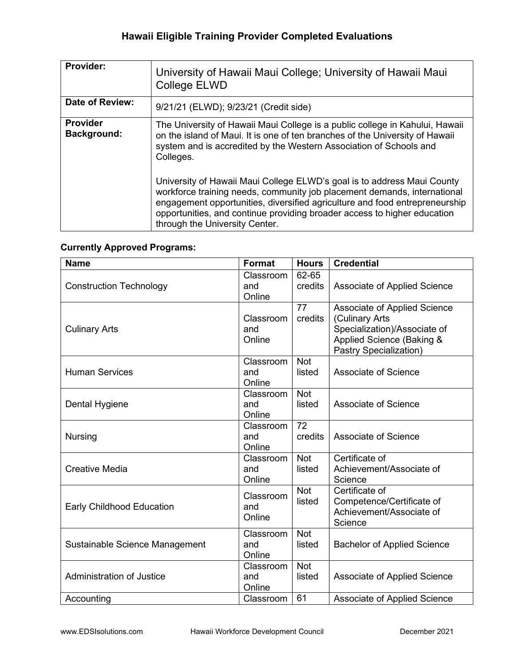| Provider:                      | University of Hawaii Maui College; University of Hawaii Maui<br><b>College ELWD</b>                                                                                                                                                                                                                                                              |
|--------------------------------|--------------------------------------------------------------------------------------------------------------------------------------------------------------------------------------------------------------------------------------------------------------------------------------------------------------------------------------------------|
| Date of Review:                | 9/21/21 (ELWD); 9/23/21 (Credit side)                                                                                                                                                                                                                                                                                                            |
| <b>Provider</b><br>Background: | The University of Hawaii Maui College is a public college in Kahului, Hawaii<br>on the island of Maui. It is one of ten branches of the University of Hawaii<br>system and is accredited by the Western Association of Schools and<br>Colleges.                                                                                                  |
|                                | University of Hawaii Maui College ELWD's goal is to address Maui County<br>workforce training needs, community job placement demands, international<br>engagement opportunities, diversified agriculture and food entrepreneurship<br>opportunities, and continue providing broader access to higher education<br>through the University Center. |

## Currently Approved Programs:

| <b>Name</b>                      | <b>Format</b>              | <b>Hours</b>         | <b>Credential</b>                                                                                                                     |
|----------------------------------|----------------------------|----------------------|---------------------------------------------------------------------------------------------------------------------------------------|
| <b>Construction Technology</b>   | Classroom<br>and<br>Online | 62-65<br>credits     | Associate of Applied Science                                                                                                          |
| <b>Culinary Arts</b>             | Classroom<br>and<br>Online | 77<br>credits        | Associate of Applied Science<br>(Culinary Arts<br>Specialization)/Associate of<br>Applied Science (Baking &<br>Pastry Specialization) |
| <b>Human Services</b>            | Classroom<br>and<br>Online | <b>Not</b><br>listed | <b>Associate of Science</b>                                                                                                           |
| Dental Hygiene                   | Classroom<br>and<br>Online | <b>Not</b><br>listed | Associate of Science                                                                                                                  |
| <b>Nursing</b>                   | Classroom<br>and<br>Online | 72<br>credits        | <b>Associate of Science</b>                                                                                                           |
| <b>Creative Media</b>            | Classroom<br>and<br>Online | <b>Not</b><br>listed | Certificate of<br>Achievement/Associate of<br>Science                                                                                 |
| <b>Early Childhood Education</b> | Classroom<br>and<br>Online | <b>Not</b><br>listed | Certificate of<br>Competence/Certificate of<br>Achievement/Associate of<br>Science                                                    |
| Sustainable Science Management   | Classroom<br>and<br>Online | <b>Not</b><br>listed | <b>Bachelor of Applied Science</b>                                                                                                    |
| <b>Administration of Justice</b> | Classroom<br>and<br>Online | <b>Not</b><br>listed | Associate of Applied Science                                                                                                          |
| Accounting                       | Classroom                  | 61                   | Associate of Applied Science                                                                                                          |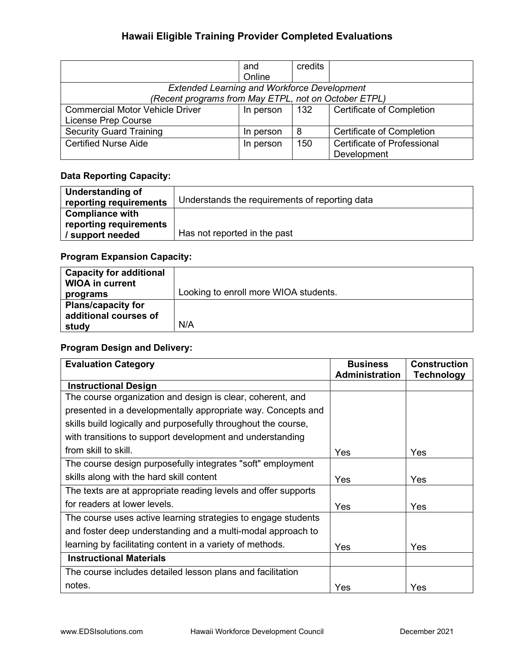|                                                      | and<br>Online | credits |                                  |
|------------------------------------------------------|---------------|---------|----------------------------------|
| <b>Extended Learning and Workforce Development</b>   |               |         |                                  |
| (Recent programs from May ETPL, not on October ETPL) |               |         |                                  |
| <b>Commercial Motor Vehicle Driver</b>               | In person     | 132     | <b>Certificate of Completion</b> |
| License Prep Course                                  |               |         |                                  |
| <b>Security Guard Training</b>                       | In person     | 8       | <b>Certificate of Completion</b> |
| <b>Certified Nurse Aide</b>                          | In person     | 150     | Certificate of Professional      |
|                                                      |               |         | Development                      |

### Data Reporting Capacity:

| Understanding of<br>reporting requirements       | Understands the requirements of reporting data |
|--------------------------------------------------|------------------------------------------------|
| <b>Compliance with</b><br>reporting requirements |                                                |
| / support needed                                 | Has not reported in the past                   |

## Program Expansion Capacity:

| <b>Capacity for additional</b><br><b>WIOA in current</b>    | Looking to enroll more WIOA students. |
|-------------------------------------------------------------|---------------------------------------|
| programs                                                    |                                       |
| <b>Plans/capacity for</b><br>additional courses of<br>study | N/A                                   |

## Program Design and Delivery:

| <b>Evaluation Category</b>                                     | <b>Business</b>       | <b>Construction</b> |
|----------------------------------------------------------------|-----------------------|---------------------|
|                                                                | <b>Administration</b> | <b>Technology</b>   |
| <b>Instructional Design</b>                                    |                       |                     |
| The course organization and design is clear, coherent, and     |                       |                     |
| presented in a developmentally appropriate way. Concepts and   |                       |                     |
| skills build logically and purposefully throughout the course, |                       |                     |
| with transitions to support development and understanding      |                       |                     |
| from skill to skill.                                           | Yes                   | Yes                 |
| The course design purposefully integrates "soft" employment    |                       |                     |
| skills along with the hard skill content                       | Yes                   | Yes                 |
| The texts are at appropriate reading levels and offer supports |                       |                     |
| for readers at lower levels.                                   | Yes                   | Yes                 |
| The course uses active learning strategies to engage students  |                       |                     |
| and foster deep understanding and a multi-modal approach to    |                       |                     |
| learning by facilitating content in a variety of methods.      | Yes                   | Yes                 |
| <b>Instructional Materials</b>                                 |                       |                     |
| The course includes detailed lesson plans and facilitation     |                       |                     |
| notes.                                                         | Yes                   | Yes                 |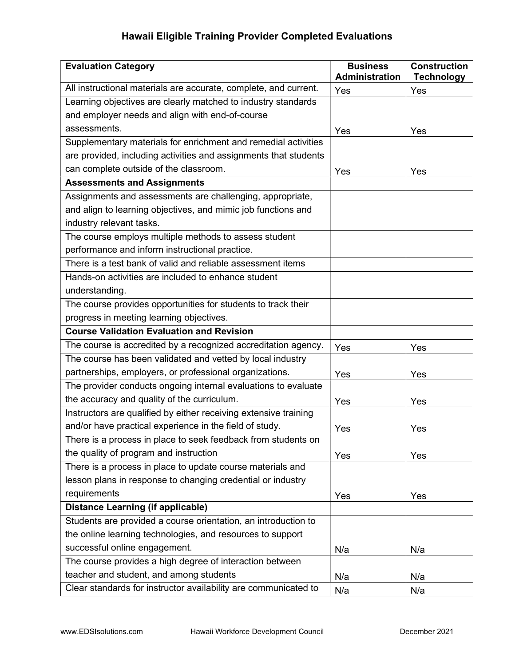| <b>Evaluation Category</b>                                       | <b>Business</b><br><b>Administration</b> | <b>Construction</b><br><b>Technology</b> |
|------------------------------------------------------------------|------------------------------------------|------------------------------------------|
| All instructional materials are accurate, complete, and current. | Yes                                      | Yes                                      |
| Learning objectives are clearly matched to industry standards    |                                          |                                          |
| and employer needs and align with end-of-course                  |                                          |                                          |
| assessments.                                                     | Yes                                      | Yes                                      |
| Supplementary materials for enrichment and remedial activities   |                                          |                                          |
| are provided, including activities and assignments that students |                                          |                                          |
| can complete outside of the classroom.                           | Yes                                      | Yes                                      |
| <b>Assessments and Assignments</b>                               |                                          |                                          |
| Assignments and assessments are challenging, appropriate,        |                                          |                                          |
| and align to learning objectives, and mimic job functions and    |                                          |                                          |
| industry relevant tasks.                                         |                                          |                                          |
| The course employs multiple methods to assess student            |                                          |                                          |
| performance and inform instructional practice.                   |                                          |                                          |
| There is a test bank of valid and reliable assessment items      |                                          |                                          |
| Hands-on activities are included to enhance student              |                                          |                                          |
| understanding.                                                   |                                          |                                          |
| The course provides opportunities for students to track their    |                                          |                                          |
| progress in meeting learning objectives.                         |                                          |                                          |
| <b>Course Validation Evaluation and Revision</b>                 |                                          |                                          |
| The course is accredited by a recognized accreditation agency.   | Yes                                      | Yes                                      |
| The course has been validated and vetted by local industry       |                                          |                                          |
| partnerships, employers, or professional organizations.          | Yes                                      | Yes                                      |
| The provider conducts ongoing internal evaluations to evaluate   |                                          |                                          |
| the accuracy and quality of the curriculum.                      | Yes                                      | Yes                                      |
| Instructors are qualified by either receiving extensive training |                                          |                                          |
| and/or have practical experience in the field of study.          | Yes                                      | Yes                                      |
| There is a process in place to seek feedback from students on    |                                          |                                          |
| the quality of program and instruction                           | Yes                                      | Yes                                      |
| There is a process in place to update course materials and       |                                          |                                          |
| lesson plans in response to changing credential or industry      |                                          |                                          |
| requirements                                                     | Yes                                      | Yes                                      |
| <b>Distance Learning (if applicable)</b>                         |                                          |                                          |
| Students are provided a course orientation, an introduction to   |                                          |                                          |
| the online learning technologies, and resources to support       |                                          |                                          |
| successful online engagement.                                    | N/a                                      | N/a                                      |
| The course provides a high degree of interaction between         |                                          |                                          |
| teacher and student, and among students                          | N/a                                      | N/a                                      |
| Clear standards for instructor availability are communicated to  | N/a                                      | N/a                                      |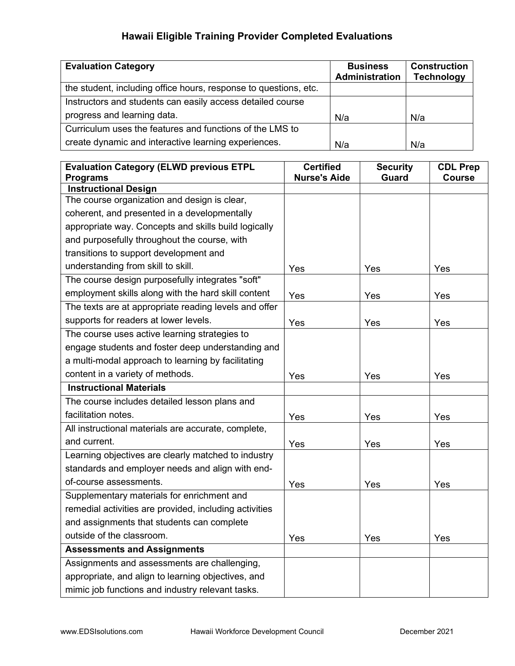| <b>Evaluation Category</b>                                       | <b>Business</b><br><b>Administration</b> | <b>Construction</b><br><b>Technology</b> |
|------------------------------------------------------------------|------------------------------------------|------------------------------------------|
| the student, including office hours, response to questions, etc. |                                          |                                          |
| Instructors and students can easily access detailed course       |                                          |                                          |
| progress and learning data.                                      | N/a                                      | N/a                                      |
| Curriculum uses the features and functions of the LMS to         |                                          |                                          |
| create dynamic and interactive learning experiences.             | N/a                                      | N/a                                      |

| <b>Evaluation Category (ELWD previous ETPL</b><br><b>Programs</b> | <b>Certified</b><br><b>Nurse's Aide</b> | <b>Security</b><br><b>Guard</b> | <b>CDL Prep</b><br><b>Course</b> |
|-------------------------------------------------------------------|-----------------------------------------|---------------------------------|----------------------------------|
| <b>Instructional Design</b>                                       |                                         |                                 |                                  |
| The course organization and design is clear,                      |                                         |                                 |                                  |
| coherent, and presented in a developmentally                      |                                         |                                 |                                  |
| appropriate way. Concepts and skills build logically              |                                         |                                 |                                  |
| and purposefully throughout the course, with                      |                                         |                                 |                                  |
| transitions to support development and                            |                                         |                                 |                                  |
| understanding from skill to skill.                                | Yes                                     | Yes                             | Yes                              |
| The course design purposefully integrates "soft"                  |                                         |                                 |                                  |
| employment skills along with the hard skill content               | Yes                                     | Yes                             | Yes                              |
| The texts are at appropriate reading levels and offer             |                                         |                                 |                                  |
| supports for readers at lower levels.                             | Yes                                     | Yes                             | Yes                              |
| The course uses active learning strategies to                     |                                         |                                 |                                  |
| engage students and foster deep understanding and                 |                                         |                                 |                                  |
| a multi-modal approach to learning by facilitating                |                                         |                                 |                                  |
| content in a variety of methods.                                  | Yes                                     | Yes                             | Yes                              |
| <b>Instructional Materials</b>                                    |                                         |                                 |                                  |
| The course includes detailed lesson plans and                     |                                         |                                 |                                  |
| facilitation notes.                                               | Yes                                     | Yes                             | Yes                              |
| All instructional materials are accurate, complete,               |                                         |                                 |                                  |
| and current.                                                      | Yes                                     | Yes                             | Yes                              |
| Learning objectives are clearly matched to industry               |                                         |                                 |                                  |
| standards and employer needs and align with end-                  |                                         |                                 |                                  |
| of-course assessments.                                            | Yes                                     | Yes                             | Yes                              |
| Supplementary materials for enrichment and                        |                                         |                                 |                                  |
| remedial activities are provided, including activities            |                                         |                                 |                                  |
| and assignments that students can complete                        |                                         |                                 |                                  |
| outside of the classroom.                                         | Yes                                     | Yes                             | Yes                              |
| <b>Assessments and Assignments</b>                                |                                         |                                 |                                  |
| Assignments and assessments are challenging,                      |                                         |                                 |                                  |
| appropriate, and align to learning objectives, and                |                                         |                                 |                                  |
| mimic job functions and industry relevant tasks.                  |                                         |                                 |                                  |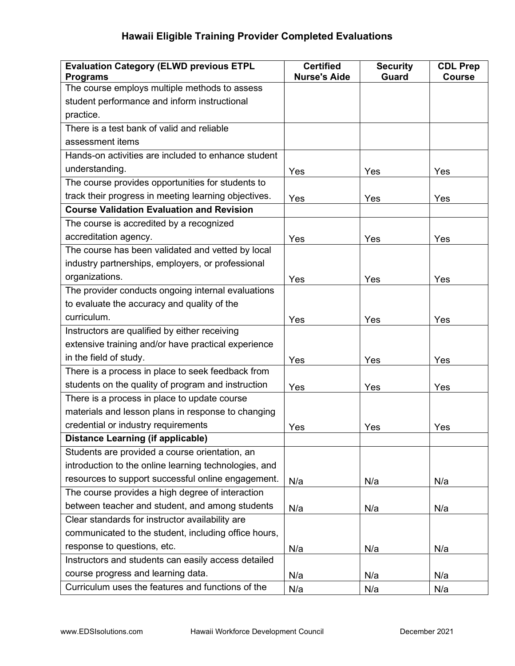| <b>Evaluation Category (ELWD previous ETPL</b>        | <b>Certified</b>    | <b>Security</b> | <b>CDL Prep</b> |
|-------------------------------------------------------|---------------------|-----------------|-----------------|
| <b>Programs</b>                                       | <b>Nurse's Aide</b> | <b>Guard</b>    | <b>Course</b>   |
| The course employs multiple methods to assess         |                     |                 |                 |
| student performance and inform instructional          |                     |                 |                 |
| practice.                                             |                     |                 |                 |
| There is a test bank of valid and reliable            |                     |                 |                 |
| assessment items                                      |                     |                 |                 |
| Hands-on activities are included to enhance student   |                     |                 |                 |
| understanding.                                        | Yes                 | Yes             | Yes             |
| The course provides opportunities for students to     |                     |                 |                 |
| track their progress in meeting learning objectives.  | Yes                 | Yes             | Yes             |
| <b>Course Validation Evaluation and Revision</b>      |                     |                 |                 |
| The course is accredited by a recognized              |                     |                 |                 |
| accreditation agency.                                 | Yes                 | Yes             | Yes             |
| The course has been validated and vetted by local     |                     |                 |                 |
| industry partnerships, employers, or professional     |                     |                 |                 |
| organizations.                                        | Yes                 | Yes             | Yes             |
| The provider conducts ongoing internal evaluations    |                     |                 |                 |
| to evaluate the accuracy and quality of the           |                     |                 |                 |
| curriculum.                                           | Yes                 | Yes             | Yes             |
| Instructors are qualified by either receiving         |                     |                 |                 |
| extensive training and/or have practical experience   |                     |                 |                 |
| in the field of study.                                | Yes                 | Yes             | Yes             |
| There is a process in place to seek feedback from     |                     |                 |                 |
| students on the quality of program and instruction    | Yes                 | Yes             | Yes             |
| There is a process in place to update course          |                     |                 |                 |
| materials and lesson plans in response to changing    |                     |                 |                 |
| credential or industry requirements                   | Yes                 | Yes             | Yes             |
| <b>Distance Learning (if applicable)</b>              |                     |                 |                 |
| Students are provided a course orientation, an        |                     |                 |                 |
| introduction to the online learning technologies, and |                     |                 |                 |
| resources to support successful online engagement.    | N/a                 | N/a             | N/a             |
| The course provides a high degree of interaction      |                     |                 |                 |
| between teacher and student, and among students       | N/a                 | N/a             | N/a             |
| Clear standards for instructor availability are       |                     |                 |                 |
| communicated to the student, including office hours,  |                     |                 |                 |
| response to questions, etc.                           | N/a                 | N/a             | N/a             |
| Instructors and students can easily access detailed   |                     |                 |                 |
| course progress and learning data.                    | N/a                 | N/a             | N/a             |
| Curriculum uses the features and functions of the     | N/a                 | N/a             | N/a             |